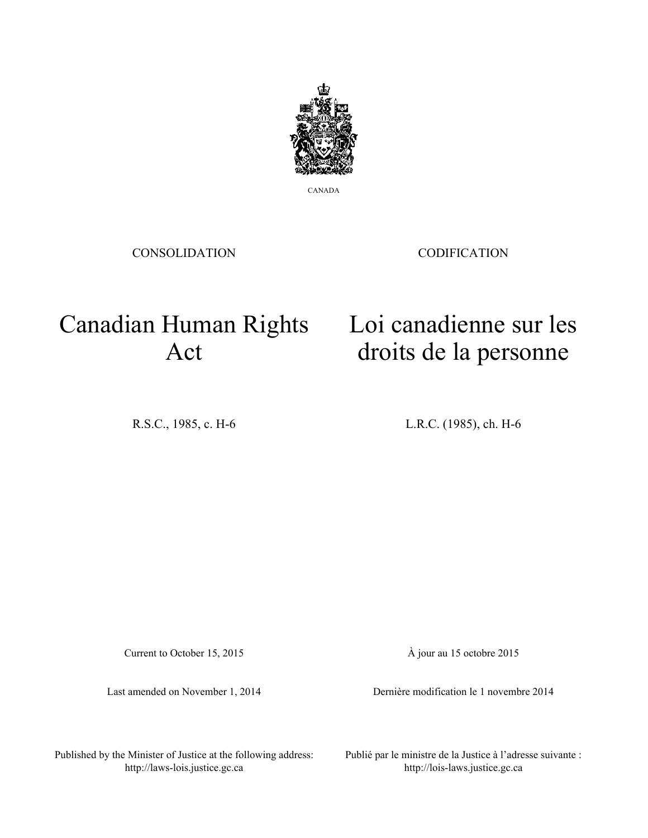

CANADA

CONSOLIDATION

CODIFICATION

# Canadian Human Rights Act

Loi canadienne sur les droits de la personne

R.S.C., 1985, c. H-6 L.R.C. (1985), ch. H-6

Current to October 15, 2015

Last amended on November 1, 2014

À jour au 15 octobre 2015

Dernière modification le 1 novembre 2014

Published by the Minister of Justice at the following address: http://laws-lois.justice.gc.ca

Publié par le ministre de la Justice à l'adresse suivante : http://lois-laws.justice.gc.ca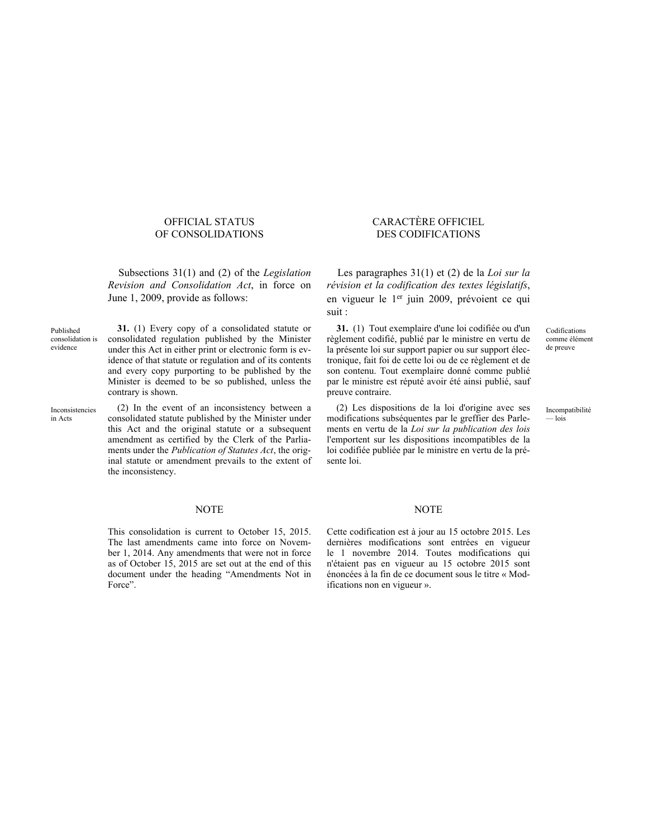# OFFICIAL STATUS OF CONSOLIDATIONS

Subsections 31(1) and (2) of the *Legislation Revision and Consolidation Act*, in force on June 1, 2009, provide as follows:

Published consolidation is evidence **31.** (1) Every copy of a consolidated statute or consolidated regulation published by the Minister under this Act in either print or electronic form is evidence of that statute or regulation and of its contents and every copy purporting to be published by the Minister is deemed to be so published, unless the contrary is shown.

Inconsistencies in Acts

(2) In the event of an inconsistency between a consolidated statute published by the Minister under this Act and the original statute or a subsequent amendment as certified by the Clerk of the Parliaments under the *Publication of Statutes Act*, the original statute or amendment prevails to the extent of the inconsistency.

# NOTE NOTE

This consolidation is current to October 15, 2015. The last amendments came into force on November 1, 2014. Any amendments that were not in force as of October 15, 2015 are set out at the end of this document under the heading "Amendments Not in Force".

# CARACTÈRE OFFICIEL DES CODIFICATIONS

Les paragraphes 31(1) et (2) de la *Loi sur la révision et la codification des textes législatifs*, en vigueur le 1<sup>er</sup> juin 2009, prévoient ce qui suit :

**31.** (1) Tout exemplaire d'une loi codifiée ou d'un règlement codifié, publié par le ministre en vertu de la présente loi sur support papier ou sur support électronique, fait foi de cette loi ou de ce règlement et de son contenu. Tout exemplaire donné comme publié par le ministre est réputé avoir été ainsi publié, sauf preuve contraire.

(2) Les dispositions de la loi d'origine avec ses modifications subséquentes par le greffier des Parlements en vertu de la *Loi sur la publication des lois* l'emportent sur les dispositions incompatibles de la loi codifiée publiée par le ministre en vertu de la présente loi.

Codifications comme élément de preuve

Incompatibilité — lois

Cette codification est à jour au 15 octobre 2015. Les dernières modifications sont entrées en vigueur le 1 novembre 2014. Toutes modifications qui n'étaient pas en vigueur au 15 octobre 2015 sont énoncées à la fin de ce document sous le titre « Modifications non en vigueur ».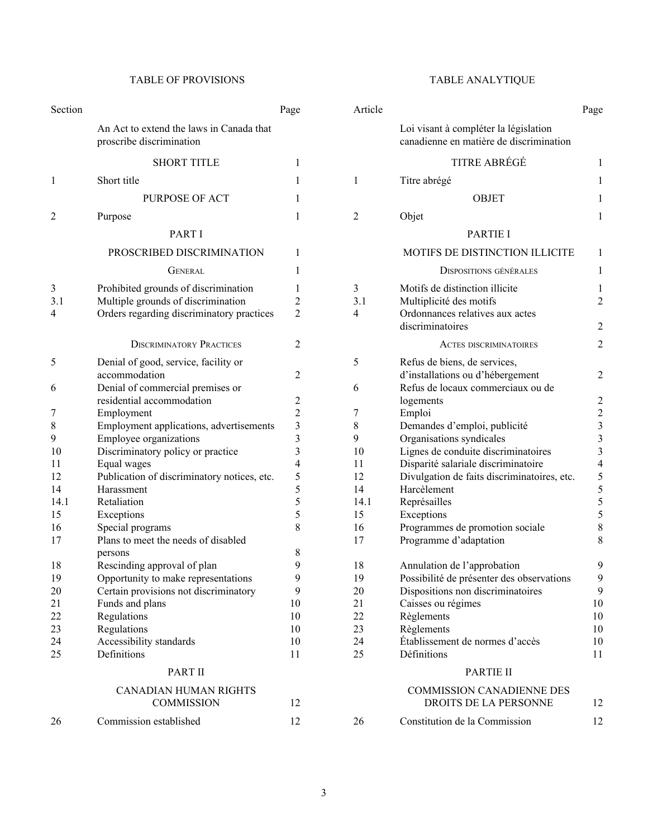# TABLE OF PROVISIONS TABLE ANALYTIQUE

| Section        |                                                                      | Page           | Article        |                                                                                  | Page                    |
|----------------|----------------------------------------------------------------------|----------------|----------------|----------------------------------------------------------------------------------|-------------------------|
|                | An Act to extend the laws in Canada that<br>proscribe discrimination |                |                | Loi visant à compléter la législation<br>canadienne en matière de discrimination |                         |
|                | <b>SHORT TITLE</b>                                                   | 1              |                | <b>TITRE ABRÉGÉ</b>                                                              | 1                       |
| $\mathbf{1}$   | Short title                                                          | 1              | $\mathbf{1}$   | Titre abrégé                                                                     | 1                       |
|                | PURPOSE OF ACT                                                       | 1              |                | <b>OBJET</b>                                                                     |                         |
| $\overline{c}$ | Purpose                                                              | 1              | $\overline{2}$ | Objet                                                                            | 1                       |
|                | PART I                                                               |                |                | <b>PARTIE I</b>                                                                  |                         |
|                | PROSCRIBED DISCRIMINATION                                            | 1              |                | MOTIFS DE DISTINCTION ILLICITE                                                   | 1                       |
|                | <b>GENERAL</b>                                                       | 1              |                | <b>DISPOSITIONS GÉNÉRALES</b>                                                    | 1                       |
| 3              | Prohibited grounds of discrimination                                 | 1              | 3              | Motifs de distinction illicite                                                   |                         |
| 3.1            | Multiple grounds of discrimination                                   | $\overline{c}$ | 3.1            | Multiplicité des motifs                                                          | $\overline{c}$          |
| 4              | Orders regarding discriminatory practices                            | $\overline{2}$ | 4              | Ordonnances relatives aux actes<br>discriminatoires                              | $\overline{c}$          |
|                | <b>DISCRIMINATORY PRACTICES</b>                                      | $\overline{2}$ |                | <b>ACTES DISCRIMINATOIRES</b>                                                    | $\overline{c}$          |
| 5              | Denial of good, service, facility or<br>accommodation                | 2              | 5              | Refus de biens, de services,<br>d'installations ou d'hébergement                 | $\overline{c}$          |
| 6              | Denial of commercial premises or<br>residential accommodation        | $\overline{c}$ | 6              | Refus de locaux commerciaux ou de<br>logements                                   | $\overline{\mathbf{c}}$ |
| 7              | Employment                                                           | $\overline{c}$ | 7              | Emploi                                                                           | $\overline{\mathbf{c}}$ |
| 8              | Employment applications, advertisements                              | 3              | 8              | Demandes d'emploi, publicité                                                     |                         |
| 9              | Employee organizations                                               | 3              | 9              | Organisations syndicales                                                         | 3                       |
| 10             | Discriminatory policy or practice                                    | 3              | 10             | Lignes de conduite discriminatoires                                              | 3                       |
| 11             | Equal wages                                                          | 4              | 11             | Disparité salariale discriminatoire                                              | 4                       |
| 12             | Publication of discriminatory notices, etc.                          | 5              | 12             | Divulgation de faits discriminatoires, etc.                                      | 5                       |
| 14             | Harassment                                                           | 5              | 14             | Harcèlement                                                                      | 5                       |
| 14.1           | Retaliation                                                          | 5              | 14.1           | Représailles                                                                     | 5                       |
| 15             | Exceptions                                                           | 5              | 15             | Exceptions                                                                       |                         |
| 16<br>17       | Special programs<br>Plans to meet the needs of disabled              | 8              | 16<br>17       | Programmes de promotion sociale<br>Programme d'adaptation                        | 8<br>8                  |
|                | persons                                                              | 8              |                |                                                                                  |                         |
| 18             | Rescinding approval of plan                                          | 9              | 18             | Annulation de l'approbation                                                      | 9                       |
| 19             | Opportunity to make representations                                  | 9              | 19             | Possibilité de présenter des observations                                        | 9                       |
| 20             | Certain provisions not discriminatory                                | 9              | 20             | Dispositions non discriminatoires                                                | 9                       |
| 21             | Funds and plans                                                      | 10             | 21             | Caisses ou régimes                                                               | 10                      |
| 22             | Regulations                                                          | 10             | 22             | Règlements                                                                       | 10                      |
| 23             | Regulations                                                          | 10             | 23             | Règlements                                                                       | 10                      |
| 24             | Accessibility standards                                              | 10             | 24             | Établissement de normes d'accès                                                  | 10                      |
| 25             | Definitions                                                          | 11             | 25             | Définitions                                                                      | 11                      |
|                | <b>PART II</b>                                                       |                |                | <b>PARTIE II</b>                                                                 |                         |
|                | <b>CANADIAN HUMAN RIGHTS</b><br><b>COMMISSION</b>                    | 12             |                | <b>COMMISSION CANADIENNE DES</b><br>DROITS DE LA PERSONNE                        | 12                      |
|                |                                                                      |                |                |                                                                                  |                         |

| Section      |                                                                      | Page           | Article        |                                                                                  | Page                    |
|--------------|----------------------------------------------------------------------|----------------|----------------|----------------------------------------------------------------------------------|-------------------------|
|              | An Act to extend the laws in Canada that<br>proscribe discrimination |                |                | Loi visant à compléter la législation<br>canadienne en matière de discrimination |                         |
|              | <b>SHORT TITLE</b>                                                   | 1              |                | TITRE ABRÉGÉ                                                                     | 1                       |
| $\mathbf{1}$ | Short title                                                          | 1              | 1              | Titre abrégé                                                                     | 1                       |
|              | PURPOSE OF ACT                                                       | 1              |                | <b>OBJET</b>                                                                     | 1                       |
| 2            | Purpose                                                              | 1              | $\overline{c}$ | Objet                                                                            | 1                       |
|              | PART I                                                               |                |                | <b>PARTIE I</b>                                                                  |                         |
|              | PROSCRIBED DISCRIMINATION                                            | 1              |                | MOTIFS DE DISTINCTION ILLICITE                                                   | 1                       |
|              | <b>GENERAL</b>                                                       | 1              |                | <b>DISPOSITIONS GÉNÉRALES</b>                                                    | 1                       |
| 3            | Prohibited grounds of discrimination                                 | 1              | $\mathfrak{Z}$ | Motifs de distinction illicite                                                   | 1                       |
| 3.1          | Multiple grounds of discrimination                                   | $\overline{c}$ | 3.1            | Multiplicité des motifs                                                          | $\overline{2}$          |
| 4            | Orders regarding discriminatory practices                            | $\overline{2}$ | 4              | Ordonnances relatives aux actes                                                  |                         |
|              |                                                                      |                |                | discriminatoires                                                                 | $\overline{2}$          |
|              | <b>DISCRIMINATORY PRACTICES</b>                                      | $\overline{2}$ |                | <b>ACTES DISCRIMINATOIRES</b>                                                    | $\overline{c}$          |
| 5            | Denial of good, service, facility or                                 |                | 5              | Refus de biens, de services,                                                     |                         |
|              | accommodation                                                        | $\overline{2}$ |                | d'installations ou d'hébergement                                                 | $\overline{2}$          |
| 6            | Denial of commercial premises or                                     |                | 6              | Refus de locaux commerciaux ou de                                                |                         |
|              | residential accommodation                                            | 2              |                | logements                                                                        | $\overline{c}$          |
| 7            | Employment                                                           | $\overline{2}$ | 7              | Emploi                                                                           | $\frac{2}{3}$           |
| $\,$ $\,$    | Employment applications, advertisements                              | 3              | 8              | Demandes d'emploi, publicité                                                     |                         |
| 9            | Employee organizations                                               | 3              | 9              | Organisations syndicales                                                         | $\overline{\mathbf{3}}$ |
| 10           | Discriminatory policy or practice                                    | 3              | 10             | Lignes de conduite discriminatoires                                              | $\overline{\mathbf{3}}$ |
| 11           | Equal wages                                                          | 4              | 11             | Disparité salariale discriminatoire                                              | $\overline{4}$          |
| 12           | Publication of discriminatory notices, etc.                          | 5              | 12             | Divulgation de faits discriminatoires, etc.                                      | 5                       |
| 14           | Harassment                                                           | 5              | 14             | Harcèlement                                                                      | 5                       |
| 14.1         | Retaliation                                                          | 5              | 14.1           | Représailles                                                                     | $\overline{5}$          |
| 15           | Exceptions                                                           | 5              | 15             | Exceptions                                                                       | 5                       |
| 16           | Special programs                                                     | 8              | 16             | Programmes de promotion sociale                                                  | $\,$ $\,$               |
| 17           | Plans to meet the needs of disabled                                  |                | 17             | Programme d'adaptation                                                           | 8                       |
|              | persons                                                              | 8              |                |                                                                                  |                         |
| 18           | Rescinding approval of plan                                          | 9              | 18             | Annulation de l'approbation                                                      | 9                       |
| 19           | Opportunity to make representations                                  | $\mathbf Q$    | 19             | Possibilité de présenter des observations                                        | 9                       |
| 20           | Certain provisions not discriminatory                                | 9              | 20             | Dispositions non discriminatoires                                                | 9                       |
| 21           | Funds and plans                                                      | 10             | 21             | Caisses ou régimes                                                               | 10                      |
| 22           | Regulations                                                          | 10             | 22             | Règlements                                                                       | 10                      |
| 23           | Regulations                                                          | 10             | 23             | Règlements                                                                       | 10                      |
| 24<br>25     | Accessibility standards<br>Definitions                               | 10             | 24<br>25       | Établissement de normes d'accès<br>Définitions                                   | 10<br>11                |
|              |                                                                      | 11             |                |                                                                                  |                         |
|              | PART II                                                              |                |                | <b>PARTIE II</b>                                                                 |                         |
|              | <b>CANADIAN HUMAN RIGHTS</b><br><b>COMMISSION</b>                    | 12             |                | <b>COMMISSION CANADIENNE DES</b><br>DROITS DE LA PERSONNE                        | 12                      |
| 26           | Commission established                                               | 12             | 26             | Constitution de la Commission                                                    | 12                      |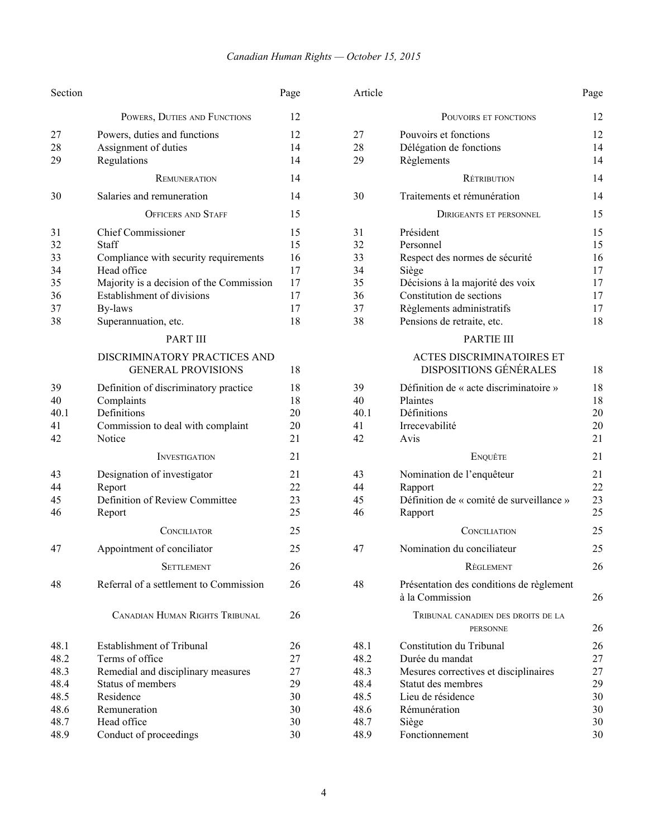| Section |                                                           | Page | Article |                                                             | Page |
|---------|-----------------------------------------------------------|------|---------|-------------------------------------------------------------|------|
|         | POWERS, DUTIES AND FUNCTIONS                              | 12   |         | POUVOIRS ET FONCTIONS                                       | 12   |
| 27      | Powers, duties and functions                              | 12   | 27      | Pouvoirs et fonctions                                       | 12   |
| 28      | Assignment of duties                                      | 14   | 28      | Délégation de fonctions                                     | 14   |
| 29      | Regulations                                               | 14   | 29      | Règlements                                                  | 14   |
|         | <b>REMUNERATION</b>                                       | 14   |         | <b>RÉTRIBUTION</b>                                          | 14   |
| 30      | Salaries and remuneration                                 | 14   | 30      | Traitements et rémunération                                 | 14   |
|         | <b>OFFICERS AND STAFF</b>                                 | 15   |         | <b>DIRIGEANTS ET PERSONNEL</b>                              | 15   |
| 31      | <b>Chief Commissioner</b>                                 | 15   | 31      | Président                                                   | 15   |
| 32      | Staff                                                     | 15   | 32      | Personnel                                                   | 15   |
| 33      | Compliance with security requirements                     | 16   | 33      | Respect des normes de sécurité                              | 16   |
| 34      | Head office                                               | 17   | 34      | Siège                                                       | 17   |
| 35      | Majority is a decision of the Commission                  | 17   | 35      | Décisions à la majorité des voix                            | 17   |
| 36      | Establishment of divisions                                | 17   | 36      | Constitution de sections                                    | 17   |
| 37      | By-laws                                                   | 17   | 37      | Règlements administratifs                                   | 17   |
| 38      | Superannuation, etc.                                      | 18   | 38      | Pensions de retraite, etc.                                  | 18   |
|         | <b>PART III</b>                                           |      |         | <b>PARTIE III</b>                                           |      |
|         | DISCRIMINATORY PRACTICES AND<br><b>GENERAL PROVISIONS</b> | 18   |         | ACTES DISCRIMINATOIRES ET<br>DISPOSITIONS GÉNÉRALES         | 18   |
| 39      | Definition of discriminatory practice                     | 18   | 39      | Définition de « acte discriminatoire »                      | 18   |
| 40      | Complaints                                                | 18   | 40      | Plaintes                                                    | 18   |
| 40.1    | Definitions                                               | 20   | 40.1    | Définitions                                                 | 20   |
| 41      | Commission to deal with complaint                         | 20   | 41      | Irrecevabilité                                              | 20   |
| 42      | Notice                                                    | 21   | 42      | Avis                                                        | 21   |
|         | <b>INVESTIGATION</b>                                      | 21   |         | ENQUÊTE                                                     | 21   |
| 43      | Designation of investigator                               | 21   | 43      | Nomination de l'enquêteur                                   | 21   |
| 44      | Report                                                    | 22   | 44      | Rapport                                                     | 22   |
| 45      | Definition of Review Committee                            | 23   | 45      | Définition de « comité de surveillance »                    | 23   |
| 46      | Report                                                    | 25   | 46      | Rapport                                                     | 25   |
|         | <b>CONCILIATOR</b>                                        | 25   |         | <b>CONCILIATION</b>                                         | 25   |
| 47      | Appointment of conciliator                                | 25   | 47      | Nomination du conciliateur                                  | 25   |
|         | <b>SETTLEMENT</b>                                         | 26   |         | RÈGLEMENT                                                   | 26   |
| 48      | Referral of a settlement to Commission                    | 26   | 48      | Présentation des conditions de règlement<br>à la Commission | 26   |
|         | <b>CANADIAN HUMAN RIGHTS TRIBUNAL</b>                     | 26   |         | TRIBUNAL CANADIEN DES DROITS DE LA<br><b>PERSONNE</b>       | 26   |
| 48.1    | <b>Establishment of Tribunal</b>                          | 26   | 48.1    | Constitution du Tribunal                                    | 26   |
| 48.2    | Terms of office                                           | 27   | 48.2    | Durée du mandat                                             | 27   |
| 48.3    | Remedial and disciplinary measures                        | 27   | 48.3    | Mesures correctives et disciplinaires                       | 27   |
| 48.4    | Status of members                                         | 29   | 48.4    | Statut des membres                                          | 29   |
| 48.5    | Residence                                                 | 30   | 48.5    | Lieu de résidence                                           | 30   |
| 48.6    | Remuneration                                              | 30   | 48.6    | Rémunération                                                | 30   |
| 48.7    | Head office                                               | 30   | 48.7    | Siège                                                       | 30   |
| 48.9    | Conduct of proceedings                                    | 30   | 48.9    | Fonctionnement                                              | 30   |

|                                                                | Page | Article |                                                                   | Page |
|----------------------------------------------------------------|------|---------|-------------------------------------------------------------------|------|
| POWERS, DUTIES AND FUNCTIONS                                   | 12   |         | POUVOIRS ET FONCTIONS                                             | 12   |
| vers, duties and functions                                     | 12   | 27      | Pouvoirs et fonctions                                             | 12   |
| ignment of duties                                              | 14   | 28      | Délégation de fonctions                                           | 14   |
| <i>sulations</i>                                               | 14   | 29      | Règlements                                                        | 14   |
| REMUNERATION                                                   | 14   |         | <b>RÉTRIBUTION</b>                                                | 14   |
| aries and remuneration                                         | 14   | 30      | Traitements et rémunération                                       | 14   |
| <b>OFFICERS AND STAFF</b>                                      | 15   |         | <b>DIRIGEANTS ET PERSONNEL</b>                                    | 15   |
| ef Commissioner                                                | 15   | 31      | Président                                                         | 15   |
|                                                                | 15   | 32      | Personnel                                                         | 15   |
| mpliance with security requirements                            | 16   | 33      | Respect des normes de sécurité                                    | 16   |
| d office                                                       | 17   | 34      | Siège                                                             | 17   |
| jority is a decision of the Commission                         | 17   | 35      | Décisions à la majorité des voix                                  | 17   |
| ablishment of divisions                                        | 17   | 36      | Constitution de sections                                          | 17   |
| laws                                                           | 17   | 37      | Règlements administratifs                                         | 17   |
| erannuation, etc.                                              | 18   | 38      | Pensions de retraite, etc.                                        | 18   |
| <b>PART III</b>                                                |      |         | <b>PARTIE III</b>                                                 |      |
| <b>SCRIMINATORY PRACTICES AND</b><br><b>GENERAL PROVISIONS</b> | 18   |         | <b>ACTES DISCRIMINATOIRES ET</b><br><b>DISPOSITIONS GÉNÉRALES</b> | 18   |
| inition of discriminatory practice                             | 18   | 39      | Définition de « acte discriminatoire »                            | 18   |
| nplaints                                                       | 18   | 40      | Plaintes                                                          | 18   |
| initions                                                       | 20   | 40.1    | Définitions                                                       | 20   |
| nmission to deal with complaint                                | 20   | 41      | Irrecevabilité                                                    | 20   |
| ice                                                            | 21   | 42      | Avis                                                              | 21   |
| <b>INVESTIGATION</b>                                           | 21   |         | ENQUÊTE                                                           | 21   |
| signation of investigator                                      | 21   | 43      | Nomination de l'enquêteur                                         | 21   |
| ort                                                            | 22   | 44      | Rapport                                                           | 22   |
| inition of Review Committee                                    | 23   | 45      | Définition de « comité de surveillance »                          | 23   |
| ort                                                            | 25   | 46      | Rapport                                                           | 25   |
| <b>CONCILIATOR</b>                                             | 25   |         | <b>CONCILIATION</b>                                               | 25   |
| pointment of conciliator                                       | 25   | 47      | Nomination du conciliateur                                        | 25   |
| <b>SETTLEMENT</b>                                              | 26   |         | RÈGLEMENT                                                         | 26   |
| erral of a settlement to Commission                            | 26   | 48      | Présentation des conditions de règlement<br>à la Commission       | 26   |
| CANADIAN HUMAN RIGHTS TRIBUNAL                                 | 26   |         | TRIBUNAL CANADIEN DES DROITS DE LA<br><b>PERSONNE</b>             | 26   |
| ablishment of Tribunal                                         | 26   | 48.1    | Constitution du Tribunal                                          | 26   |
| ms of office                                                   | 27   | 48.2    | Durée du mandat                                                   | 27   |
| nedial and disciplinary measures                               | 27   | 48.3    | Mesures correctives et disciplinaires                             | 27   |
| tus of members                                                 | 29   | 48.4    | Statut des membres                                                | 29   |
| idence                                                         | 30   | 48.5    | Lieu de résidence                                                 | 30   |
| nuneration                                                     | 30   | 48.6    | Rémunération                                                      | 30   |
| d office                                                       | 30   | 48.7    | Siège                                                             | 30   |
|                                                                |      |         |                                                                   |      |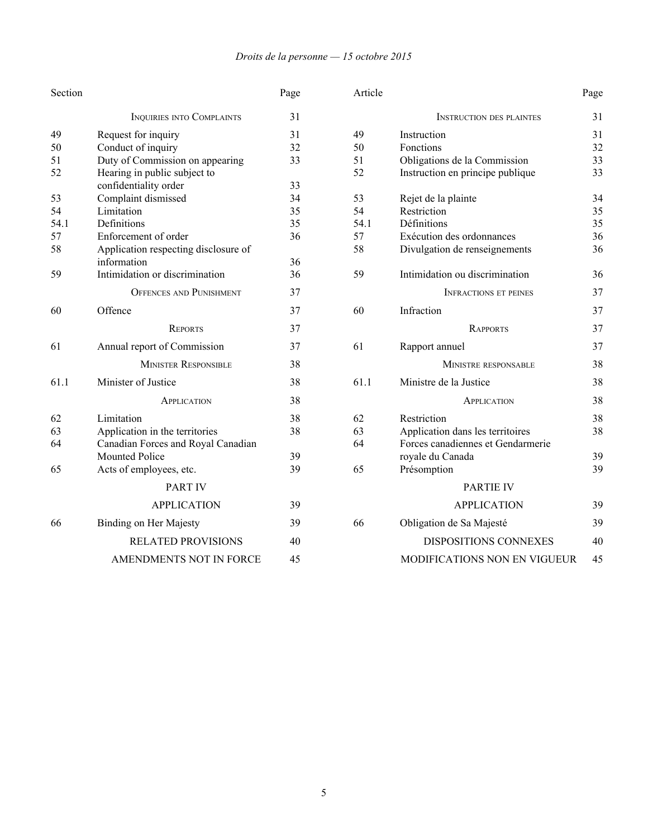# *Droits de la personne — 15 octobre 2015*

| Section |                                                     | Page | Article |                                   | Page |
|---------|-----------------------------------------------------|------|---------|-----------------------------------|------|
|         | <b>INQUIRIES INTO COMPLAINTS</b>                    | 31   |         | <b>INSTRUCTION DES PLAINTES</b>   | 31   |
| 49      | Request for inquiry                                 | 31   | 49      | Instruction                       | 31   |
| 50      | Conduct of inquiry                                  | 32   | 50      | Fonctions                         | 32   |
| 51      | Duty of Commission on appearing                     | 33   | 51      | Obligations de la Commission      | 33   |
| 52      | Hearing in public subject to                        |      | 52      | Instruction en principe publique  | 33   |
|         | confidentiality order                               | 33   |         |                                   |      |
| 53      | Complaint dismissed                                 | 34   | 53      | Rejet de la plainte               | 34   |
| 54      | Limitation                                          | 35   | 54      | Restriction                       | 35   |
| 54.1    | Definitions                                         | 35   | 54.1    | Définitions                       | 35   |
| 57      | Enforcement of order                                | 36   | 57      | Exécution des ordonnances         | 36   |
| 58      | Application respecting disclosure of<br>information | 36   | 58      | Divulgation de renseignements     | 36   |
| 59      | Intimidation or discrimination                      | 36   | 59      | Intimidation ou discrimination    | 36   |
|         | <b>OFFENCES AND PUNISHMENT</b>                      | 37   |         | <b>INFRACTIONS ET PEINES</b>      | 37   |
| 60      | Offence                                             | 37   | 60      | Infraction                        | 37   |
|         | <b>REPORTS</b>                                      | 37   |         | <b>RAPPORTS</b>                   | 37   |
| 61      | Annual report of Commission                         | 37   | 61      | Rapport annuel                    | 37   |
|         | <b>MINISTER RESPONSIBLE</b>                         | 38   |         | MINISTRE RESPONSABLE              | 38   |
| 61.1    | Minister of Justice                                 | 38   | 61.1    | Ministre de la Justice            | 38   |
|         | APPLICATION                                         | 38   |         | APPLICATION                       | 38   |
| 62      | Limitation                                          | 38   | 62      | Restriction                       | 38   |
| 63      | Application in the territories                      | 38   | 63      | Application dans les territoires  | 38   |
| 64      | Canadian Forces and Royal Canadian                  |      | 64      | Forces canadiennes et Gendarmerie |      |
|         | <b>Mounted Police</b>                               | 39   |         | royale du Canada                  | 39   |
| 65      | Acts of employees, etc.                             | 39   | 65      | Présomption                       | 39   |
|         | <b>PART IV</b>                                      |      |         | <b>PARTIE IV</b>                  |      |
|         | <b>APPLICATION</b>                                  | 39   |         | <b>APPLICATION</b>                | 39   |
| 66      | Binding on Her Majesty                              | 39   | 66      | Obligation de Sa Majesté          | 39   |
|         | <b>RELATED PROVISIONS</b>                           | 40   |         | DISPOSITIONS CONNEXES             | 40   |
|         | AMENDMENTS NOT IN FORCE                             | 45   |         | MODIFICATIONS NON EN VIGUEUR      | 45   |

| Section |                                               | Page     | Article |                                   | Page |
|---------|-----------------------------------------------|----------|---------|-----------------------------------|------|
|         | <b>INQUIRIES INTO COMPLAINTS</b>              | 31       |         | <b>INSTRUCTION DES PLAINTES</b>   | 31   |
| 49      | Request for inquiry                           | 31       | 49      | Instruction                       | 31   |
| 50      | Conduct of inquiry                            | 32       | 50      | Fonctions                         | 32   |
| 51      | Duty of Commission on appearing               | 33       | 51      | Obligations de la Commission      | 33   |
| 52      | Hearing in public subject to                  |          | 52      | Instruction en principe publique  | 33   |
|         | confidentiality order                         | 33       |         |                                   |      |
| 53      | Complaint dismissed                           | 34       | 53      | Rejet de la plainte               | 34   |
| 54      | Limitation                                    | 35       | 54      | Restriction                       | 35   |
| 54.1    | Definitions                                   | 35       | 54.1    | Définitions                       | 35   |
| 57      | Enforcement of order                          | 36       | 57      | Exécution des ordonnances         | 36   |
| 58      | Application respecting disclosure of          |          | 58      | Divulgation de renseignements     | 36   |
| 59      | information<br>Intimidation or discrimination | 36<br>36 | 59      | Intimidation ou discrimination    |      |
|         |                                               |          |         |                                   | 36   |
|         | <b>OFFENCES AND PUNISHMENT</b>                | 37       |         | <b>INFRACTIONS ET PEINES</b>      | 37   |
| 60      | Offence                                       | 37       | 60      | Infraction                        | 37   |
|         | <b>REPORTS</b>                                | 37       |         | <b>RAPPORTS</b>                   | 37   |
| 61      | Annual report of Commission                   | 37       | 61      | Rapport annuel                    | 37   |
|         | <b>MINISTER RESPONSIBLE</b>                   | 38       |         | <b>MINISTRE RESPONSABLE</b>       | 38   |
| 61.1    | Minister of Justice                           | 38       | 61.1    | Ministre de la Justice            | 38   |
|         | APPLICATION                                   | 38       |         | APPLICATION                       | 38   |
| 62      | Limitation                                    | 38       | 62      | Restriction                       | 38   |
| 63      | Application in the territories                | 38       | 63      | Application dans les territoires  | 38   |
| 64      | Canadian Forces and Royal Canadian            |          | 64      | Forces canadiennes et Gendarmerie |      |
|         | <b>Mounted Police</b>                         | 39       |         | royale du Canada                  | 39   |
| 65      | Acts of employees, etc.                       | 39       | 65      | Présomption                       | 39   |
|         | <b>PART IV</b>                                |          |         | <b>PARTIE IV</b>                  |      |
|         | <b>APPLICATION</b>                            | 39       |         | <b>APPLICATION</b>                | 39   |
| 66      | Binding on Her Majesty                        | 39       | 66      | Obligation de Sa Majesté          | 39   |
|         | <b>RELATED PROVISIONS</b>                     | 40       |         | DISPOSITIONS CONNEXES             | 40   |
|         | AMENDMENTS NOT IN FORCE                       | 45       |         | MODIFICATIONS NON EN VIGUEUR      | 45   |
|         |                                               |          |         |                                   |      |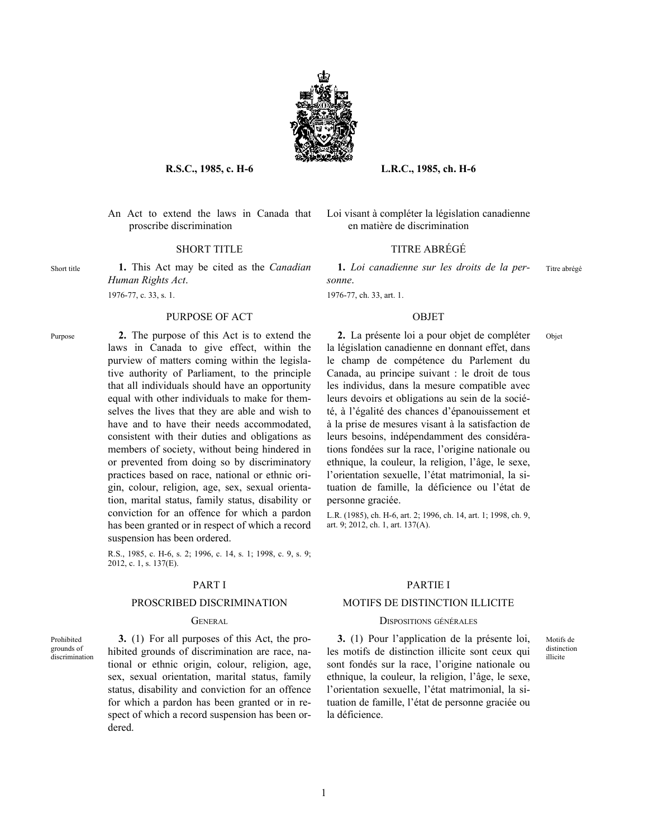

# <span id="page-5-0"></span>**R.S.C., 1985, c. H-6 L.R.C., 1985, ch. H-6**

An Act to extend the laws in Canada that proscribe discrimination

Short title **1.** This Act may be cited as the *Canadian Human Rights Act*. 1976-77, c. 33, s. 1.

# PURPOSE OF ACT OBJET

Purpose **2.** The purpose of this Act is to extend the laws in Canada to give effect, within the purview of matters coming within the legislative authority of Parliament, to the principle that all individuals should have an opportunity equal with other individuals to make for themselves the lives that they are able and wish to have and to have their needs accommodated, consistent with their duties and obligations as members of society, without being hindered in or prevented from doing so by discriminatory practices based on race, national or ethnic origin, colour, religion, age, sex, sexual orientation, marital status, family status, disability or conviction for an offence for which a pardon has been granted or in respect of which a record suspension has been ordered.

> R.S., 1985, c. H-6, s. 2; 1996, c. 14, s. 1; 1998, c. 9, s. 9; 2012, c. 1, s. 137(E).

Prohibited grounds of discrimination

**3.** (1) For all purposes of this Act, the prohibited grounds of discrimination are race, national or ethnic origin, colour, religion, age, sex, sexual orientation, marital status, family status, disability and conviction for an offence for which a pardon has been granted or in respect of which a record suspension has been ordered.

Loi visant à compléter la législation canadienne en matière de discrimination

# SHORT TITLE TITRE ABRÉGÉ

**1.** *Loi canadienne sur les droits de la personne*. Titre abrégé

1976-77, ch. 33, art. 1.

**2.** La présente loi a pour objet de compléter la législation canadienne en donnant effet, dans le champ de compétence du Parlement du Canada, au principe suivant : le droit de tous les individus, dans la mesure compatible avec leurs devoirs et obligations au sein de la société, à l'égalité des chances d'épanouissement et à la prise de mesures visant à la satisfaction de leurs besoins, indépendamment des considérations fondées sur la race, l'origine nationale ou ethnique, la couleur, la religion, l'âge, le sexe, l'orientation sexuelle, l'état matrimonial, la situation de famille, la déficience ou l'état de personne graciée.

L.R. (1985), ch. H-6, art. 2; 1996, ch. 14, art. 1; 1998, ch. 9, art. 9; 2012, ch. 1, art. 137(A).

# PART I PARTIE I

### PROSCRIBED DISCRIMINATION MOTIFS DE DISTINCTION ILLICITE

# GENERAL DISPOSITIONS GÉNÉRALES

**3.** (1) Pour l'application de la présente loi, les motifs de distinction illicite sont ceux qui sont fondés sur la race, l'origine nationale ou ethnique, la couleur, la religion, l'âge, le sexe, l'orientation sexuelle, l'état matrimonial, la situation de famille, l'état de personne graciée ou la déficience.

Motifs de distinction illicite

1

**Objet**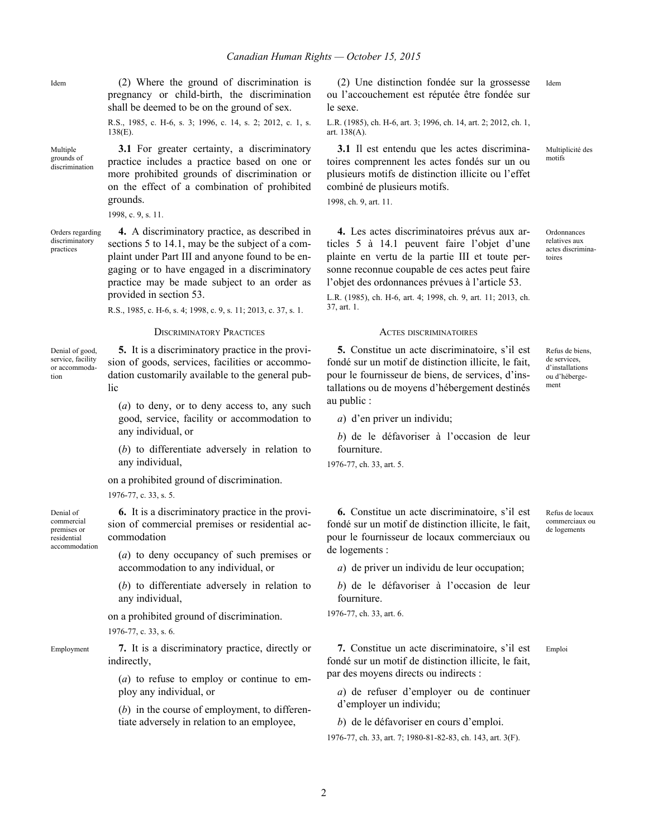<span id="page-6-0"></span>Idem (2) Where the ground of discrimination is pregnancy or child-birth, the discrimination shall be deemed to be on the ground of sex.

> R.S., 1985, c. H-6, s. 3; 1996, c. 14, s. 2; 2012, c. 1, s. 138(E).

Multiple grounds of discrimination

**3.1** For greater certainty, a discriminatory practice includes a practice based on one or more prohibited grounds of discrimination or on the effect of a combination of prohibited grounds.

1998, c. 9, s. 11.

Orders regarding discriminatory practices

**4.** A discriminatory practice, as described in sections 5 to 14.1, may be the subject of a complaint under Part III and anyone found to be engaging or to have engaged in a discriminatory practice may be made subject to an order as provided in section 53.

R.S., 1985, c. H-6, s. 4; 1998, c. 9, s. 11; 2013, c. 37, s. 1.

# DISCRIMINATORY PRACTICES ACTES DISCRIMINATOIRES

Denial of good, service, facility or accommodation

Denial of commercial premises or residential

**5.** It is a discriminatory practice in the provision of goods, services, facilities or accommodation customarily available to the general public

(*a*) to deny, or to deny access to, any such good, service, facility or accommodation to any individual, or

(*b*) to differentiate adversely in relation to any individual,

on a prohibited ground of discrimination.

```
1976-77, c. 33, s. 5.
```
accommodation **6.** It is a discriminatory practice in the provision of commercial premises or residential accommodation

(*a*) to deny occupancy of such premises or accommodation to any individual, or

(*b*) to differentiate adversely in relation to any individual,

on a prohibited ground of discrimination.

### 1976-77, c. 33, s. 6.

Employment **7.** It is a discriminatory practice, directly or indirectly,

> (*a*) to refuse to employ or continue to employ any individual, or

> (*b*) in the course of employment, to differentiate adversely in relation to an employee,

(2) Une distinction fondée sur la grossesse ou l'accouchement est réputée être fondée sur le sexe.

L.R. (1985), ch. H-6, art. 3; 1996, ch. 14, art. 2; 2012, ch. 1, art. 138(A).

**3.1** Il est entendu que les actes discriminatoires comprennent les actes fondés sur un ou plusieurs motifs de distinction illicite ou l'effet combiné de plusieurs motifs.

1998, ch. 9, art. 11.

**4.** Les actes discriminatoires prévus aux articles 5 à 14.1 peuvent faire l'objet d'une plainte en vertu de la partie III et toute personne reconnue coupable de ces actes peut faire l'objet des ordonnances prévues à l'article 53.

L.R. (1985), ch. H-6, art. 4; 1998, ch. 9, art. 11; 2013, ch. 37, art. 1.

**5.** Constitue un acte discriminatoire, s'il est fondé sur un motif de distinction illicite, le fait, pour le fournisseur de biens, de services, d'installations ou de moyens d'hébergement destinés au public :

*a*) d'en priver un individu;

*b*) de le défavoriser à l'occasion de leur fourniture.

1976-77, ch. 33, art. 5.

**6.** Constitue un acte discriminatoire, s'il est fondé sur un motif de distinction illicite, le fait, pour le fournisseur de locaux commerciaux ou de logements :

*a*) de priver un individu de leur occupation;

*b*) de le défavoriser à l'occasion de leur fourniture.

1976-77, ch. 33, art. 6.

**7.** Constitue un acte discriminatoire, s'il est fondé sur un motif de distinction illicite, le fait, par des moyens directs ou indirects :

*a*) de refuser d'employer ou de continuer d'employer un individu;

*b*) de le défavoriser en cours d'emploi.

1976-77, ch. 33, art. 7; 1980-81-82-83, ch. 143, art. 3(F).

2

Idem

Ordonnances relatives aux actes discriminatoires

Multiplicité des motifs

Refus de biens, de services, d'installations ou d'hébergement

Refus de locaux commerciaux ou de logements

Emploi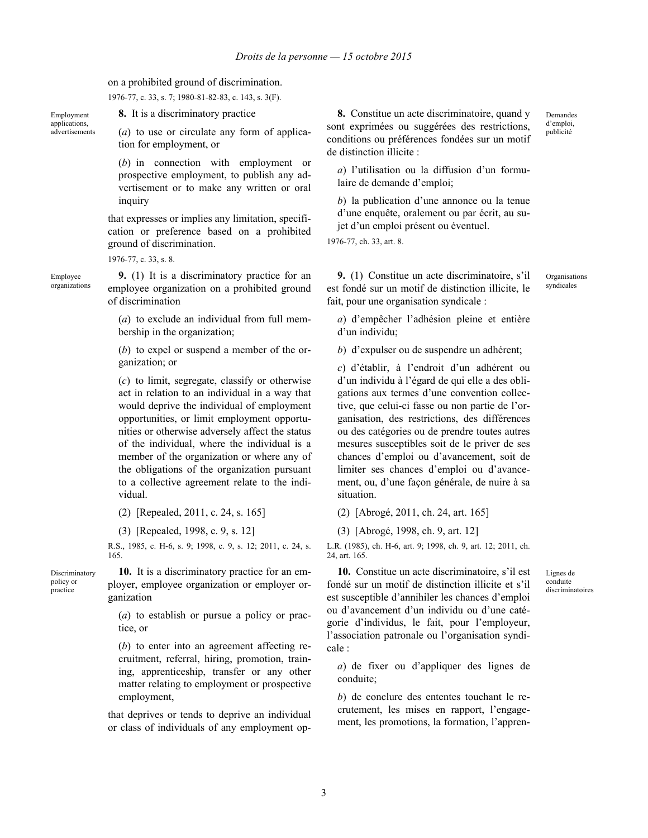on a prohibited ground of discrimination.

1976-77, c. 33, s. 7; 1980-81-82-83, c. 143, s. 3(F).

<span id="page-7-0"></span>Employment applications, advertisements **8.** It is a discriminatory practice

(*a*) to use or circulate any form of application for employment, or

(*b*) in connection with employment or prospective employment, to publish any advertisement or to make any written or oral inquiry

that expresses or implies any limitation, specification or preference based on a prohibited ground of discrimination.

1976-77, c. 33, s. 8.

Employee organizations

**9.** (1) It is a discriminatory practice for an employee organization on a prohibited ground of discrimination

(*a*) to exclude an individual from full membership in the organization;

(*b*) to expel or suspend a member of the organization; or

(*c*) to limit, segregate, classify or otherwise act in relation to an individual in a way that would deprive the individual of employment opportunities, or limit employment opportunities or otherwise adversely affect the status of the individual, where the individual is a member of the organization or where any of the obligations of the organization pursuant to a collective agreement relate to the individual.

(2) [Repealed, 2011, c. 24, s. 165] (2) [Abrogé, 2011, ch. 24, art. 165]

(3) [Repealed, 1998, c. 9, s. 12]

R.S., 1985, c. H-6, s. 9; 1998, c. 9, s. 12; 2011, c. 24, s. 165.

**Discriminatory** policy or practice

**10.** It is a discriminatory practice for an employer, employee organization or employer organization

(*a*) to establish or pursue a policy or practice, or

(*b*) to enter into an agreement affecting recruitment, referral, hiring, promotion, training, apprenticeship, transfer or any other matter relating to employment or prospective employment,

that deprives or tends to deprive an individual or class of individuals of any employment op-

**8.** Constitue un acte discriminatoire, quand y sont exprimées ou suggérées des restrictions, conditions ou préférences fondées sur un motif de distinction illicite :

*a*) l'utilisation ou la diffusion d'un formulaire de demande d'emploi;

*b*) la publication d'une annonce ou la tenue d'une enquête, oralement ou par écrit, au sujet d'un emploi présent ou éventuel.

1976-77, ch. 33, art. 8.

**9.** (1) Constitue un acte discriminatoire, s'il est fondé sur un motif de distinction illicite, le fait, pour une organisation syndicale :

**Organisations** syndicales

Demandes d'emploi, publicité

*a*) d'empêcher l'adhésion pleine et entière d'un individu;

*b*) d'expulser ou de suspendre un adhérent;

*c*) d'établir, à l'endroit d'un adhérent ou d'un individu à l'égard de qui elle a des obligations aux termes d'une convention collective, que celui-ci fasse ou non partie de l'organisation, des restrictions, des différences ou des catégories ou de prendre toutes autres mesures susceptibles soit de le priver de ses chances d'emploi ou d'avancement, soit de limiter ses chances d'emploi ou d'avancement, ou, d'une façon générale, de nuire à sa situation.

(3) [Abrogé, 1998, ch. 9, art. 12]

L.R. (1985), ch. H-6, art. 9; 1998, ch. 9, art. 12; 2011, ch. 24, art. 165.

**10.** Constitue un acte discriminatoire, s'il est fondé sur un motif de distinction illicite et s'il est susceptible d'annihiler les chances d'emploi ou d'avancement d'un individu ou d'une catégorie d'individus, le fait, pour l'employeur, l'association patronale ou l'organisation syndicale :

Lignes de conduite discriminatoires

*a*) de fixer ou d'appliquer des lignes de conduite;

*b*) de conclure des ententes touchant le recrutement, les mises en rapport, l'engagement, les promotions, la formation, l'appren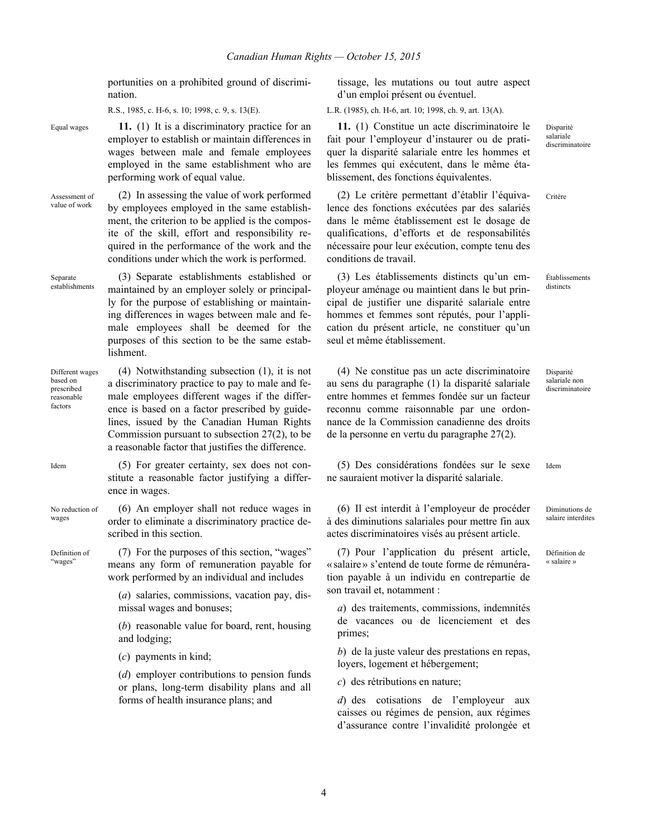portunities on a prohibited ground of discrimination.

R.S., 1985, c. H-6, s. 10; 1998, c. 9, s. 13(E).

<span id="page-8-0"></span>Equal wages **11.** (1) It is a discriminatory practice for an employer to establish or maintain differences in wages between male and female employees employed in the same establishment who are performing work of equal value.

Assessment of value of work (2) In assessing the value of work performed by employees employed in the same establishment, the criterion to be applied is the composite of the skill, effort and responsibility required in the performance of the work and the conditions under which the work is performed.

Separate establishments

(3) Separate establishments established or maintained by an employer solely or principally for the purpose of establishing or maintaining differences in wages between male and female employees shall be deemed for the purposes of this section to be the same establishment.

Different wages based on prescribed reasonable factors (4) Notwithstanding subsection (1), it is not a discriminatory practice to pay to male and female employees different wages if the difference is based on a factor prescribed by guidelines, issued by the Canadian Human Rights Commission pursuant to subsection 27(2), to be a reasonable factor that justifies the difference.

missal wages and bonuses;

(*c*) payments in kind;

and lodging;

Idem (5) For greater certainty, sex does not constitute a reasonable factor justifying a difference in wages.

No reduction of wages

(6) An employer shall not reduce wages in order to eliminate a discriminatory practice described in this section.

(7) For the purposes of this section, "wages" means any form of remuneration payable for work performed by an individual and includes (*a*) salaries, commissions, vacation pay, dis-

(*b*) reasonable value for board, rent, housing

(*d*) employer contributions to pension funds or plans, long-term disability plans and all

forms of health insurance plans; and

Definition of "wages"

tissage, les mutations ou tout autre aspect d'un emploi présent ou éventuel.

L.R. (1985), ch. H-6, art. 10; 1998, ch. 9, art. 13(A).

**11.** (1) Constitue un acte discriminatoire le fait pour l'employeur d'instaurer ou de pratiquer la disparité salariale entre les hommes et les femmes qui exécutent, dans le même établissement, des fonctions équivalentes.

(2) Le critère permettant d'établir l'équivalence des fonctions exécutées par des salariés dans le même établissement est le dosage de qualifications, d'efforts et de responsabilités nécessaire pour leur exécution, compte tenu des conditions de travail.

(3) Les établissements distincts qu'un employeur aménage ou maintient dans le but principal de justifier une disparité salariale entre hommes et femmes sont réputés, pour l'application du présent article, ne constituer qu'un seul et même établissement.

(4) Ne constitue pas un acte discriminatoire au sens du paragraphe (1) la disparité salariale entre hommes et femmes fondée sur un facteur reconnu comme raisonnable par une ordonnance de la Commission canadienne des droits de la personne en vertu du paragraphe 27(2).

(5) Des considérations fondées sur le sexe ne sauraient motiver la disparité salariale.

(6) Il est interdit à l'employeur de procéder à des diminutions salariales pour mettre fin aux actes discriminatoires visés au présent article.

(7) Pour l'application du présent article, «salaire» s'entend de toute forme de rémunération payable à un individu en contrepartie de son travail et, notamment :

*a*) des traitements, commissions, indemnités de vacances ou de licenciement et des primes;

*b*) de la juste valeur des prestations en repas, loyers, logement et hébergement;

*c*) des rétributions en nature;

*d*) des cotisations de l'employeur aux caisses ou régimes de pension, aux régimes d'assurance contre l'invalidité prolongée et

Disparité salariale discriminatoire

Critère

Établissements distincts

Disparité salariale non discriminatoire

Idem

Diminutions de salaire interdites

Définition de « salaire »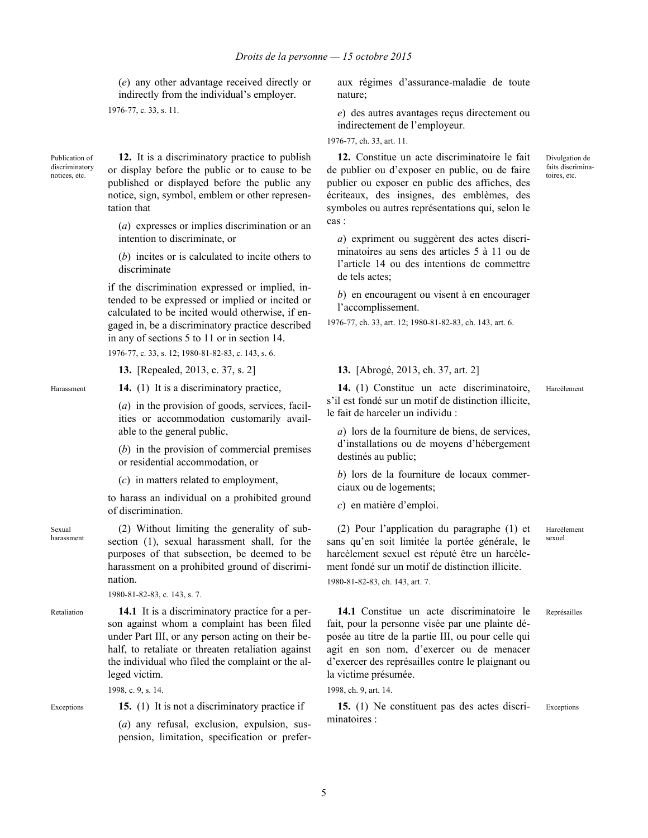<span id="page-9-0"></span>(*e*) any other advantage received directly or indirectly from the individual's employer. 1976-77, c. 33, s. 11.

Publication of discriminatory notices, etc.

**12.** It is a discriminatory practice to publish or display before the public or to cause to be published or displayed before the public any notice, sign, symbol, emblem or other representation that

(*a*) expresses or implies discrimination or an intention to discriminate, or

(*b*) incites or is calculated to incite others to discriminate

if the discrimination expressed or implied, intended to be expressed or implied or incited or calculated to be incited would otherwise, if engaged in, be a discriminatory practice described in any of sections 5 to 11 or in section 14.

1976-77, c. 33, s. 12; 1980-81-82-83, c. 143, s. 6.

Harassment **14.** (1) It is a discriminatory practice,

(*a*) in the provision of goods, services, facil-

ities or accommodation customarily available to the general public,

(*b*) in the provision of commercial premises or residential accommodation, or

(*c*) in matters related to employment,

to harass an individual on a prohibited ground of discrimination.

Sexual harassment

(2) Without limiting the generality of subsection (1), sexual harassment shall, for the purposes of that subsection, be deemed to be harassment on a prohibited ground of discrimination.

1980-81-82-83, c. 143, s. 7.

Retaliation **14.1** It is a discriminatory practice for a person against whom a complaint has been filed under Part III, or any person acting on their behalf, to retaliate or threaten retaliation against the individual who filed the complaint or the alleged victim.

1998, c. 9, s. 14.

Exceptions **15.** (1) It is not a discriminatory practice if

(*a*) any refusal, exclusion, expulsion, suspension, limitation, specification or preferaux régimes d'assurance-maladie de toute nature;

*e*) des autres avantages reçus directement ou indirectement de l'employeur.

1976-77, ch. 33, art. 11.

**12.** Constitue un acte discriminatoire le fait de publier ou d'exposer en public, ou de faire publier ou exposer en public des affiches, des écriteaux, des insignes, des emblèmes, des symboles ou autres représentations qui, selon le cas :

Divulgation de faits discriminatoires, etc.

*a*) expriment ou suggèrent des actes discriminatoires au sens des articles 5 à 11 ou de l'article 14 ou des intentions de commettre de tels actes;

*b*) en encouragent ou visent à en encourager l'accomplissement.

1976-77, ch. 33, art. 12; 1980-81-82-83, ch. 143, art. 6.

# **13.** [Repealed, 2013, c. 37, s. 2] **13.** [Abrogé, 2013, ch. 37, art. 2]

**14.** (1) Constitue un acte discriminatoire, s'il est fondé sur un motif de distinction illicite, le fait de harceler un individu :

*a*) lors de la fourniture de biens, de services, d'installations ou de moyens d'hébergement destinés au public;

*b*) lors de la fourniture de locaux commerciaux ou de logements;

*c*) en matière d'emploi.

(2) Pour l'application du paragraphe (1) et sans qu'en soit limitée la portée générale, le harcèlement sexuel est réputé être un harcèlement fondé sur un motif de distinction illicite.

1980-81-82-83, ch. 143, art. 7.

Représailles

Harcèlement sexuel

Harcèlement

**14.1** Constitue un acte discriminatoire le fait, pour la personne visée par une plainte déposée au titre de la partie III, ou pour celle qui agit en son nom, d'exercer ou de menacer d'exercer des représailles contre le plaignant ou la victime présumée.

**15.** (1) Ne constituent pas des actes discriminatoires : Exceptions

<sup>1998,</sup> ch. 9, art. 14.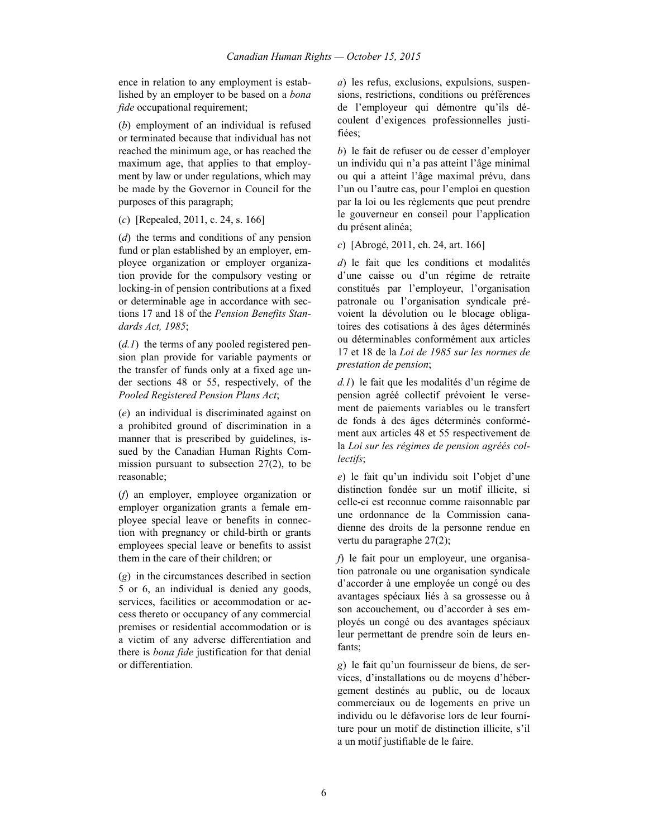ence in relation to any employment is established by an employer to be based on a *bona fide* occupational requirement;

(*b*) employment of an individual is refused or terminated because that individual has not reached the minimum age, or has reached the maximum age, that applies to that employment by law or under regulations, which may be made by the Governor in Council for the purposes of this paragraph;

(*c*) [Repealed, 2011, c. 24, s. 166]

(*d*) the terms and conditions of any pension fund or plan established by an employer, employee organization or employer organization provide for the compulsory vesting or locking-in of pension contributions at a fixed or determinable age in accordance with sections 17 and 18 of the *Pension Benefits Standards Act, 1985*;

(*d.1*) the terms of any pooled registered pension plan provide for variable payments or the transfer of funds only at a fixed age under sections 48 or 55, respectively, of the *Pooled Registered Pension Plans Act*;

(*e*) an individual is discriminated against on a prohibited ground of discrimination in a manner that is prescribed by guidelines, issued by the Canadian Human Rights Commission pursuant to subsection 27(2), to be reasonable;

(*f*) an employer, employee organization or employer organization grants a female employee special leave or benefits in connection with pregnancy or child-birth or grants employees special leave or benefits to assist them in the care of their children; or

(*g*) in the circumstances described in section 5 or 6, an individual is denied any goods, services, facilities or accommodation or access thereto or occupancy of any commercial premises or residential accommodation or is a victim of any adverse differentiation and there is *bona fide* justification for that denial or differentiation.

*a*) les refus, exclusions, expulsions, suspensions, restrictions, conditions ou préférences de l'employeur qui démontre qu'ils découlent d'exigences professionnelles justifiées;

*b*) le fait de refuser ou de cesser d'employer un individu qui n'a pas atteint l'âge minimal ou qui a atteint l'âge maximal prévu, dans l'un ou l'autre cas, pour l'emploi en question par la loi ou les règlements que peut prendre le gouverneur en conseil pour l'application du présent alinéa;

# *c*) [Abrogé, 2011, ch. 24, art. 166]

*d*) le fait que les conditions et modalités d'une caisse ou d'un régime de retraite constitués par l'employeur, l'organisation patronale ou l'organisation syndicale prévoient la dévolution ou le blocage obligatoires des cotisations à des âges déterminés ou déterminables conformément aux articles 17 et 18 de la *Loi de 1985 sur les normes de prestation de pension*;

*d.1*) le fait que les modalités d'un régime de pension agréé collectif prévoient le versement de paiements variables ou le transfert de fonds à des âges déterminés conformément aux articles 48 et 55 respectivement de la *Loi sur les régimes de pension agréés collectifs*;

*e*) le fait qu'un individu soit l'objet d'une distinction fondée sur un motif illicite, si celle-ci est reconnue comme raisonnable par une ordonnance de la Commission canadienne des droits de la personne rendue en vertu du paragraphe 27(2);

*f*) le fait pour un employeur, une organisation patronale ou une organisation syndicale d'accorder à une employée un congé ou des avantages spéciaux liés à sa grossesse ou à son accouchement, ou d'accorder à ses employés un congé ou des avantages spéciaux leur permettant de prendre soin de leurs enfants;

*g*) le fait qu'un fournisseur de biens, de services, d'installations ou de moyens d'hébergement destinés au public, ou de locaux commerciaux ou de logements en prive un individu ou le défavorise lors de leur fourniture pour un motif de distinction illicite, s'il a un motif justifiable de le faire.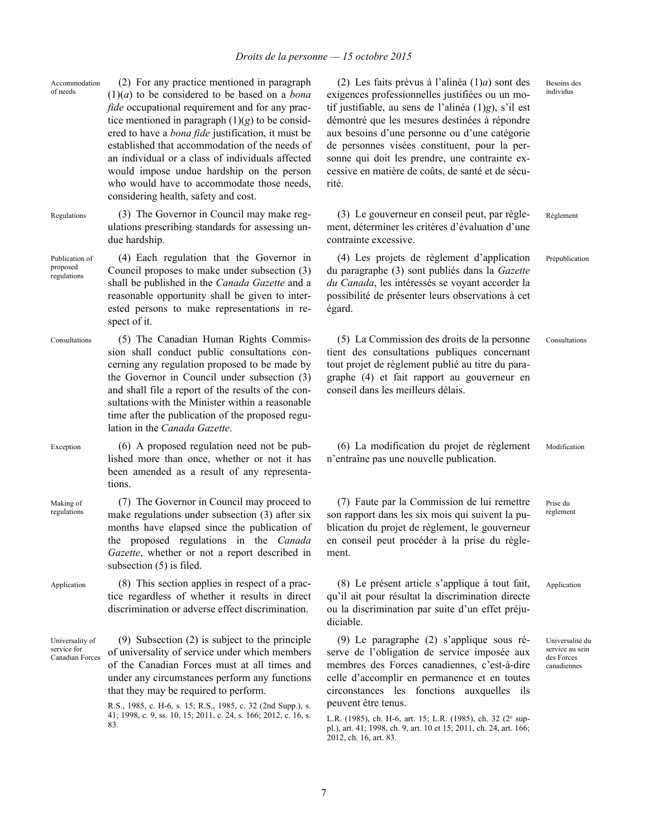| Accommodation<br>of needs                                | (2) For any practice mentioned in paragraph<br>$(1)(a)$ to be considered to be based on a <i>bona</i><br><i>fide</i> occupational requirement and for any prac-<br>tice mentioned in paragraph $(1)(g)$ to be consid-<br>ered to have a <i>bona fide</i> justification, it must be<br>established that accommodation of the needs of<br>an individual or a class of individuals affected<br>would impose undue hardship on the person<br>who would have to accommodate those needs,<br>considering health, safety and cost. | (2) Les faits prévus à l'alinéa $(1)a$ ) sont des<br>exigences professionnelles justifiées ou un mo-<br>tif justifiable, au sens de l'alinéa $(1)g$ , s'il est<br>démontré que les mesures destinées à répondre<br>aux besoins d'une personne ou d'une catégorie<br>de personnes visées constituent, pour la per-<br>sonne qui doit les prendre, une contrainte ex-<br>cessive en matière de coûts, de santé et de sécu-<br>rité. | Besoins des<br>individus                                        |
|----------------------------------------------------------|-----------------------------------------------------------------------------------------------------------------------------------------------------------------------------------------------------------------------------------------------------------------------------------------------------------------------------------------------------------------------------------------------------------------------------------------------------------------------------------------------------------------------------|-----------------------------------------------------------------------------------------------------------------------------------------------------------------------------------------------------------------------------------------------------------------------------------------------------------------------------------------------------------------------------------------------------------------------------------|-----------------------------------------------------------------|
| Regulations                                              | (3) The Governor in Council may make reg-<br>ulations prescribing standards for assessing un-<br>due hardship.                                                                                                                                                                                                                                                                                                                                                                                                              | (3) Le gouverneur en conseil peut, par règle-<br>ment, déterminer les critères d'évaluation d'une<br>contrainte excessive.                                                                                                                                                                                                                                                                                                        | Règlement                                                       |
| Publication of<br>proposed<br>regulations                | (4) Each regulation that the Governor in<br>Council proposes to make under subsection (3)<br>shall be published in the Canada Gazette and a<br>reasonable opportunity shall be given to inter-<br>ested persons to make representations in re-<br>spect of it.                                                                                                                                                                                                                                                              | (4) Les projets de règlement d'application<br>du paragraphe (3) sont publiés dans la Gazette<br>du Canada, les intéressés se voyant accorder la<br>possibilité de présenter leurs observations à cet<br>égard.                                                                                                                                                                                                                    | Prépublication                                                  |
| Consultations                                            | (5) The Canadian Human Rights Commis-<br>sion shall conduct public consultations con-<br>cerning any regulation proposed to be made by<br>the Governor in Council under subsection (3)<br>and shall file a report of the results of the con-<br>sultations with the Minister within a reasonable<br>time after the publication of the proposed regu-<br>lation in the Canada Gazette.                                                                                                                                       | (5) La Commission des droits de la personne<br>tient des consultations publiques concernant<br>tout projet de règlement publié au titre du para-<br>graphe (4) et fait rapport au gouverneur en<br>conseil dans les meilleurs délais.                                                                                                                                                                                             | Consultations                                                   |
| Exception                                                | (6) A proposed regulation need not be pub-<br>lished more than once, whether or not it has<br>been amended as a result of any representa-<br>tions.                                                                                                                                                                                                                                                                                                                                                                         | (6) La modification du projet de règlement<br>n'entraîne pas une nouvelle publication.                                                                                                                                                                                                                                                                                                                                            | Modification                                                    |
| Making of<br>regulations                                 | (7) The Governor in Council may proceed to<br>make regulations under subsection (3) after six<br>months have elapsed since the publication of<br>the proposed regulations in the Canada<br>Gazette, whether or not a report described in<br>subsection $(5)$ is filed.                                                                                                                                                                                                                                                      | (7) Faute par la Commission de lui remettre<br>son rapport dans les six mois qui suivent la pu-<br>blication du projet de règlement, le gouverneur<br>en conseil peut procéder à la prise du règle-<br>ment.                                                                                                                                                                                                                      | Prise du<br>règlement                                           |
| Application                                              | (8) This section applies in respect of a prac-<br>tice regardless of whether it results in direct<br>discrimination or adverse effect discrimination.                                                                                                                                                                                                                                                                                                                                                                       | (8) Le présent article s'applique à tout fait,<br>qu'il ait pour résultat la discrimination directe<br>ou la discrimination par suite d'un effet préju-<br>diciable.                                                                                                                                                                                                                                                              | Application                                                     |
| Universality of<br>service for<br><b>Canadian Forces</b> | $(9)$ Subsection $(2)$ is subject to the principle<br>of universality of service under which members<br>of the Canadian Forces must at all times and<br>under any circumstances perform any functions<br>that they may be required to perform.                                                                                                                                                                                                                                                                              | $(9)$ Le paragraphe $(2)$ s'applique sous ré-<br>serve de l'obligation de service imposée aux<br>membres des Forces canadiennes, c'est-à-dire<br>celle d'accomplir en permanence et en toutes<br>circonstances les fonctions auxquelles ils                                                                                                                                                                                       | Universalité du<br>service au sein<br>des Forces<br>canadiennes |
|                                                          | R.S., 1985, c. H-6, s. 15; R.S., 1985, c. 32 (2nd Supp.), s.<br>41; 1998, c. 9, ss. 10, 15; 2011, c. 24, s. 166; 2012, c. 16, s.<br>83.                                                                                                                                                                                                                                                                                                                                                                                     | peuvent être tenus.<br>L.R. (1985), ch. H-6, art. 15; L.R. (1985), ch. 32 (2 <sup>e</sup> sup-<br>pl.), art. 41; 1998, ch. 9, art. 10 et 15; 2011, ch. 24, art. 166;<br>2012, ch. 16, art. 83.                                                                                                                                                                                                                                    |                                                                 |

7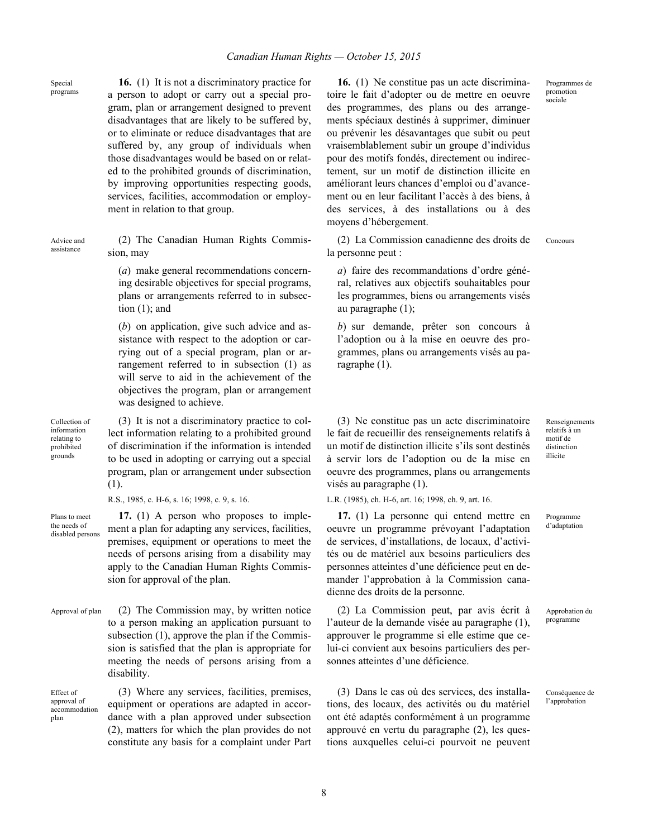<span id="page-12-0"></span>Special programs

**16.** (1) It is not a discriminatory practice for a person to adopt or carry out a special program, plan or arrangement designed to prevent disadvantages that are likely to be suffered by, or to eliminate or reduce disadvantages that are suffered by, any group of individuals when those disadvantages would be based on or related to the prohibited grounds of discrimination, by improving opportunities respecting goods, services, facilities, accommodation or employment in relation to that group.

Advice and assistance (2) The Canadian Human Rights Commission, may

> (*a*) make general recommendations concerning desirable objectives for special programs, plans or arrangements referred to in subsection  $(1)$ ; and

> (*b*) on application, give such advice and assistance with respect to the adoption or carrying out of a special program, plan or arrangement referred to in subsection (1) as will serve to aid in the achievement of the objectives the program, plan or arrangement was designed to achieve.

Collection of information relating to prohibited grounds

the needs of

(3) It is not a discriminatory practice to collect information relating to a prohibited ground of discrimination if the information is intended to be used in adopting or carrying out a special program, plan or arrangement under subsection (1).

R.S., 1985, c. H-6, s. 16; 1998, c. 9, s. 16.

Plans to meet disabled persons **17.** (1) A person who proposes to implement a plan for adapting any services, facilities, premises, equipment or operations to meet the needs of persons arising from a disability may apply to the Canadian Human Rights Commission for approval of the plan.

Approval of plan (2) The Commission may, by written notice to a person making an application pursuant to subsection (1), approve the plan if the Commission is satisfied that the plan is appropriate for meeting the needs of persons arising from a disability.

Effect of approval of accommodation plan

(3) Where any services, facilities, premises, equipment or operations are adapted in accordance with a plan approved under subsection (2), matters for which the plan provides do not constitute any basis for a complaint under Part

**16.** (1) Ne constitue pas un acte discriminatoire le fait d'adopter ou de mettre en oeuvre des programmes, des plans ou des arrangements spéciaux destinés à supprimer, diminuer ou prévenir les désavantages que subit ou peut vraisemblablement subir un groupe d'individus pour des motifs fondés, directement ou indirectement, sur un motif de distinction illicite en améliorant leurs chances d'emploi ou d'avancement ou en leur facilitant l'accès à des biens, à des services, à des installations ou à des moyens d'hébergement.

(2) La Commission canadienne des droits de la personne peut : Concours

*a*) faire des recommandations d'ordre général, relatives aux objectifs souhaitables pour les programmes, biens ou arrangements visés au paragraphe (1);

*b*) sur demande, prêter son concours à l'adoption ou à la mise en oeuvre des programmes, plans ou arrangements visés au paragraphe (1).

(3) Ne constitue pas un acte discriminatoire le fait de recueillir des renseignements relatifs à un motif de distinction illicite s'ils sont destinés à servir lors de l'adoption ou de la mise en oeuvre des programmes, plans ou arrangements visés au paragraphe (1).

L.R. (1985), ch. H-6, art. 16; 1998, ch. 9, art. 16.

**17.** (1) La personne qui entend mettre en oeuvre un programme prévoyant l'adaptation de services, d'installations, de locaux, d'activités ou de matériel aux besoins particuliers des personnes atteintes d'une déficience peut en demander l'approbation à la Commission canadienne des droits de la personne.

(2) La Commission peut, par avis écrit à l'auteur de la demande visée au paragraphe (1), approuver le programme si elle estime que celui-ci convient aux besoins particuliers des personnes atteintes d'une déficience.

(3) Dans le cas où des services, des installations, des locaux, des activités ou du matériel ont été adaptés conformément à un programme approuvé en vertu du paragraphe (2), les questions auxquelles celui-ci pourvoit ne peuvent Programmes de promotion .<br>sociale

Renseignements relatifs à un motif de distinction illicite

Programme d'adaptation

Approbation du programme

Conséquence de l'approbation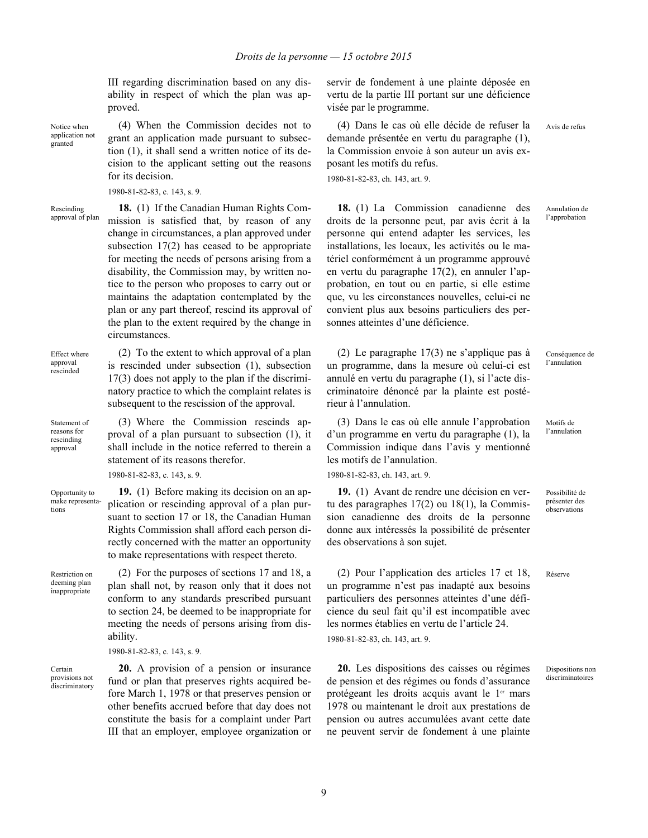III regarding discrimination based on any disability in respect of which the plan was approved.

<span id="page-13-0"></span>Notice when application not granted

(4) When the Commission decides not to grant an application made pursuant to subsection (1), it shall send a written notice of its decision to the applicant setting out the reasons for its decision.

1980-81-82-83, c. 143, s. 9.

Rescinding approval of plan

**18.** (1) If the Canadian Human Rights Commission is satisfied that, by reason of any change in circumstances, a plan approved under subsection 17(2) has ceased to be appropriate for meeting the needs of persons arising from a disability, the Commission may, by written notice to the person who proposes to carry out or maintains the adaptation contemplated by the plan or any part thereof, rescind its approval of the plan to the extent required by the change in circumstances.

Effect where approval rescinded

(2) To the extent to which approval of a plan is rescinded under subsection (1), subsection 17(3) does not apply to the plan if the discriminatory practice to which the complaint relates is subsequent to the rescission of the approval.

statement of its reasons therefor.

1980-81-82-83, c. 143, s. 9.

(3) Where the Commission rescinds approval of a plan pursuant to subsection (1), it shall include in the notice referred to therein a

**19.** (1) Before making its decision on an application or rescinding approval of a plan pursuant to section 17 or 18, the Canadian Human Rights Commission shall afford each person directly concerned with the matter an opportunity to make representations with respect thereto.

Statement of reasons for rescinding approval

Opportunity to make representations

Restriction on deeming plan inappropriate

Certain provisions not discriminatory plan shall not, by reason only that it does not conform to any standards prescribed pursuant to section 24, be deemed to be inappropriate for meeting the needs of persons arising from disability. 1980-81-82-83, c. 143, s. 9.

(2) For the purposes of sections 17 and 18, a

**20.** A provision of a pension or insurance fund or plan that preserves rights acquired before March 1, 1978 or that preserves pension or other benefits accrued before that day does not constitute the basis for a complaint under Part III that an employer, employee organization or

servir de fondement à une plainte déposée en vertu de la partie III portant sur une déficience visée par le programme.

(4) Dans le cas où elle décide de refuser la demande présentée en vertu du paragraphe (1), la Commission envoie à son auteur un avis exposant les motifs du refus.

1980-81-82-83, ch. 143, art. 9.

Avis de refus

Annulation de l'approbation

**18.** (1) La Commission canadienne des droits de la personne peut, par avis écrit à la personne qui entend adapter les services, les installations, les locaux, les activités ou le matériel conformément à un programme approuvé en vertu du paragraphe 17(2), en annuler l'approbation, en tout ou en partie, si elle estime que, vu les circonstances nouvelles, celui-ci ne convient plus aux besoins particuliers des personnes atteintes d'une déficience.

(2) Le paragraphe 17(3) ne s'applique pas à un programme, dans la mesure où celui-ci est annulé en vertu du paragraphe (1), si l'acte discriminatoire dénoncé par la plainte est postérieur à l'annulation.

(3) Dans le cas où elle annule l'approbation d'un programme en vertu du paragraphe (1), la Commission indique dans l'avis y mentionné les motifs de l'annulation.

1980-81-82-83, ch. 143, art. 9.

**19.** (1) Avant de rendre une décision en vertu des paragraphes 17(2) ou 18(1), la Commission canadienne des droits de la personne donne aux intéressés la possibilité de présenter des observations à son sujet.

(2) Pour l'application des articles 17 et 18, un programme n'est pas inadapté aux besoins particuliers des personnes atteintes d'une déficience du seul fait qu'il est incompatible avec les normes établies en vertu de l'article 24.

1980-81-82-83, ch. 143, art. 9.

**20.** Les dispositions des caisses ou régimes de pension et des régimes ou fonds d'assurance protégeant les droits acquis avant le 1<sup>er</sup> mars 1978 ou maintenant le droit aux prestations de pension ou autres accumulées avant cette date ne peuvent servir de fondement à une plainte

Conséquence de l'annulation

Motifs de l'annulation

Possibilité de présenter des observations

Réserve

Dispositions non discriminatoires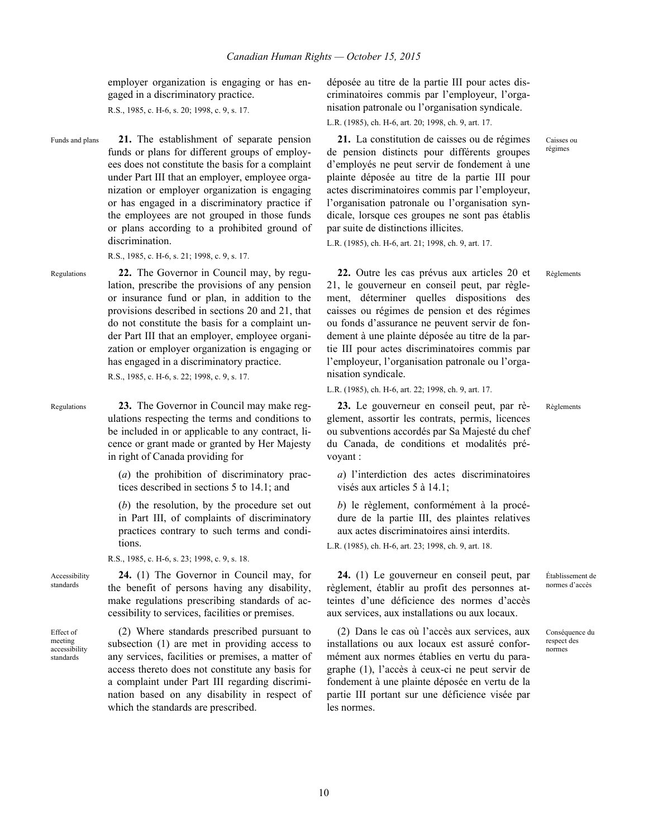<span id="page-14-0"></span>employer organization is engaging or has engaged in a discriminatory practice.

R.S., 1985, c. H-6, s. 20; 1998, c. 9, s. 17.

Funds and plans **21.** The establishment of separate pension funds or plans for different groups of employees does not constitute the basis for a complaint under Part III that an employer, employee organization or employer organization is engaging or has engaged in a discriminatory practice if the employees are not grouped in those funds or plans according to a prohibited ground of discrimination.

R.S., 1985, c. H-6, s. 21; 1998, c. 9, s. 17.

Regulations **22.** The Governor in Council may, by regulation, prescribe the provisions of any pension or insurance fund or plan, in addition to the provisions described in sections 20 and 21, that do not constitute the basis for a complaint under Part III that an employer, employee organization or employer organization is engaging or has engaged in a discriminatory practice.

R.S., 1985, c. H-6, s. 22; 1998, c. 9, s. 17.

Regulations **23.** The Governor in Council may make regulations respecting the terms and conditions to be included in or applicable to any contract, licence or grant made or granted by Her Majesty in right of Canada providing for

> (*a*) the prohibition of discriminatory practices described in sections 5 to 14.1; and

> (*b*) the resolution, by the procedure set out in Part III, of complaints of discriminatory practices contrary to such terms and conditions.

R.S., 1985, c. H-6, s. 23; 1998, c. 9, s. 18.

Accessibility standards

Effect of meeting accessibility standards

**24.** (1) The Governor in Council may, for the benefit of persons having any disability, make regulations prescribing standards of accessibility to services, facilities or premises.

(2) Where standards prescribed pursuant to subsection (1) are met in providing access to any services, facilities or premises, a matter of access thereto does not constitute any basis for a complaint under Part III regarding discrimination based on any disability in respect of which the standards are prescribed.

déposée au titre de la partie III pour actes discriminatoires commis par l'employeur, l'organisation patronale ou l'organisation syndicale.

L.R. (1985), ch. H-6, art. 20; 1998, ch. 9, art. 17.

**21.** La constitution de caisses ou de régimes de pension distincts pour différents groupes d'employés ne peut servir de fondement à une plainte déposée au titre de la partie III pour actes discriminatoires commis par l'employeur, l'organisation patronale ou l'organisation syndicale, lorsque ces groupes ne sont pas établis par suite de distinctions illicites.

L.R. (1985), ch. H-6, art. 21; 1998, ch. 9, art. 17.

**22.** Outre les cas prévus aux articles 20 et 21, le gouverneur en conseil peut, par règlement, déterminer quelles dispositions des caisses ou régimes de pension et des régimes ou fonds d'assurance ne peuvent servir de fondement à une plainte déposée au titre de la partie III pour actes discriminatoires commis par l'employeur, l'organisation patronale ou l'organisation syndicale.

L.R. (1985), ch. H-6, art. 22; 1998, ch. 9, art. 17.

**23.** Le gouverneur en conseil peut, par règlement, assortir les contrats, permis, licences ou subventions accordés par Sa Majesté du chef du Canada, de conditions et modalités prévoyant :

*a*) l'interdiction des actes discriminatoires visés aux articles 5 à 14.1;

*b*) le règlement, conformément à la procédure de la partie III, des plaintes relatives aux actes discriminatoires ainsi interdits.

L.R. (1985), ch. H-6, art. 23; 1998, ch. 9, art. 18.

**24.** (1) Le gouverneur en conseil peut, par règlement, établir au profit des personnes atteintes d'une déficience des normes d'accès aux services, aux installations ou aux locaux.

(2) Dans le cas où l'accès aux services, aux installations ou aux locaux est assuré conformément aux normes établies en vertu du paragraphe (1), l'accès à ceux-ci ne peut servir de fondement à une plainte déposée en vertu de la partie III portant sur une déficience visée par les normes.

Établissement de normes d'accès

Caisses ou régimes

Règlements

Règlements

Conséquence du respect des normes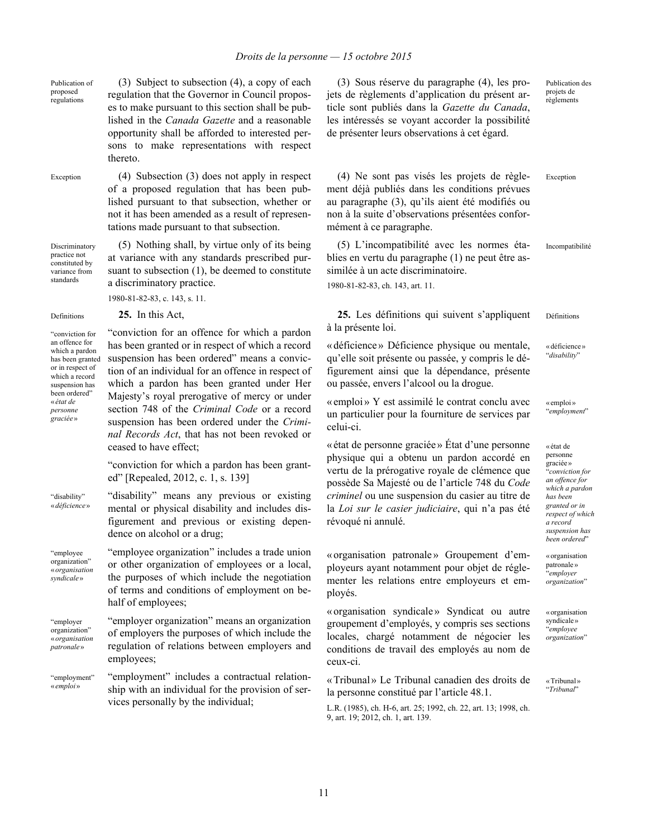<span id="page-15-0"></span>Publication of proposed regulations

(3) Subject to subsection (4), a copy of each regulation that the Governor in Council proposes to make pursuant to this section shall be published in the *Canada Gazette* and a reasonable opportunity shall be afforded to interested persons to make representations with respect thereto.

Exception (4) Subsection (3) does not apply in respect of a proposed regulation that has been published pursuant to that subsection, whether or not it has been amended as a result of representations made pursuant to that subsection.

> (5) Nothing shall, by virtue only of its being at variance with any standards prescribed pursuant to subsection (1), be deemed to constitute

**Discriminatory** practice not constituted by variance from standards

a discriminatory practice. 1980-81-82-83, c. 143, s. 11.

Definitions **25.** In this Act,

"conviction for an offence for which a pardon has been granted or in respect of which a record suspension has been ordered" «*état de personne graciée*»

"conviction for an offence for which a pardon has been granted or in respect of which a record suspension has been ordered" means a conviction of an individual for an offence in respect of which a pardon has been granted under Her Majesty's royal prerogative of mercy or under section 748 of the *Criminal Code* or a record suspension has been ordered under the *Criminal Records Act*, that has not been revoked or ceased to have effect;

"conviction for which a pardon has been granted" [Repealed, 2012, c. 1, s. 139]

"disability" means any previous or existing mental or physical disability and includes disfigurement and previous or existing depen-

"employee organization" includes a trade union or other organization of employees or a local, the purposes of which include the negotiation of terms and conditions of employment on be-

"employer organization" means an organization of employers the purposes of which include the regulation of relations between employers and

"employment" includes a contractual relationship with an individual for the provision of ser-

vices personally by the individual;

dence on alcohol or a drug;

half of employees;

employees;

"disability" «*déficience*»

"employee organization" «*organisation syndicale*»

"employer organization" «*organisation patronale*»

"employment" «*emploi*»

(3) Sous réserve du paragraphe (4), les projets de règlements d'application du présent article sont publiés dans la *Gazette du Canada*, les intéressés se voyant accorder la possibilité de présenter leurs observations à cet égard.

Publication des projets de règlements

Exception

Incompatibilité

Définitions

«déficience» "*disability*"

«emploi» "*employment*"

(4) Ne sont pas visés les projets de règlement déjà publiés dans les conditions prévues au paragraphe (3), qu'ils aient été modifiés ou non à la suite d'observations présentées conformément à ce paragraphe.

(5) L'incompatibilité avec les normes établies en vertu du paragraphe (1) ne peut être assimilée à un acte discriminatoire.

1980-81-82-83, ch. 143, art. 11.

**25.** Les définitions qui suivent s'appliquent à la présente loi.

«déficience» Déficience physique ou mentale, qu'elle soit présente ou passée, y compris le défigurement ainsi que la dépendance, présente ou passée, envers l'alcool ou la drogue.

«emploi» Y est assimilé le contrat conclu avec un particulier pour la fourniture de services par celui-ci.

«état de personne graciée» État d'une personne physique qui a obtenu un pardon accordé en vertu de la prérogative royale de clémence que possède Sa Majesté ou de l'article 748 du *Code criminel* ou une suspension du casier au titre de la *Loi sur le casier judiciaire*, qui n'a pas été révoqué ni annulé.

«organisation patronale» Groupement d'employeurs ayant notamment pour objet de réglementer les relations entre employeurs et employés.

«organisation syndicale» Syndicat ou autre groupement d'employés, y compris ses sections locales, chargé notamment de négocier les conditions de travail des employés au nom de ceux-ci.

«Tribunal» Le Tribunal canadien des droits de la personne constitué par l'article 48.1.

L.R. (1985), ch. H-6, art. 25; 1992, ch. 22, art. 13; 1998, ch. 9, art. 19; 2012, ch. 1, art. 139.

«état de personne graciée» "*conviction for an offence for which a pardon has been granted or in respect of which a record*

*been ordered*" «organisation patronale» "*employer*

*suspension has*

*organization*"

«organisation syndicale» "*employee organization*"

«Tribunal» "*Tribunal*"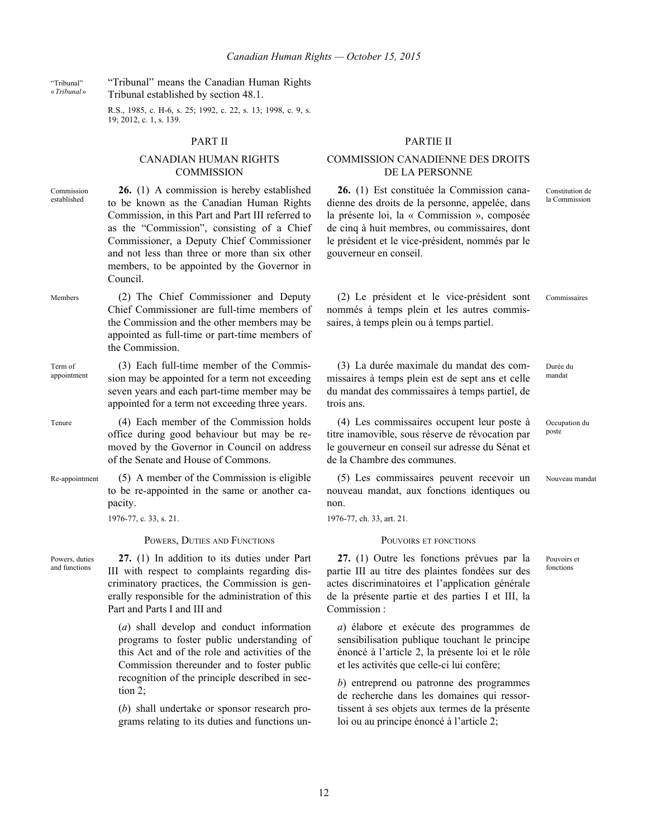<span id="page-16-0"></span>"Tribunal" «*Tribunal*» "Tribunal" means the Canadian Human Rights Tribunal established by section 48.1. R.S., 1985, c. H-6, s. 25; 1992, c. 22, s. 13; 1998, c. 9, s.

19; 2012, c. 1, s. 139.

# CANADIAN HUMAN RIGHTS **COMMISSION**

- Commission established **26.** (1) A commission is hereby established to be known as the Canadian Human Rights Commission, in this Part and Part III referred to as the "Commission", consisting of a Chief Commissioner, a Deputy Chief Commissioner and not less than three or more than six other members, to be appointed by the Governor in Council.
- Members (2) The Chief Commissioner and Deputy Chief Commissioner are full-time members of the Commission and the other members may be appointed as full-time or part-time members of the Commission.

Term of appointment (3) Each full-time member of the Commission may be appointed for a term not exceeding seven years and each part-time member may be appointed for a term not exceeding three years.

Tenure (4) Each member of the Commission holds office during good behaviour but may be removed by the Governor in Council on address of the Senate and House of Commons.

Re-appointment (5) A member of the Commission is eligible to be re-appointed in the same or another capacity.

1976-77, c. 33, s. 21.

# POWERS, DUTIES AND FUNCTIONS POUVOIRS ET FONCTIONS

Powers, duties and functions

**27.** (1) In addition to its duties under Part III with respect to complaints regarding discriminatory practices, the Commission is generally responsible for the administration of this Part and Parts I and III and

(*a*) shall develop and conduct information programs to foster public understanding of this Act and of the role and activities of the Commission thereunder and to foster public recognition of the principle described in section 2;

(*b*) shall undertake or sponsor research programs relating to its duties and functions un-

# PART II PARTIE II

# COMMISSION CANADIENNE DES DROITS DE LA PERSONNE

**26.** (1) Est constituée la Commission canadienne des droits de la personne, appelée, dans la présente loi, la « Commission », composée de cinq à huit membres, ou commissaires, dont le président et le vice-président, nommés par le gouverneur en conseil.

Constitution de la Commission

Commissaires

(2) Le président et le vice-président sont nommés à temps plein et les autres commissaires, à temps plein ou à temps partiel.

> Durée du mandat

Occupation du poste

Nouveau mandat

Pouvoirs et fonctions

(3) La durée maximale du mandat des commissaires à temps plein est de sept ans et celle du mandat des commissaires à temps partiel, de trois ans.

(4) Les commissaires occupent leur poste à titre inamovible, sous réserve de révocation par le gouverneur en conseil sur adresse du Sénat et de la Chambre des communes.

(5) Les commissaires peuvent recevoir un nouveau mandat, aux fonctions identiques ou non.

1976-77, ch. 33, art. 21.

**27.** (1) Outre les fonctions prévues par la partie III au titre des plaintes fondées sur des actes discriminatoires et l'application générale de la présente partie et des parties I et III, la Commission :

*a*) élabore et exécute des programmes de sensibilisation publique touchant le principe énoncé à l'article 2, la présente loi et le rôle et les activités que celle-ci lui confère;

*b*) entreprend ou patronne des programmes de recherche dans les domaines qui ressortissent à ses objets aux termes de la présente loi ou au principe énoncé à l'article 2;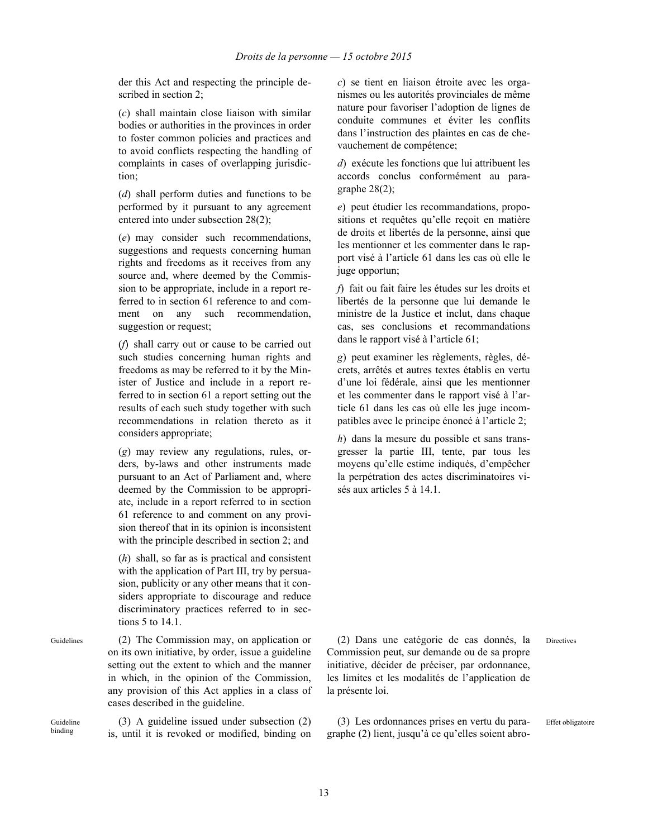der this Act and respecting the principle described in section 2;

(*c*) shall maintain close liaison with similar bodies or authorities in the provinces in order to foster common policies and practices and to avoid conflicts respecting the handling of complaints in cases of overlapping jurisdiction;

(*d*) shall perform duties and functions to be performed by it pursuant to any agreement entered into under subsection 28(2);

(*e*) may consider such recommendations, suggestions and requests concerning human rights and freedoms as it receives from any source and, where deemed by the Commission to be appropriate, include in a report referred to in section 61 reference to and comment on any such recommendation, suggestion or request;

(*f*) shall carry out or cause to be carried out such studies concerning human rights and freedoms as may be referred to it by the Minister of Justice and include in a report referred to in section 61 a report setting out the results of each such study together with such recommendations in relation thereto as it considers appropriate;

(*g*) may review any regulations, rules, orders, by-laws and other instruments made pursuant to an Act of Parliament and, where deemed by the Commission to be appropriate, include in a report referred to in section 61 reference to and comment on any provision thereof that in its opinion is inconsistent with the principle described in section 2; and

(*h*) shall, so far as is practical and consistent with the application of Part III, try by persuasion, publicity or any other means that it considers appropriate to discourage and reduce discriminatory practices referred to in sections 5 to 14.1.

Guideline binding

Guidelines (2) The Commission may, on application or on its own initiative, by order, issue a guideline setting out the extent to which and the manner in which, in the opinion of the Commission, any provision of this Act applies in a class of cases described in the guideline.

> (3) A guideline issued under subsection (2) is, until it is revoked or modified, binding on

*c*) se tient en liaison étroite avec les organismes ou les autorités provinciales de même nature pour favoriser l'adoption de lignes de conduite communes et éviter les conflits dans l'instruction des plaintes en cas de chevauchement de compétence;

*d*) exécute les fonctions que lui attribuent les accords conclus conformément au paragraphe  $28(2)$ ;

*e*) peut étudier les recommandations, propositions et requêtes qu'elle reçoit en matière de droits et libertés de la personne, ainsi que les mentionner et les commenter dans le rapport visé à l'article 61 dans les cas où elle le juge opportun;

*f*) fait ou fait faire les études sur les droits et libertés de la personne que lui demande le ministre de la Justice et inclut, dans chaque cas, ses conclusions et recommandations dans le rapport visé à l'article 61;

*g*) peut examiner les règlements, règles, décrets, arrêtés et autres textes établis en vertu d'une loi fédérale, ainsi que les mentionner et les commenter dans le rapport visé à l'article 61 dans les cas où elle les juge incompatibles avec le principe énoncé à l'article 2;

*h*) dans la mesure du possible et sans transgresser la partie III, tente, par tous les moyens qu'elle estime indiqués, d'empêcher la perpétration des actes discriminatoires visés aux articles 5 à 14.1.

Directives

(2) Dans une catégorie de cas donnés, la Commission peut, sur demande ou de sa propre initiative, décider de préciser, par ordonnance, les limites et les modalités de l'application de la présente loi.

(3) Les ordonnances prises en vertu du paragraphe (2) lient, jusqu'à ce qu'elles soient abro-

Effet obligatoire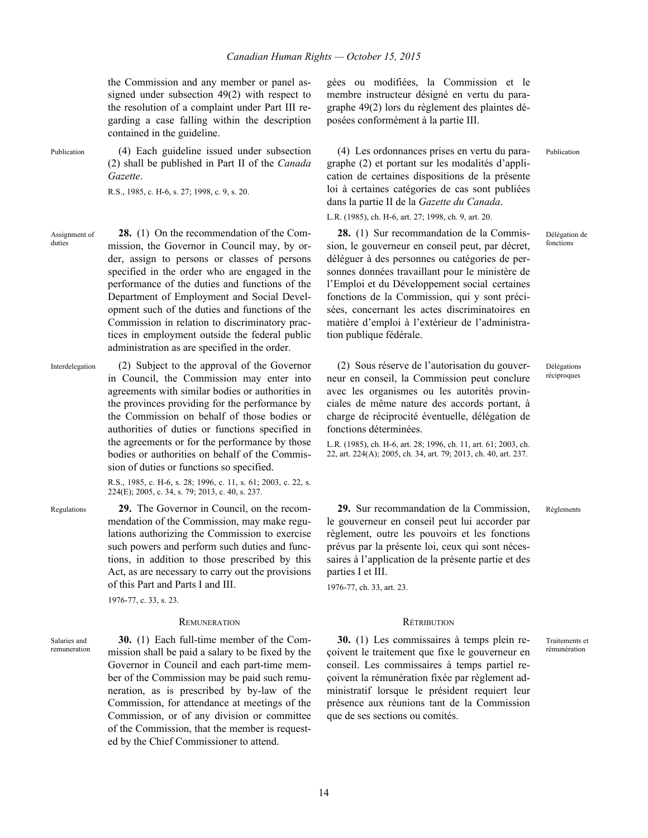<span id="page-18-0"></span>the Commission and any member or panel assigned under subsection 49(2) with respect to the resolution of a complaint under Part III regarding a case falling within the description contained in the guideline.

Publication (4) Each guideline issued under subsection (2) shall be published in Part II of the *Canada Gazette*.

R.S., 1985, c. H-6, s. 27; 1998, c. 9, s. 20.

- Assignment of duties **28.** (1) On the recommendation of the Commission, the Governor in Council may, by order, assign to persons or classes of persons specified in the order who are engaged in the performance of the duties and functions of the Department of Employment and Social Development such of the duties and functions of the Commission in relation to discriminatory practices in employment outside the federal public administration as are specified in the order.
- Interdelegation (2) Subject to the approval of the Governor in Council, the Commission may enter into agreements with similar bodies or authorities in the provinces providing for the performance by the Commission on behalf of those bodies or authorities of duties or functions specified in the agreements or for the performance by those bodies or authorities on behalf of the Commission of duties or functions so specified.

R.S., 1985, c. H-6, s. 28; 1996, c. 11, s. 61; 2003, c. 22, s. 224(E); 2005, c. 34, s. 79; 2013, c. 40, s. 237.

Regulations **29.** The Governor in Council, on the recommendation of the Commission, may make regulations authorizing the Commission to exercise such powers and perform such duties and functions, in addition to those prescribed by this Act, as are necessary to carry out the provisions of this Part and Parts I and III.

1976-77, c. 33, s. 23.

### REMUNERATION RÉTRIBUTION

Salaries and remuneration

**30.** (1) Each full-time member of the Commission shall be paid a salary to be fixed by the Governor in Council and each part-time member of the Commission may be paid such remuneration, as is prescribed by by-law of the Commission, for attendance at meetings of the Commission, or of any division or committee of the Commission, that the member is requested by the Chief Commissioner to attend.

gées ou modifiées, la Commission et le membre instructeur désigné en vertu du paragraphe 49(2) lors du règlement des plaintes déposées conformément à la partie III.

(4) Les ordonnances prises en vertu du paragraphe (2) et portant sur les modalités d'application de certaines dispositions de la présente loi à certaines catégories de cas sont publiées dans la partie II de la *Gazette du Canada*.

L.R. (1985), ch. H-6, art. 27; 1998, ch. 9, art. 20.

**28.** (1) Sur recommandation de la Commission, le gouverneur en conseil peut, par décret, déléguer à des personnes ou catégories de personnes données travaillant pour le ministère de l'Emploi et du Développement social certaines fonctions de la Commission, qui y sont précisées, concernant les actes discriminatoires en matière d'emploi à l'extérieur de l'administration publique fédérale.

(2) Sous réserve de l'autorisation du gouverneur en conseil, la Commission peut conclure avec les organismes ou les autorités provinciales de même nature des accords portant, à charge de réciprocité éventuelle, délégation de fonctions déterminées.

L.R. (1985), ch. H-6, art. 28; 1996, ch. 11, art. 61; 2003, ch. 22, art. 224(A); 2005, ch. 34, art. 79; 2013, ch. 40, art. 237.

**29.** Sur recommandation de la Commission, le gouverneur en conseil peut lui accorder par règlement, outre les pouvoirs et les fonctions prévus par la présente loi, ceux qui sont nécessaires à l'application de la présente partie et des parties I et III.

1976-77, ch. 33, art. 23.

**30.** (1) Les commissaires à temps plein reçoivent le traitement que fixe le gouverneur en conseil. Les commissaires à temps partiel reçoivent la rémunération fixée par règlement administratif lorsque le président requiert leur présence aux réunions tant de la Commission que de ses sections ou comités.

Publication

Délégation de fonctions

Délégations réciproques

Règlements

Traitements et rémunération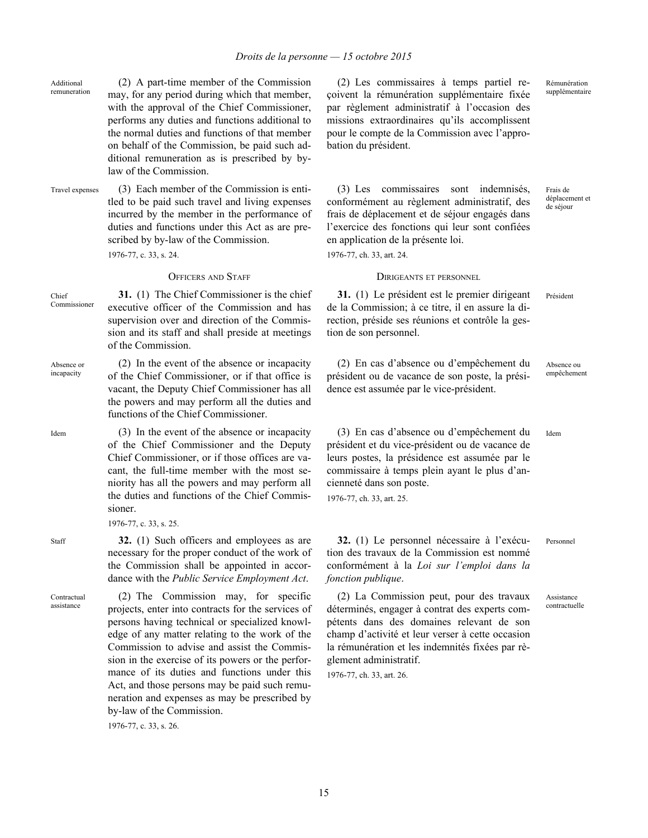- <span id="page-19-0"></span>Additional remuneration (2) A part-time member of the Commission may, for any period during which that member, with the approval of the Chief Commissioner, performs any duties and functions additional to the normal duties and functions of that member on behalf of the Commission, be paid such additional remuneration as is prescribed by bylaw of the Commission.
- Travel expenses (3) Each member of the Commission is entitled to be paid such travel and living expenses incurred by the member in the performance of duties and functions under this Act as are prescribed by by-law of the Commission.

1976-77, c. 33, s. 24.

- Chief Commissioner **31.** (1) The Chief Commissioner is the chief executive officer of the Commission and has supervision over and direction of the Commission and its staff and shall preside at meetings of the Commission.
- Absence or incapacity (2) In the event of the absence or incapacity of the Chief Commissioner, or if that office is vacant, the Deputy Chief Commissioner has all the powers and may perform all the duties and functions of the Chief Commissioner.

Contractual assistance

Idem (3) In the event of the absence or incapacity of the Chief Commissioner and the Deputy Chief Commissioner, or if those offices are vacant, the full-time member with the most seniority has all the powers and may perform all the duties and functions of the Chief Commissioner.

1976-77, c. 33, s. 25.

Staff **32.** (1) Such officers and employees as are necessary for the proper conduct of the work of the Commission shall be appointed in accordance with the *Public Service Employment Act*.

> (2) The Commission may, for specific projects, enter into contracts for the services of persons having technical or specialized knowledge of any matter relating to the work of the Commission to advise and assist the Commission in the exercise of its powers or the performance of its duties and functions under this Act, and those persons may be paid such remuneration and expenses as may be prescribed by by-law of the Commission.

1976-77, c. 33, s. 26.

(2) Les commissaires à temps partiel reçoivent la rémunération supplémentaire fixée par règlement administratif à l'occasion des missions extraordinaires qu'ils accomplissent pour le compte de la Commission avec l'approbation du président.

Rémunération supplémentaire

Frais de déplacement et de séjour

Président

Idem

Personnel

Assistance contractuelle

(3) Les commissaires sont indemnisés, conformément au règlement administratif, des frais de déplacement et de séjour engagés dans l'exercice des fonctions qui leur sont confiées en application de la présente loi.

1976-77, ch. 33, art. 24.

# OFFICERS AND STAFF DIRIGEANTS ET PERSONNEL

**31.** (1) Le président est le premier dirigeant de la Commission; à ce titre, il en assure la direction, préside ses réunions et contrôle la gestion de son personnel.

(2) En cas d'absence ou d'empêchement du président ou de vacance de son poste, la présidence est assumée par le vice-président. Absence ou empêchement

(3) En cas d'absence ou d'empêchement du président et du vice-président ou de vacance de leurs postes, la présidence est assumée par le commissaire à temps plein ayant le plus d'ancienneté dans son poste.

1976-77, ch. 33, art. 25.

**32.** (1) Le personnel nécessaire à l'exécution des travaux de la Commission est nommé conformément à la *Loi sur l'emploi dans la fonction publique*.

(2) La Commission peut, pour des travaux déterminés, engager à contrat des experts compétents dans des domaines relevant de son champ d'activité et leur verser à cette occasion la rémunération et les indemnités fixées par règlement administratif.

1976-77, ch. 33, art. 26.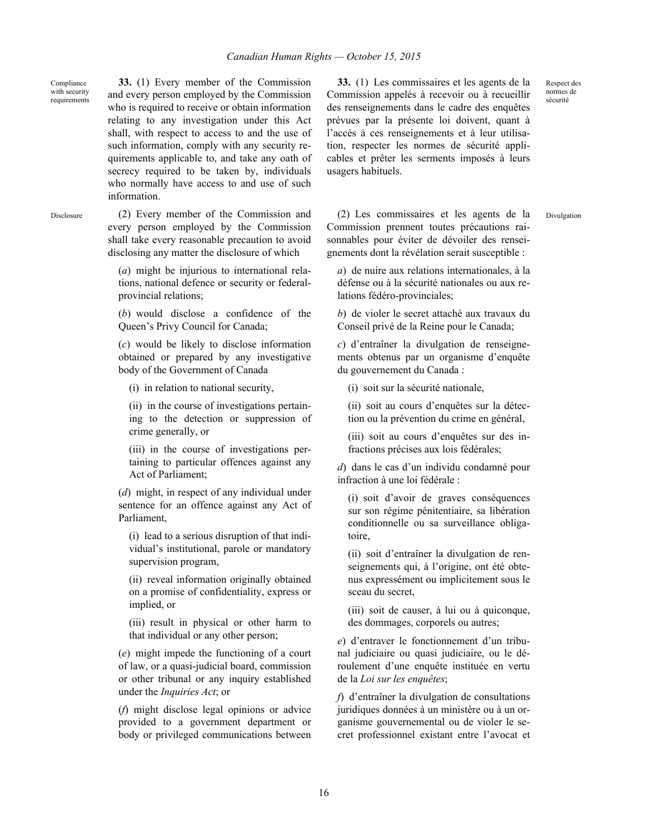<span id="page-20-0"></span>Compliance with security requirements

**33.** (1) Every member of the Commission and every person employed by the Commission who is required to receive or obtain information relating to any investigation under this Act shall, with respect to access to and the use of such information, comply with any security requirements applicable to, and take any oath of secrecy required to be taken by, individuals who normally have access to and use of such information.

Disclosure (2) Every member of the Commission and every person employed by the Commission shall take every reasonable precaution to avoid disclosing any matter the disclosure of which

> (*a*) might be injurious to international relations, national defence or security or federalprovincial relations;

> (*b*) would disclose a confidence of the Queen's Privy Council for Canada;

> (*c*) would be likely to disclose information obtained or prepared by any investigative body of the Government of Canada

(i) in relation to national security,

(ii) in the course of investigations pertaining to the detection or suppression of crime generally, or

(iii) in the course of investigations pertaining to particular offences against any Act of Parliament;

(*d*) might, in respect of any individual under sentence for an offence against any Act of Parliament,

(i) lead to a serious disruption of that individual's institutional, parole or mandatory supervision program,

(ii) reveal information originally obtained on a promise of confidentiality, express or implied, or

(iii) result in physical or other harm to that individual or any other person;

(*e*) might impede the functioning of a court of law, or a quasi-judicial board, commission or other tribunal or any inquiry established under the *Inquiries Act*; or

(*f*) might disclose legal opinions or advice provided to a government department or body or privileged communications between

**33.** (1) Les commissaires et les agents de la Commission appelés à recevoir ou à recueillir des renseignements dans le cadre des enquêtes prévues par la présente loi doivent, quant à l'accès à ces renseignements et à leur utilisation, respecter les normes de sécurité applicables et prêter les serments imposés à leurs usagers habituels.

Respect des normes de sécurité

Divulgation

(2) Les commissaires et les agents de la Commission prennent toutes précautions raisonnables pour éviter de dévoiler des renseignements dont la révélation serait susceptible :

*a*) de nuire aux relations internationales, à la défense ou à la sécurité nationales ou aux relations fédéro-provinciales;

*b*) de violer le secret attaché aux travaux du Conseil privé de la Reine pour le Canada;

*c*) d'entraîner la divulgation de renseignements obtenus par un organisme d'enquête du gouvernement du Canada :

(i) soit sur la sécurité nationale,

(ii) soit au cours d'enquêtes sur la détection ou la prévention du crime en général,

(iii) soit au cours d'enquêtes sur des infractions précises aux lois fédérales;

*d*) dans le cas d'un individu condamné pour infraction à une loi fédérale :

(i) soit d'avoir de graves conséquences sur son régime pénitentiaire, sa libération conditionnelle ou sa surveillance obligatoire,

(ii) soit d'entraîner la divulgation de renseignements qui, à l'origine, ont été obtenus expressément ou implicitement sous le sceau du secret,

(iii) soit de causer, à lui ou à quiconque, des dommages, corporels ou autres;

*e*) d'entraver le fonctionnement d'un tribunal judiciaire ou quasi judiciaire, ou le déroulement d'une enquête instituée en vertu de la *Loi sur les enquêtes*;

*f*) d'entraîner la divulgation de consultations juridiques données à un ministère ou à un organisme gouvernemental ou de violer le secret professionnel existant entre l'avocat et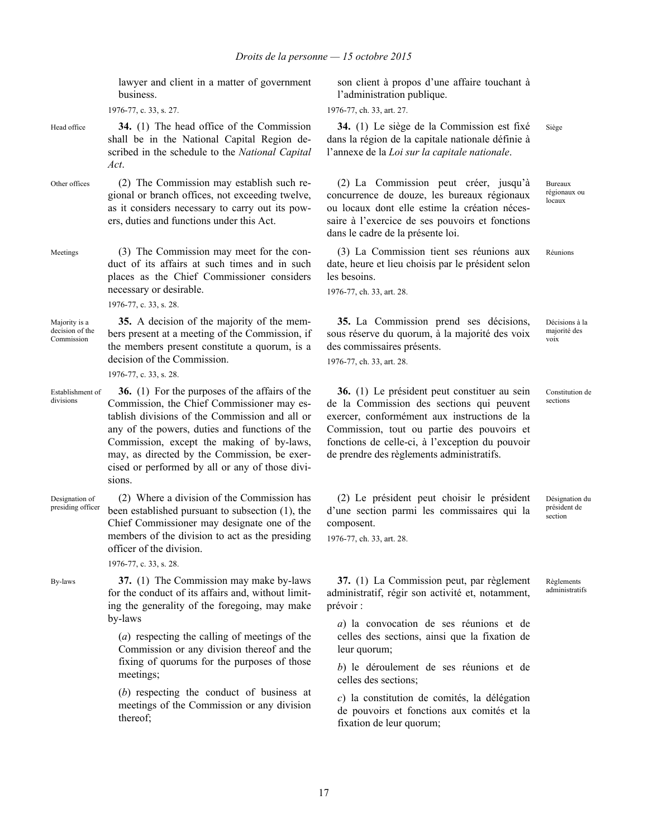lawyer and client in a matter of government business.

1976-77, c. 33, s. 27.

- <span id="page-21-0"></span>Head office **34.** (1) The head office of the Commission shall be in the National Capital Region described in the schedule to the *National Capital Act*.
- Other offices (2) The Commission may establish such regional or branch offices, not exceeding twelve, as it considers necessary to carry out its powers, duties and functions under this Act.
- Meetings (3) The Commission may meet for the conduct of its affairs at such times and in such places as the Chief Commissioner considers necessary or desirable.

1976-77, c. 33, s. 28.

Majority is a decision of the Commission **35.** A decision of the majority of the members present at a meeting of the Commission, if the members present constitute a quorum, is a decision of the Commission.

1976-77, c. 33, s. 28.

Establishment of divisions **36.** (1) For the purposes of the affairs of the Commission, the Chief Commissioner may establish divisions of the Commission and all or any of the powers, duties and functions of the Commission, except the making of by-laws, may, as directed by the Commission, be exercised or performed by all or any of those divisions.

Designation of presiding officer (2) Where a division of the Commission has been established pursuant to subsection (1), the Chief Commissioner may designate one of the members of the division to act as the presiding officer of the division.

1976-77, c. 33, s. 28.

By-laws **37.** (1) The Commission may make by-laws for the conduct of its affairs and, without limiting the generality of the foregoing, may make by-laws

> (*a*) respecting the calling of meetings of the Commission or any division thereof and the fixing of quorums for the purposes of those meetings;

> (*b*) respecting the conduct of business at meetings of the Commission or any division thereof;

son client à propos d'une affaire touchant à l'administration publique.

1976-77, ch. 33, art. 27.

**34.** (1) Le siège de la Commission est fixé dans la région de la capitale nationale définie à l'annexe de la *Loi sur la capitale nationale*.

(2) La Commission peut créer, jusqu'à concurrence de douze, les bureaux régionaux ou locaux dont elle estime la création nécessaire à l'exercice de ses pouvoirs et fonctions dans le cadre de la présente loi.

(3) La Commission tient ses réunions aux date, heure et lieu choisis par le président selon les besoins.

1976-77, ch. 33, art. 28.

**35.** La Commission prend ses décisions, sous réserve du quorum, à la majorité des voix des commissaires présents.

1976-77, ch. 33, art. 28.

**36.** (1) Le président peut constituer au sein de la Commission des sections qui peuvent exercer, conformément aux instructions de la Commission, tout ou partie des pouvoirs et fonctions de celle-ci, à l'exception du pouvoir de prendre des règlements administratifs.

(2) Le président peut choisir le président d'une section parmi les commissaires qui la composent.

1976-77, ch. 33, art. 28.

**37.** (1) La Commission peut, par règlement administratif, régir son activité et, notamment, prévoir :

Règlements administratifs

Désignation du président de .<br>section

*a*) la convocation de ses réunions et de celles des sections, ainsi que la fixation de leur quorum;

*b*) le déroulement de ses réunions et de celles des sections;

*c*) la constitution de comités, la délégation de pouvoirs et fonctions aux comités et la fixation de leur quorum;

Siège

Bureaux régionaux ou locaux

Réunions

Décisions à la majorité des voix

### Constitution de sections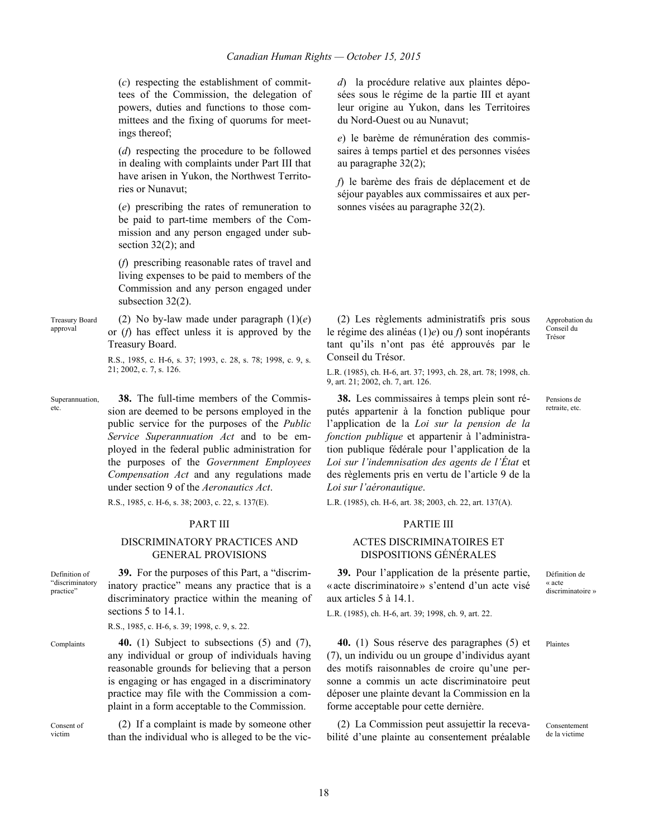<span id="page-22-0"></span>(*c*) respecting the establishment of committees of the Commission, the delegation of powers, duties and functions to those committees and the fixing of quorums for meetings thereof;

(*d*) respecting the procedure to be followed in dealing with complaints under Part III that have arisen in Yukon, the Northwest Territories or Nunavut;

(*e*) prescribing the rates of remuneration to be paid to part-time members of the Commission and any person engaged under subsection 32(2); and

(*f*) prescribing reasonable rates of travel and living expenses to be paid to members of the Commission and any person engaged under subsection 32(2).

Treasury Board approval

(2) No by-law made under paragraph (1)(*e*) or (*f*) has effect unless it is approved by the Treasury Board.

R.S., 1985, c. H-6, s. 37; 1993, c. 28, s. 78; 1998, c. 9, s. 21; 2002, c. 7, s. 126.

Superannuation, etc.

**38.** The full-time members of the Commission are deemed to be persons employed in the public service for the purposes of the *Public Service Superannuation Act* and to be employed in the federal public administration for the purposes of the *Government Employees Compensation Act* and any regulations made under section 9 of the *Aeronautics Act*.

R.S., 1985, c. H-6, s. 38; 2003, c. 22, s. 137(E).

# DISCRIMINATORY PRACTICES AND GENERAL PROVISIONS

Definition of "discriminatory practice"

**39.** For the purposes of this Part, a "discriminatory practice" means any practice that is a discriminatory practice within the meaning of sections 5 to 14.1.

R.S., 1985, c. H-6, s. 39; 1998, c. 9, s. 22.

Complaints **40.** (1) Subject to subsections (5) and (7), any individual or group of individuals having reasonable grounds for believing that a person is engaging or has engaged in a discriminatory practice may file with the Commission a complaint in a form acceptable to the Commission.

> (2) If a complaint is made by someone other than the individual who is alleged to be the vic-

Consent of victim

*d*) la procédure relative aux plaintes déposées sous le régime de la partie III et ayant leur origine au Yukon, dans les Territoires du Nord-Ouest ou au Nunavut;

*e*) le barème de rémunération des commissaires à temps partiel et des personnes visées au paragraphe 32(2);

*f*) le barème des frais de déplacement et de séjour payables aux commissaires et aux personnes visées au paragraphe 32(2).

> Approbation du Conseil du Trésor

Pensions de retraite, etc.

L.R. (1985), ch. H-6, art. 37; 1993, ch. 28, art. 78; 1998, ch. 9, art. 21; 2002, ch. 7, art. 126.

Conseil du Trésor.

(2) Les règlements administratifs pris sous le régime des alinéas (1)*e*) ou *f*) sont inopérants tant qu'ils n'ont pas été approuvés par le

**38.** Les commissaires à temps plein sont réputés appartenir à la fonction publique pour l'application de la *Loi sur la pension de la fonction publique* et appartenir à l'administration publique fédérale pour l'application de la *Loi sur l'indemnisation des agents de l'État* et des règlements pris en vertu de l'article 9 de la *Loi sur l'aéronautique*.

L.R. (1985), ch. H-6, art. 38; 2003, ch. 22, art. 137(A).

# PART III PARTIE III

# ACTES DISCRIMINATOIRES ET DISPOSITIONS GÉNÉRALES

**39.** Pour l'application de la présente partie, «acte discriminatoire» s'entend d'un acte visé aux articles 5 à 14.1.

L.R. (1985), ch. H-6, art. 39; 1998, ch. 9, art. 22.

**40.** (1) Sous réserve des paragraphes (5) et (7), un individu ou un groupe d'individus ayant des motifs raisonnables de croire qu'une personne a commis un acte discriminatoire peut déposer une plainte devant la Commission en la forme acceptable pour cette dernière.

(2) La Commission peut assujettir la recevabilité d'une plainte au consentement préalable Définition de « acte discriminatoire »

Plaintes

Consentement de la victime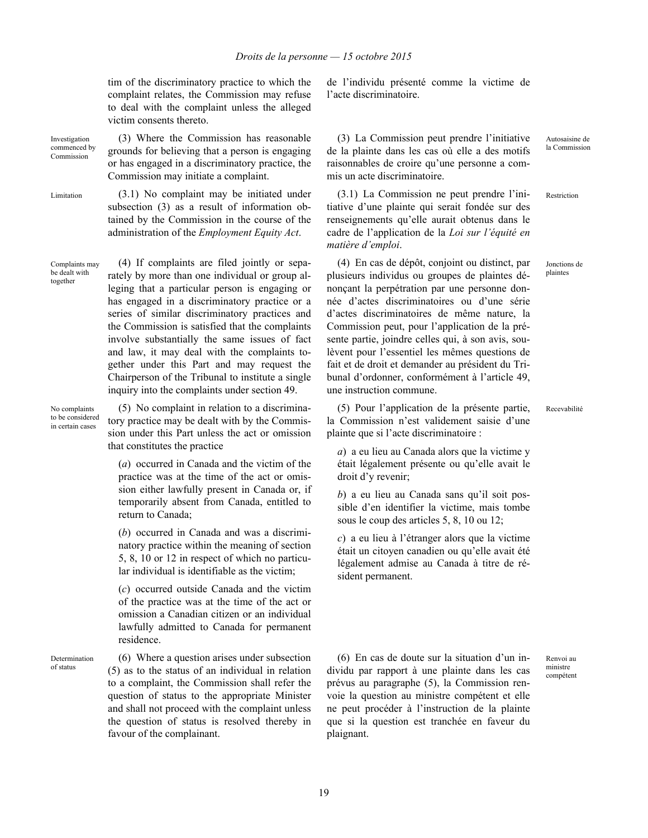tim of the discriminatory practice to which the complaint relates, the Commission may refuse to deal with the complaint unless the alleged victim consents thereto.

Investigation commenced by Commission

(3) Where the Commission has reasonable grounds for believing that a person is engaging or has engaged in a discriminatory practice, the Commission may initiate a complaint.

Limitation (3.1) No complaint may be initiated under subsection (3) as a result of information obtained by the Commission in the course of the administration of the *Employment Equity Act*.

Complaints may be dealt with together

(4) If complaints are filed jointly or separately by more than one individual or group alleging that a particular person is engaging or has engaged in a discriminatory practice or a series of similar discriminatory practices and the Commission is satisfied that the complaints involve substantially the same issues of fact and law, it may deal with the complaints together under this Part and may request the Chairperson of the Tribunal to institute a single inquiry into the complaints under section 49.

No complaints to be considered in certain cases

(5) No complaint in relation to a discriminatory practice may be dealt with by the Commission under this Part unless the act or omission that constitutes the practice

(*a*) occurred in Canada and the victim of the practice was at the time of the act or omission either lawfully present in Canada or, if temporarily absent from Canada, entitled to return to Canada;

(*b*) occurred in Canada and was a discriminatory practice within the meaning of section 5, 8, 10 or 12 in respect of which no particular individual is identifiable as the victim;

(*c*) occurred outside Canada and the victim of the practice was at the time of the act or omission a Canadian citizen or an individual lawfully admitted to Canada for permanent residence.

Determination of status

(6) Where a question arises under subsection (5) as to the status of an individual in relation to a complaint, the Commission shall refer the question of status to the appropriate Minister and shall not proceed with the complaint unless the question of status is resolved thereby in favour of the complainant.

de l'individu présenté comme la victime de l'acte discriminatoire.

(3) La Commission peut prendre l'initiative de la plainte dans les cas où elle a des motifs raisonnables de croire qu'une personne a commis un acte discriminatoire.

(3.1) La Commission ne peut prendre l'initiative d'une plainte qui serait fondée sur des renseignements qu'elle aurait obtenus dans le cadre de l'application de la *Loi sur l'équité en matière d'emploi*.

(4) En cas de dépôt, conjoint ou distinct, par plusieurs individus ou groupes de plaintes dénonçant la perpétration par une personne donnée d'actes discriminatoires ou d'une série d'actes discriminatoires de même nature, la Commission peut, pour l'application de la présente partie, joindre celles qui, à son avis, soulèvent pour l'essentiel les mêmes questions de fait et de droit et demander au président du Tribunal d'ordonner, conformément à l'article 49, une instruction commune.

(5) Pour l'application de la présente partie, la Commission n'est validement saisie d'une plainte que si l'acte discriminatoire :

*a*) a eu lieu au Canada alors que la victime y était légalement présente ou qu'elle avait le droit d'y revenir;

*b*) a eu lieu au Canada sans qu'il soit possible d'en identifier la victime, mais tombe sous le coup des articles 5, 8, 10 ou 12;

*c*) a eu lieu à l'étranger alors que la victime était un citoyen canadien ou qu'elle avait été légalement admise au Canada à titre de résident permanent.

(6) En cas de doute sur la situation d'un individu par rapport à une plainte dans les cas prévus au paragraphe (5), la Commission renvoie la question au ministre compétent et elle ne peut procéder à l'instruction de la plainte que si la question est tranchée en faveur du plaignant.

Renvoi au ministre compétent

Autosaisine de la Commission

Restriction

Jonctions de plaintes

Recevabilité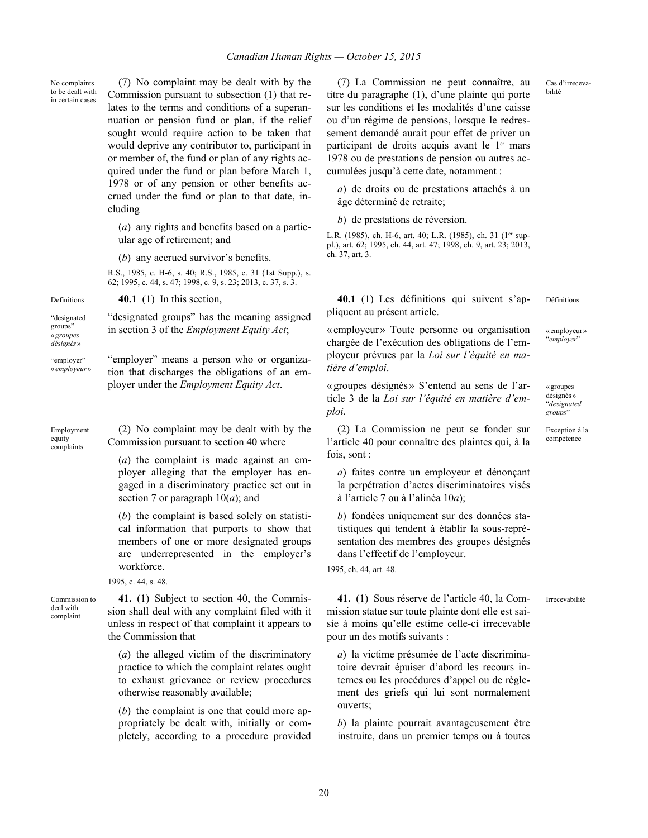<span id="page-24-0"></span>No complaints to be dealt with in certain cases

(7) No complaint may be dealt with by the Commission pursuant to subsection (1) that relates to the terms and conditions of a superannuation or pension fund or plan, if the relief sought would require action to be taken that would deprive any contributor to, participant in or member of, the fund or plan of any rights acquired under the fund or plan before March 1, 1978 or of any pension or other benefits accrued under the fund or plan to that date, including

(*a*) any rights and benefits based on a particular age of retirement; and

(*b*) any accrued survivor's benefits.

R.S., 1985, c. H-6, s. 40; R.S., 1985, c. 31 (1st Supp.), s. 62; 1995, c. 44, s. 47; 1998, c. 9, s. 23; 2013, c. 37, s. 3.

"designated groups" has the meaning assigned in section 3 of the *Employment Equity Act*;

Definitions **40.1** (1) In this section,

"designated groups" «*groupes désignés*»

"employer" «*employeur*»

"employer" means a person who or organization that discharges the obligations of an employer under the *Employment Equity Act*.

Employment equity complaints

deal with complaint

(2) No complaint may be dealt with by the Commission pursuant to section 40 where

(*a*) the complaint is made against an employer alleging that the employer has engaged in a discriminatory practice set out in section 7 or paragraph 10(*a*); and

(*b*) the complaint is based solely on statistical information that purports to show that members of one or more designated groups are underrepresented in the employer's workforce.

1995, c. 44, s. 48.

Commission to **41.** (1) Subject to section 40, the Commission shall deal with any complaint filed with it unless in respect of that complaint it appears to the Commission that

> (*a*) the alleged victim of the discriminatory practice to which the complaint relates ought to exhaust grievance or review procedures otherwise reasonably available;

> (*b*) the complaint is one that could more appropriately be dealt with, initially or completely, according to a procedure provided

(7) La Commission ne peut connaître, au titre du paragraphe (1), d'une plainte qui porte sur les conditions et les modalités d'une caisse ou d'un régime de pensions, lorsque le redressement demandé aurait pour effet de priver un participant de droits acquis avant le 1<sup>er</sup> mars 1978 ou de prestations de pension ou autres accumulées jusqu'à cette date, notamment :

*a*) de droits ou de prestations attachés à un âge déterminé de retraite;

*b*) de prestations de réversion.

L.R. (1985), ch. H-6, art. 40; L.R. (1985), ch. 31 (1<sup>er</sup> suppl.), art. 62; 1995, ch. 44, art. 47; 1998, ch. 9, art. 23; 2013, ch. 37, art. 3.

**40.1** (1) Les définitions qui suivent s'appliquent au présent article.

Définitions

«employeur » "*employer*"

«groupes désignés» "*designated groups*"

Exception à la compétence

Irrecevabilité

«employeur» Toute personne ou organisation chargée de l'exécution des obligations de l'employeur prévues par la *Loi sur l'équité en matière d'emploi*.

«groupes désignés » S'entend au sens de l'article 3 de la *Loi sur l'équité en matière d'emploi*.

(2) La Commission ne peut se fonder sur l'article 40 pour connaître des plaintes qui, à la fois, sont :

*a*) faites contre un employeur et dénonçant la perpétration d'actes discriminatoires visés à l'article 7 ou à l'alinéa 10*a*);

*b*) fondées uniquement sur des données statistiques qui tendent à établir la sous-représentation des membres des groupes désignés dans l'effectif de l'employeur.

1995, ch. 44, art. 48.

**41.** (1) Sous réserve de l'article 40, la Commission statue sur toute plainte dont elle est saisie à moins qu'elle estime celle-ci irrecevable pour un des motifs suivants :

*a*) la victime présumée de l'acte discriminatoire devrait épuiser d'abord les recours internes ou les procédures d'appel ou de règlement des griefs qui lui sont normalement ouverts;

*b*) la plainte pourrait avantageusement être instruite, dans un premier temps ou à toutes Cas d'irrecevabilité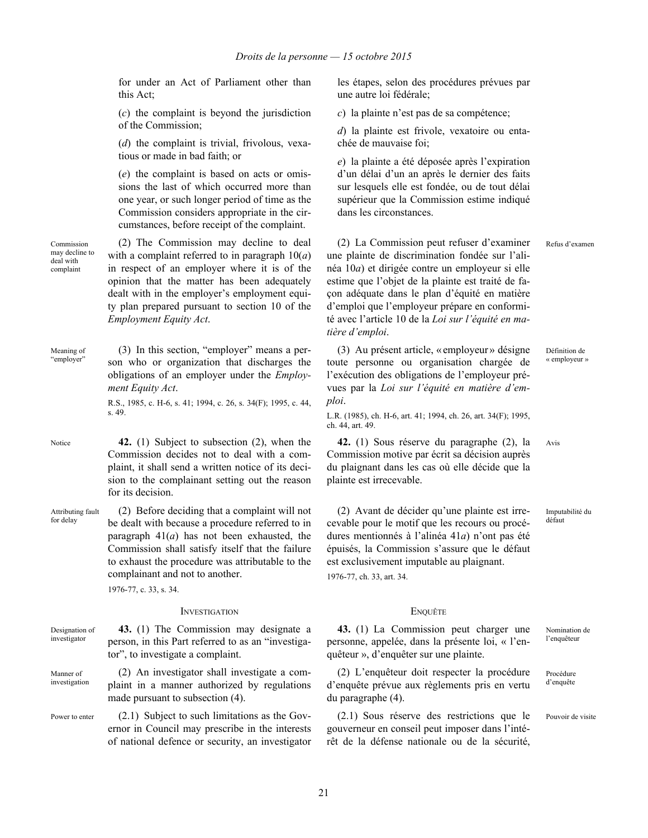<span id="page-25-0"></span>for under an Act of Parliament other than this Act;

(*c*) the complaint is beyond the jurisdiction of the Commission;

(*d*) the complaint is trivial, frivolous, vexatious or made in bad faith; or

(*e*) the complaint is based on acts or omissions the last of which occurred more than one year, or such longer period of time as the Commission considers appropriate in the circumstances, before receipt of the complaint.

Commission may decline to deal with complaint

(2) The Commission may decline to deal with a complaint referred to in paragraph  $10(a)$ in respect of an employer where it is of the opinion that the matter has been adequately dealt with in the employer's employment equity plan prepared pursuant to section 10 of the *Employment Equity Act*.

Meaning of "employer" (3) In this section, "employer" means a person who or organization that discharges the obligations of an employer under the *Employment Equity Act*.

> R.S., 1985, c. H-6, s. 41; 1994, c. 26, s. 34(F); 1995, c. 44, s. 49.

Notice **42.** (1) Subject to subsection (2), when the Commission decides not to deal with a complaint, it shall send a written notice of its decision to the complainant setting out the reason for its decision.

Attributing fault for delay (2) Before deciding that a complaint will not be dealt with because a procedure referred to in paragraph 41(*a*) has not been exhausted, the Commission shall satisfy itself that the failure to exhaust the procedure was attributable to the complainant and not to another.

1976-77, c. 33, s. 34.

### INVESTIGATION ENQUÊTE

Designation of investigator **43.** (1) The Commission may designate a person, in this Part referred to as an "investigator", to investigate a complaint. Manner of investigation (2) An investigator shall investigate a complaint in a manner authorized by regulations

made pursuant to subsection (4). Power to enter (2.1) Subject to such limitations as the Governor in Council may prescribe in the interests of national defence or security, an investigator

les étapes, selon des procédures prévues par une autre loi fédérale;

*c*) la plainte n'est pas de sa compétence;

*d*) la plainte est frivole, vexatoire ou entachée de mauvaise foi;

*e*) la plainte a été déposée après l'expiration d'un délai d'un an après le dernier des faits sur lesquels elle est fondée, ou de tout délai supérieur que la Commission estime indiqué dans les circonstances.

(2) La Commission peut refuser d'examiner une plainte de discrimination fondée sur l'alinéa 10*a*) et dirigée contre un employeur si elle estime que l'objet de la plainte est traité de façon adéquate dans le plan d'équité en matière d'emploi que l'employeur prépare en conformité avec l'article 10 de la *Loi sur l'équité en matière d'emploi*. Refus d'examen

(3) Au présent article, «employeur» désigne toute personne ou organisation chargée de l'exécution des obligations de l'employeur prévues par la *Loi sur l'équité en matière d'emploi*.

L.R. (1985), ch. H-6, art. 41; 1994, ch. 26, art. 34(F); 1995, ch. 44, art. 49.

**42.** (1) Sous réserve du paragraphe (2), la Commission motive par écrit sa décision auprès du plaignant dans les cas où elle décide que la plainte est irrecevable.

(2) Avant de décider qu'une plainte est irrecevable pour le motif que les recours ou procédures mentionnés à l'alinéa 41*a*) n'ont pas été épuisés, la Commission s'assure que le défaut est exclusivement imputable au plaignant. 1976-77, ch. 33, art. 34.

**43.** (1) La Commission peut charger une personne, appelée, dans la présente loi, « l'enquêteur », d'enquêter sur une plainte.

(2) L'enquêteur doit respecter la procédure d'enquête prévue aux règlements pris en vertu du paragraphe (4).

(2.1) Sous réserve des restrictions que le gouverneur en conseil peut imposer dans l'intérêt de la défense nationale ou de la sécurité,

Définition de « employeur »

Imputabilité du défaut

Avis

Nomination de l'enquêteur

Procédure d'enquête

Pouvoir de visite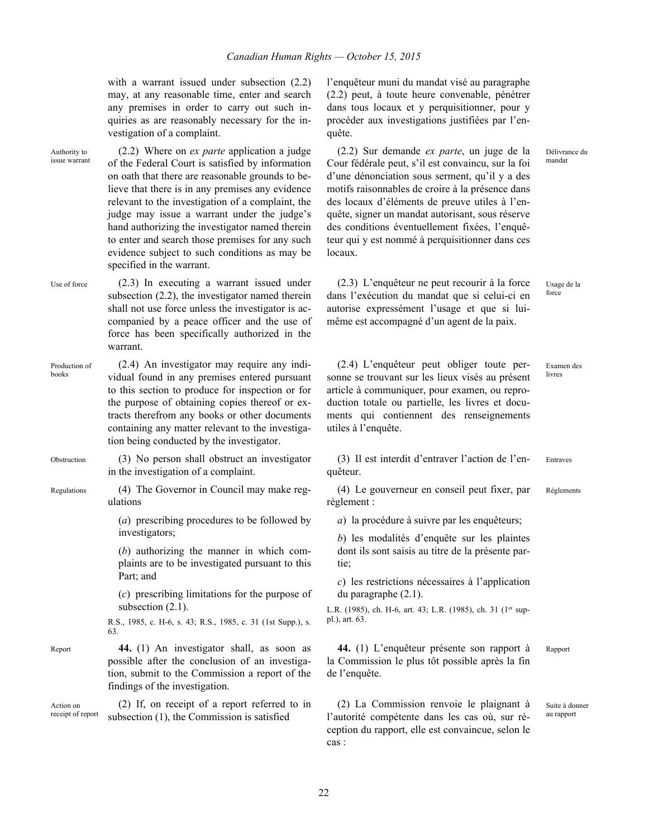<span id="page-26-0"></span>with a warrant issued under subsection (2.2) may, at any reasonable time, enter and search any premises in order to carry out such inquiries as are reasonably necessary for the investigation of a complaint.

Authority to issue warrant

(2.2) Where on *ex parte* application a judge of the Federal Court is satisfied by information on oath that there are reasonable grounds to believe that there is in any premises any evidence relevant to the investigation of a complaint, the judge may issue a warrant under the judge's hand authorizing the investigator named therein to enter and search those premises for any such evidence subject to such conditions as may be specified in the warrant.

Use of force (2.3) In executing a warrant issued under subsection (2.2), the investigator named therein shall not use force unless the investigator is accompanied by a peace officer and the use of force has been specifically authorized in the warrant.

Production of books (2.4) An investigator may require any individual found in any premises entered pursuant to this section to produce for inspection or for the purpose of obtaining copies thereof or extracts therefrom any books or other documents containing any matter relevant to the investigation being conducted by the investigator.

Obstruction (3) No person shall obstruct an investigator in the investigation of a complaint.

Regulations (4) The Governor in Council may make regulations

> (*a*) prescribing procedures to be followed by investigators;

> (*b*) authorizing the manner in which complaints are to be investigated pursuant to this Part; and

> (*c*) prescribing limitations for the purpose of subsection  $(2.1)$ .

R.S., 1985, c. H-6, s. 43; R.S., 1985, c. 31 (1st Supp.), s. 63.

Report **44.** (1) An investigator shall, as soon as possible after the conclusion of an investigation, submit to the Commission a report of the findings of the investigation.

Action on receipt of report (2) If, on receipt of a report referred to in subsection (1), the Commission is satisfied

l'enquêteur muni du mandat visé au paragraphe (2.2) peut, à toute heure convenable, pénétrer dans tous locaux et y perquisitionner, pour y procéder aux investigations justifiées par l'enquête.

(2.2) Sur demande *ex parte*, un juge de la Cour fédérale peut, s'il est convaincu, sur la foi d'une dénonciation sous serment, qu'il y a des motifs raisonnables de croire à la présence dans des locaux d'éléments de preuve utiles à l'enquête, signer un mandat autorisant, sous réserve des conditions éventuellement fixées, l'enquêteur qui y est nommé à perquisitionner dans ces locaux.

(2.3) L'enquêteur ne peut recourir à la force dans l'exécution du mandat que si celui-ci en autorise expressément l'usage et que si luimême est accompagné d'un agent de la paix.

(2.4) L'enquêteur peut obliger toute personne se trouvant sur les lieux visés au présent article à communiquer, pour examen, ou reproduction totale ou partielle, les livres et documents qui contiennent des renseignements Examen des livres

(3) Il est interdit d'entraver l'action de l'enquêteur. Entraves

(4) Le gouverneur en conseil peut fixer, par règlement : Règlements

*a*) la procédure à suivre par les enquêteurs;

utiles à l'enquête.

*b*) les modalités d'enquête sur les plaintes dont ils sont saisis au titre de la présente partie;

*c*) les restrictions nécessaires à l'application du paragraphe (2.1).

L.R. (1985), ch. H-6, art. 43; L.R. (1985), ch. 31 (1<sup>er</sup> suppl.), art. 63.

**44.** (1) L'enquêteur présente son rapport à la Commission le plus tôt possible après la fin de l'enquête.

(2) La Commission renvoie le plaignant à l'autorité compétente dans les cas où, sur réception du rapport, elle est convaincue, selon le cas :

Rapport

Délivrance du mandat

Usage de la force

Suite à donner au rapport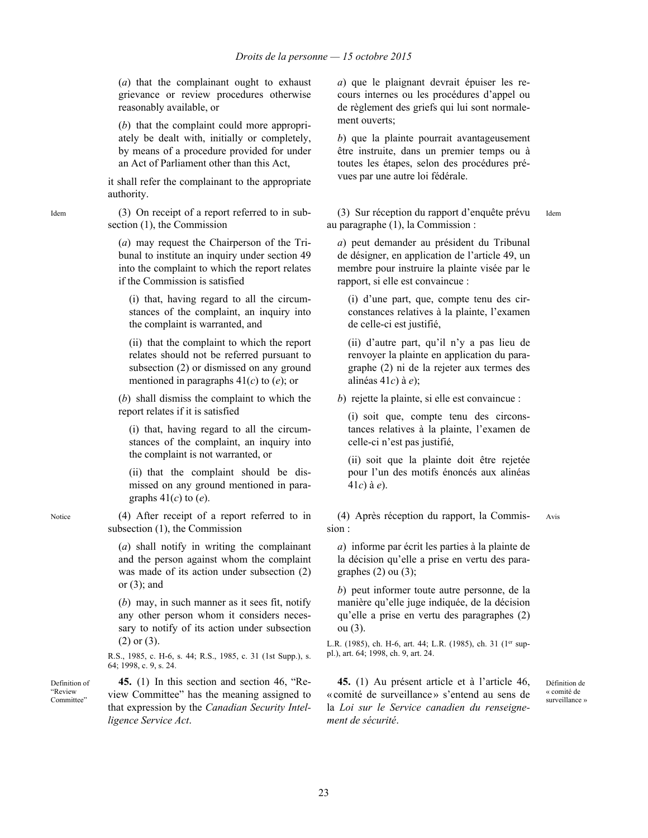<span id="page-27-0"></span>(*a*) that the complainant ought to exhaust grievance or review procedures otherwise reasonably available, or

(*b*) that the complaint could more appropriately be dealt with, initially or completely, by means of a procedure provided for under an Act of Parliament other than this Act,

it shall refer the complainant to the appropriate authority.

Idem (3) On receipt of a report referred to in subsection (1), the Commission

> (*a*) may request the Chairperson of the Tribunal to institute an inquiry under section 49 into the complaint to which the report relates if the Commission is satisfied

(i) that, having regard to all the circumstances of the complaint, an inquiry into the complaint is warranted, and

(ii) that the complaint to which the report relates should not be referred pursuant to subsection (2) or dismissed on any ground mentioned in paragraphs 41(*c*) to (*e*); or

(*b*) shall dismiss the complaint to which the report relates if it is satisfied

(i) that, having regard to all the circumstances of the complaint, an inquiry into the complaint is not warranted, or

(ii) that the complaint should be dismissed on any ground mentioned in paragraphs 41(*c*) to (*e*).

Notice (4) After receipt of a report referred to in subsection (1), the Commission

> (*a*) shall notify in writing the complainant and the person against whom the complaint was made of its action under subsection (2) or  $(3)$ ; and

> (*b*) may, in such manner as it sees fit, notify any other person whom it considers necessary to notify of its action under subsection (2) or (3).

R.S., 1985, c. H-6, s. 44; R.S., 1985, c. 31 (1st Supp.), s. 64; 1998, c. 9, s. 24.

Definition of "Review Committee"

**45.** (1) In this section and section 46, "Review Committee" has the meaning assigned to that expression by the *Canadian Security Intelligence Service Act*.

*a*) que le plaignant devrait épuiser les recours internes ou les procédures d'appel ou de règlement des griefs qui lui sont normalement ouverts;

*b*) que la plainte pourrait avantageusement être instruite, dans un premier temps ou à toutes les étapes, selon des procédures prévues par une autre loi fédérale.

(3) Sur réception du rapport d'enquête prévu au paragraphe (1), la Commission : Idem

*a*) peut demander au président du Tribunal de désigner, en application de l'article 49, un membre pour instruire la plainte visée par le rapport, si elle est convaincue :

(i) d'une part, que, compte tenu des circonstances relatives à la plainte, l'examen de celle-ci est justifié,

(ii) d'autre part, qu'il n'y a pas lieu de renvoyer la plainte en application du paragraphe (2) ni de la rejeter aux termes des alinéas 41*c*) à *e*);

*b*) rejette la plainte, si elle est convaincue :

(i) soit que, compte tenu des circonstances relatives à la plainte, l'examen de celle-ci n'est pas justifié,

(ii) soit que la plainte doit être rejetée pour l'un des motifs énoncés aux alinéas 41*c*) à *e*).

(4) Après réception du rapport, la Commission : Avis

*a*) informe par écrit les parties à la plainte de la décision qu'elle a prise en vertu des paragraphes  $(2)$  ou  $(3)$ ;

*b*) peut informer toute autre personne, de la manière qu'elle juge indiquée, de la décision qu'elle a prise en vertu des paragraphes (2) ou (3).

L.R. (1985), ch. H-6, art. 44; L.R. (1985), ch. 31 (1<sup>er</sup> suppl.), art. 64; 1998, ch. 9, art. 24.

**45.** (1) Au présent article et à l'article 46, «comité de surveillance» s'entend au sens de la *Loi sur le Service canadien du renseignement de sécurité*.

Définition de « comité de surveillance »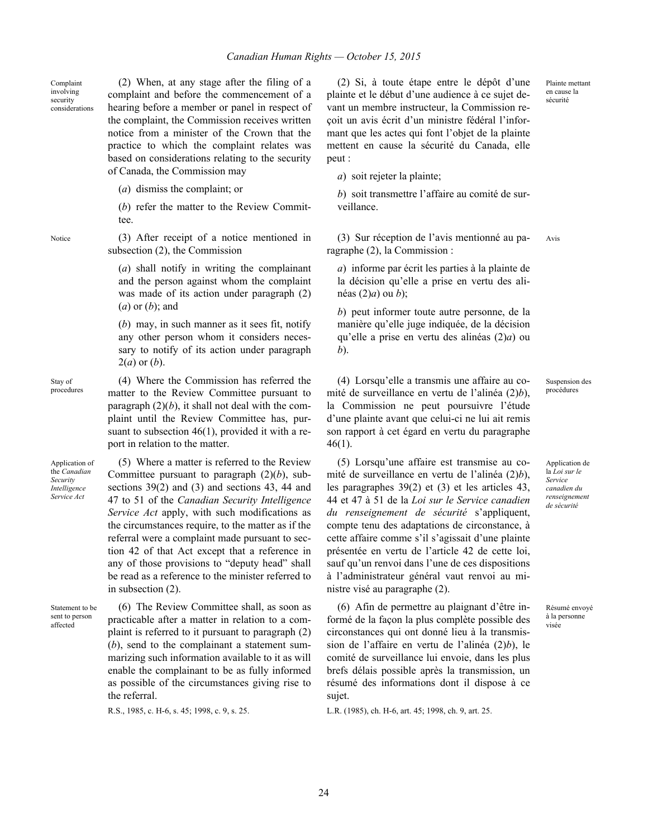Complaint involving security considerations

(2) When, at any stage after the filing of a complaint and before the commencement of a hearing before a member or panel in respect of the complaint, the Commission receives written notice from a minister of the Crown that the practice to which the complaint relates was based on considerations relating to the security of Canada, the Commission may

(*a*) dismiss the complaint; or

(*b*) refer the matter to the Review Committee.

Notice (3) After receipt of a notice mentioned in subsection (2), the Commission

> (*a*) shall notify in writing the complainant and the person against whom the complaint was made of its action under paragraph (2) (*a*) or (*b*); and

> (*b*) may, in such manner as it sees fit, notify any other person whom it considers necessary to notify of its action under paragraph 2(*a*) or (*b*).

Stay of procedures

(4) Where the Commission has referred the matter to the Review Committee pursuant to paragraph  $(2)(b)$ , it shall not deal with the complaint until the Review Committee has, pursuant to subsection 46(1), provided it with a report in relation to the matter.

(5) Where a matter is referred to the Review Committee pursuant to paragraph (2)(*b*), subsections 39(2) and (3) and sections 43, 44 and 47 to 51 of the *Canadian Security Intelligence Service Act* apply, with such modifications as the circumstances require, to the matter as if the referral were a complaint made pursuant to section 42 of that Act except that a reference in any of those provisions to "deputy head" shall be read as a reference to the minister referred to

Application of the *Canadian Security Intelligence Service Act*

Statement to be sent to person affected

(6) The Review Committee shall, as soon as practicable after a matter in relation to a complaint is referred to it pursuant to paragraph (2) (*b*), send to the complainant a statement summarizing such information available to it as will enable the complainant to be as fully informed as possible of the circumstances giving rise to the referral.

R.S., 1985, c. H-6, s. 45; 1998, c. 9, s. 25.

in subsection (2).

(2) Si, à toute étape entre le dépôt d'une plainte et le début d'une audience à ce sujet devant un membre instructeur, la Commission reçoit un avis écrit d'un ministre fédéral l'informant que les actes qui font l'objet de la plainte mettent en cause la sécurité du Canada, elle peut :

*a*) soit rejeter la plainte;

*b*) soit transmettre l'affaire au comité de surveillance.

(3) Sur réception de l'avis mentionné au paragraphe (2), la Commission : Avis

*a*) informe par écrit les parties à la plainte de la décision qu'elle a prise en vertu des alinéas (2)*a*) ou *b*);

*b*) peut informer toute autre personne, de la manière qu'elle juge indiquée, de la décision qu'elle a prise en vertu des alinéas (2)*a*) ou *b*).

(4) Lorsqu'elle a transmis une affaire au comité de surveillance en vertu de l'alinéa (2)*b*), la Commission ne peut poursuivre l'étude d'une plainte avant que celui-ci ne lui ait remis son rapport à cet égard en vertu du paragraphe 46(1).

(5) Lorsqu'une affaire est transmise au comité de surveillance en vertu de l'alinéa (2)*b*), les paragraphes 39(2) et (3) et les articles 43, 44 et 47 à 51 de la *Loi sur le Service canadien du renseignement de sécurité* s'appliquent, compte tenu des adaptations de circonstance, à cette affaire comme s'il s'agissait d'une plainte présentée en vertu de l'article 42 de cette loi, sauf qu'un renvoi dans l'une de ces dispositions à l'administrateur général vaut renvoi au ministre visé au paragraphe (2).

(6) Afin de permettre au plaignant d'être informé de la façon la plus complète possible des circonstances qui ont donné lieu à la transmission de l'affaire en vertu de l'alinéa (2)*b*), le comité de surveillance lui envoie, dans les plus brefs délais possible après la transmission, un résumé des informations dont il dispose à ce sujet.

L.R. (1985), ch. H-6, art. 45; 1998, ch. 9, art. 25.

Plainte mettant en cause la sécurité

Suspension des procédures

Application de la *Loi sur le Service canadien du renseignement de sécurité*

Résumé envoyé à la personne visée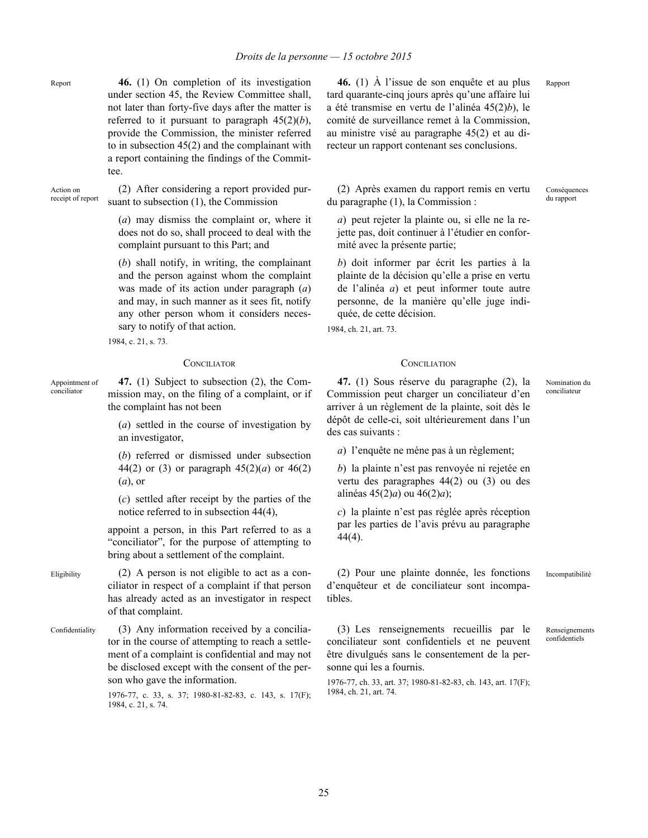<span id="page-29-0"></span>Report **46.** (1) On completion of its investigation under section 45, the Review Committee shall, not later than forty-five days after the matter is referred to it pursuant to paragraph  $45(2)(b)$ , provide the Commission, the minister referred to in subsection 45(2) and the complainant with a report containing the findings of the Committee.

Action on receipt of report

(2) After considering a report provided pursuant to subsection (1), the Commission

(*a*) may dismiss the complaint or, where it does not do so, shall proceed to deal with the complaint pursuant to this Part; and

(*b*) shall notify, in writing, the complainant and the person against whom the complaint was made of its action under paragraph (*a*) and may, in such manner as it sees fit, notify any other person whom it considers necessary to notify of that action.

1984, c. 21, s. 73.

Appointment of conciliator **47.** (1) Subject to subsection (2), the Commission may, on the filing of a complaint, or if the complaint has not been

> (*a*) settled in the course of investigation by an investigator,

> (*b*) referred or dismissed under subsection 44(2) or (3) or paragraph  $45(2)(a)$  or  $46(2)$ (*a*), or

> (*c*) settled after receipt by the parties of the notice referred to in subsection 44(4),

appoint a person, in this Part referred to as a "conciliator", for the purpose of attempting to bring about a settlement of the complaint.

Eligibility (2) A person is not eligible to act as a conciliator in respect of a complaint if that person has already acted as an investigator in respect of that complaint.

Confidentiality (3) Any information received by a conciliator in the course of attempting to reach a settlement of a complaint is confidential and may not be disclosed except with the consent of the person who gave the information.

> 1976-77, c. 33, s. 37; 1980-81-82-83, c. 143, s. 17(F); 1984, c. 21, s. 74.

**46.** (1) À l'issue de son enquête et au plus tard quarante-cinq jours après qu'une affaire lui a été transmise en vertu de l'alinéa 45(2)*b*), le comité de surveillance remet à la Commission, au ministre visé au paragraphe 45(2) et au directeur un rapport contenant ses conclusions.

(2) Après examen du rapport remis en vertu du paragraphe (1), la Commission :

Conséquences du rapport

Nomination du conciliateur

Incompatibilité

Renseignements confidentiels

Rapport

*a*) peut rejeter la plainte ou, si elle ne la rejette pas, doit continuer à l'étudier en conformité avec la présente partie;

*b*) doit informer par écrit les parties à la plainte de la décision qu'elle a prise en vertu de l'alinéa *a*) et peut informer toute autre personne, de la manière qu'elle juge indiquée, de cette décision.

1984, ch. 21, art. 73.

### CONCILIATOR CONCILIATION

**47.** (1) Sous réserve du paragraphe (2), la Commission peut charger un conciliateur d'en arriver à un règlement de la plainte, soit dès le dépôt de celle-ci, soit ultérieurement dans l'un des cas suivants :

*a*) l'enquête ne mène pas à un règlement;

*b*) la plainte n'est pas renvoyée ni rejetée en vertu des paragraphes 44(2) ou (3) ou des alinéas 45(2)*a*) ou 46(2)*a*);

*c*) la plainte n'est pas réglée après réception par les parties de l'avis prévu au paragraphe 44(4).

(2) Pour une plainte donnée, les fonctions d'enquêteur et de conciliateur sont incompatibles.

(3) Les renseignements recueillis par le conciliateur sont confidentiels et ne peuvent être divulgués sans le consentement de la personne qui les a fournis.

1976-77, ch. 33, art. 37; 1980-81-82-83, ch. 143, art. 17(F); 1984, ch. 21, art. 74.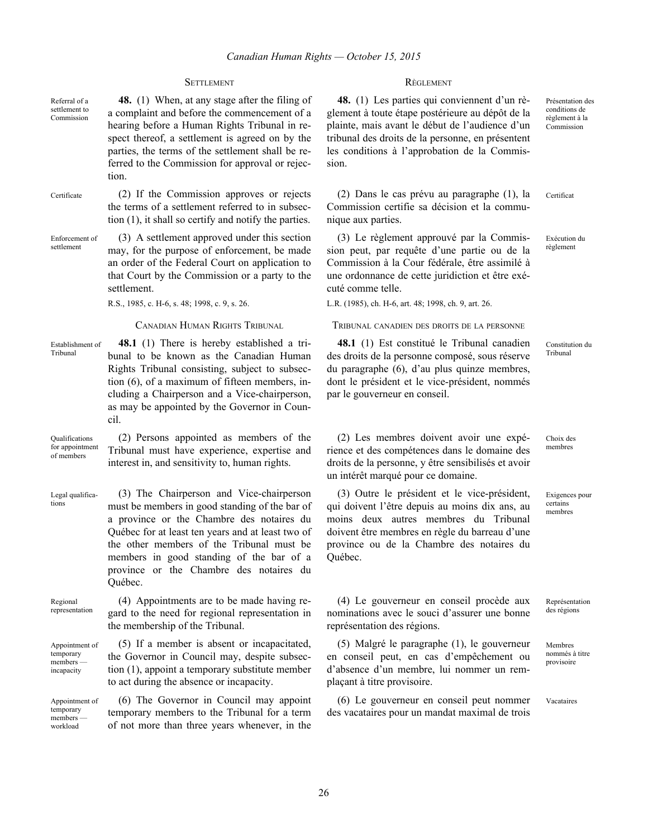# SETTLEMENT RÈGLEMENT

<span id="page-30-0"></span>Referral of a settlement to Commission **48.** (1) When, at any stage after the filing of a complaint and before the commencement of a hearing before a Human Rights Tribunal in respect thereof, a settlement is agreed on by the parties, the terms of the settlement shall be referred to the Commission for approval or rejection.

Certificate (2) If the Commission approves or rejects the terms of a settlement referred to in subsection (1), it shall so certify and notify the parties.

Enforcement of settlement

(3) A settlement approved under this section may, for the purpose of enforcement, be made an order of the Federal Court on application to that Court by the Commission or a party to the settlement.

R.S., 1985, c. H-6, s. 48; 1998, c. 9, s. 26.

Establishment of Tribunal **48.1** (1) There is hereby established a tribunal to be known as the Canadian Human Rights Tribunal consisting, subject to subsection (6), of a maximum of fifteen members, including a Chairperson and a Vice-chairperson, as may be appointed by the Governor in Council.

**Oualifications** for appointment of members (2) Persons appointed as members of the Tribunal must have experience, expertise and interest in, and sensitivity to, human rights.

Legal qualifications (3) The Chairperson and Vice-chairperson must be members in good standing of the bar of a province or the Chambre des notaires du Québec for at least ten years and at least two of the other members of the Tribunal must be members in good standing of the bar of a province or the Chambre des notaires du Québec.

Regional representation (4) Appointments are to be made having regard to the need for regional representation in

Appointment of temporary members incapacity

the membership of the Tribunal. (5) If a member is absent or incapacitated, the Governor in Council may, despite subsec-

tion (1), appoint a temporary substitute member to act during the absence or incapacity. (6) The Governor in Council may appoint

Appointment of temporary members workload temporary members to the Tribunal for a term of not more than three years whenever, in the

**48.** (1) Les parties qui conviennent d'un règlement à toute étape postérieure au dépôt de la plainte, mais avant le début de l'audience d'un tribunal des droits de la personne, en présentent les conditions à l'approbation de la Commission.

(2) Dans le cas prévu au paragraphe (1), la Commission certifie sa décision et la communique aux parties.

(3) Le règlement approuvé par la Commission peut, par requête d'une partie ou de la Commission à la Cour fédérale, être assimilé à une ordonnance de cette juridiction et être exécuté comme telle.

L.R. (1985), ch. H-6, art. 48; 1998, ch. 9, art. 26.

CANADIAN HUMAN RIGHTS TRIBUNAL **TRIBUNAL CANADIEN DES DROITS DE LA PERSONNE** 

**48.1** (1) Est constitué le Tribunal canadien des droits de la personne composé, sous réserve du paragraphe (6), d'au plus quinze membres, dont le président et le vice-président, nommés par le gouverneur en conseil.

(2) Les membres doivent avoir une expérience et des compétences dans le domaine des droits de la personne, y être sensibilisés et avoir un intérêt marqué pour ce domaine.

(3) Outre le président et le vice-président, qui doivent l'être depuis au moins dix ans, au moins deux autres membres du Tribunal doivent être membres en règle du barreau d'une province ou de la Chambre des notaires du Québec.

(4) Le gouverneur en conseil procède aux nominations avec le souci d'assurer une bonne représentation des régions.

(5) Malgré le paragraphe (1), le gouverneur en conseil peut, en cas d'empêchement ou d'absence d'un membre, lui nommer un remplaçant à titre provisoire.

(6) Le gouverneur en conseil peut nommer des vacataires pour un mandat maximal de trois Présentation des conditions de règlement à la Commission

Certificat

Exécution du règlement

Constitution du

Tribunal

Choix des membres

Exigences pour certains membres

Représentation des régions

Membres nommés à titre provisoire

Vacataires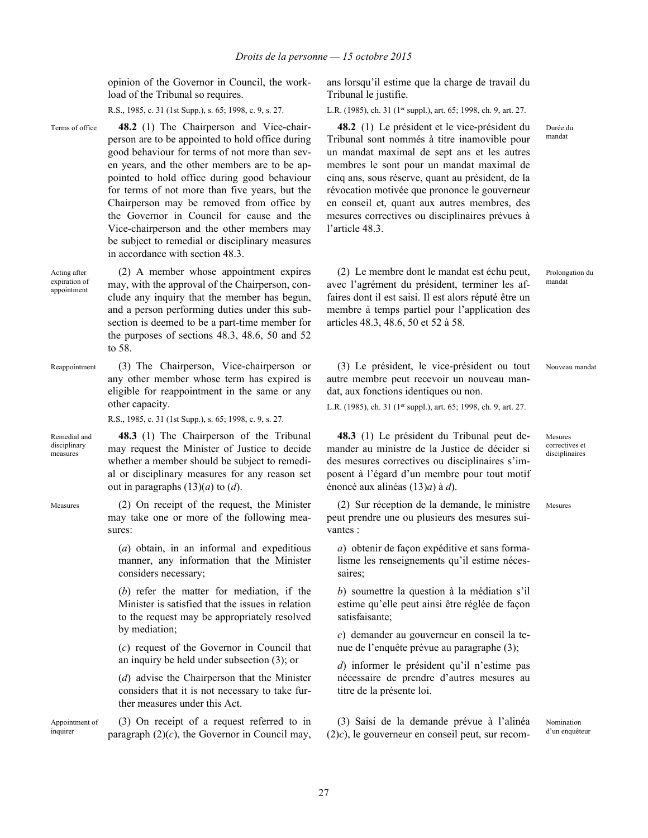opinion of the Governor in Council, the workload of the Tribunal so requires.

person are to be appointed to hold office during good behaviour for terms of not more than seven years, and the other members are to be appointed to hold office during good behaviour for terms of not more than five years, but the Chairperson may be removed from office by the Governor in Council for cause and the Vice-chairperson and the other members may be subject to remedial or disciplinary measures ans lorsqu'il estime que la charge de travail du

R.S., 1985, c. 31 (1st Supp.), s. 65; 1998, c. 9, s. 27.

<span id="page-31-0"></span>Terms of office **48.2** (1) The Chairperson and Vice-chair-

Acting after expiration of appointment

(2) A member whose appointment expires may, with the approval of the Chairperson, conclude any inquiry that the member has begun, and a person performing duties under this subsection is deemed to be a part-time member for the purposes of sections 48.3, 48.6, 50 and 52 to 58.

Reappointment (3) The Chairperson, Vice-chairperson or any other member whose term has expired is eligible for reappointment in the same or any other capacity.

in accordance with section 48.3.

R.S., 1985, c. 31 (1st Supp.), s. 65; 1998, c. 9, s. 27.

Remedial and disciplinary measures

**48.3** (1) The Chairperson of the Tribunal may request the Minister of Justice to decide whether a member should be subject to remedial or disciplinary measures for any reason set out in paragraphs (13)(*a*) to (*d*).

Measures (2) On receipt of the request, the Minister may take one or more of the following measures:

> (*a*) obtain, in an informal and expeditious manner, any information that the Minister considers necessary;

> (*b*) refer the matter for mediation, if the Minister is satisfied that the issues in relation to the request may be appropriately resolved by mediation;

> (*c*) request of the Governor in Council that an inquiry be held under subsection (3); or

> (*d*) advise the Chairperson that the Minister considers that it is not necessary to take further measures under this Act.

(3) On receipt of a request referred to in paragraph  $(2)(c)$ , the Governor in Council may,

Appointment of inquirer

Tribunal le justifie.

L.R. (1985), ch. 31 (1<sup>er</sup> suppl.), art. 65; 1998, ch. 9, art. 27.

**48.2** (1) Le président et le vice-président du Tribunal sont nommés à titre inamovible pour un mandat maximal de sept ans et les autres membres le sont pour un mandat maximal de cinq ans, sous réserve, quant au président, de la révocation motivée que prononce le gouverneur en conseil et, quant aux autres membres, des mesures correctives ou disciplinaires prévues à l'article 48.3.

(2) Le membre dont le mandat est échu peut, avec l'agrément du président, terminer les affaires dont il est saisi. Il est alors réputé être un membre à temps partiel pour l'application des Prolongation du mandat

(3) Le président, le vice-président ou tout autre membre peut recevoir un nouveau mandat, aux fonctions identiques ou non.

articles 48.3, 48.6, 50 et 52 à 58.

L.R. (1985), ch. 31 (1<sup>er</sup> suppl.), art. 65; 1998, ch. 9, art. 27.

**48.3** (1) Le président du Tribunal peut demander au ministre de la Justice de décider si des mesures correctives ou disciplinaires s'imposent à l'égard d'un membre pour tout motif énoncé aux alinéas (13)*a*) à *d*).

(2) Sur réception de la demande, le ministre peut prendre une ou plusieurs des mesures suivantes :

*a*) obtenir de façon expéditive et sans formalisme les renseignements qu'il estime nécessaires:

*b*) soumettre la question à la médiation s'il estime qu'elle peut ainsi être réglée de façon satisfaisante;

*c*) demander au gouverneur en conseil la tenue de l'enquête prévue au paragraphe (3);

*d*) informer le président qu'il n'estime pas nécessaire de prendre d'autres mesures au titre de la présente loi.

(3) Saisi de la demande prévue à l'alinéa (2)*c*), le gouverneur en conseil peut, sur recomNomination d'un enquêteur

Durée du mandat

Nouveau mandat

Mesures correctives et disciplinaires

Mesures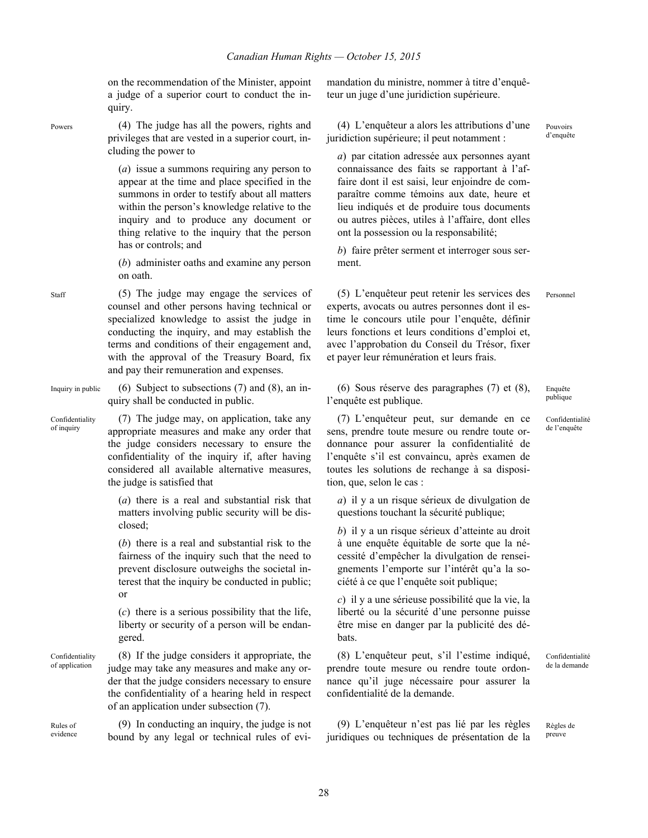on the recommendation of the Minister, appoint a judge of a superior court to conduct the inquiry.

Powers (4) The judge has all the powers, rights and privileges that are vested in a superior court, including the power to

> (*a*) issue a summons requiring any person to appear at the time and place specified in the summons in order to testify about all matters within the person's knowledge relative to the inquiry and to produce any document or thing relative to the inquiry that the person has or controls; and

(*b*) administer oaths and examine any person on oath.

Staff (5) The judge may engage the services of counsel and other persons having technical or specialized knowledge to assist the judge in conducting the inquiry, and may establish the terms and conditions of their engagement and, with the approval of the Treasury Board, fix and pay their remuneration and expenses.

Inquiry in public  $(6)$  Subject to subsections (7) and (8), an inquiry shall be conducted in public.

Confidentiality of inquiry

(7) The judge may, on application, take any appropriate measures and make any order that the judge considers necessary to ensure the confidentiality of the inquiry if, after having considered all available alternative measures, the judge is satisfied that

(*a*) there is a real and substantial risk that matters involving public security will be disclosed;

(*b*) there is a real and substantial risk to the fairness of the inquiry such that the need to prevent disclosure outweighs the societal interest that the inquiry be conducted in public; or

(*c*) there is a serious possibility that the life, liberty or security of a person will be endangered.

Confidentiality of application

(8) If the judge considers it appropriate, the judge may take any measures and make any order that the judge considers necessary to ensure the confidentiality of a hearing held in respect of an application under subsection (7).

Rules of evidence (9) In conducting an inquiry, the judge is not bound by any legal or technical rules of evimandation du ministre, nommer à titre d'enquêteur un juge d'une juridiction supérieure.

(4) L'enquêteur a alors les attributions d'une juridiction supérieure; il peut notamment :

*a*) par citation adressée aux personnes ayant connaissance des faits se rapportant à l'affaire dont il est saisi, leur enjoindre de comparaître comme témoins aux date, heure et lieu indiqués et de produire tous documents ou autres pièces, utiles à l'affaire, dont elles ont la possession ou la responsabilité;

*b*) faire prêter serment et interroger sous serment.

(5) L'enquêteur peut retenir les services des experts, avocats ou autres personnes dont il estime le concours utile pour l'enquête, définir leurs fonctions et leurs conditions d'emploi et, avec l'approbation du Conseil du Trésor, fixer et payer leur rémunération et leurs frais.

(6) Sous réserve des paragraphes (7) et (8), l'enquête est publique.

(7) L'enquêteur peut, sur demande en ce sens, prendre toute mesure ou rendre toute ordonnance pour assurer la confidentialité de l'enquête s'il est convaincu, après examen de toutes les solutions de rechange à sa disposition, que, selon le cas :

*a*) il y a un risque sérieux de divulgation de questions touchant la sécurité publique;

*b*) il y a un risque sérieux d'atteinte au droit à une enquête équitable de sorte que la nécessité d'empêcher la divulgation de renseignements l'emporte sur l'intérêt qu'a la société à ce que l'enquête soit publique;

*c*) il y a une sérieuse possibilité que la vie, la liberté ou la sécurité d'une personne puisse être mise en danger par la publicité des débats.

(8) L'enquêteur peut, s'il l'estime indiqué, prendre toute mesure ou rendre toute ordonnance qu'il juge nécessaire pour assurer la confidentialité de la demande.

(9) L'enquêteur n'est pas lié par les règles juridiques ou techniques de présentation de la

Pouvoirs d'enquête

Personnel

Enquête publique

Confidentialité de l'enquête

Confidentialité de la demande

Règles de preuve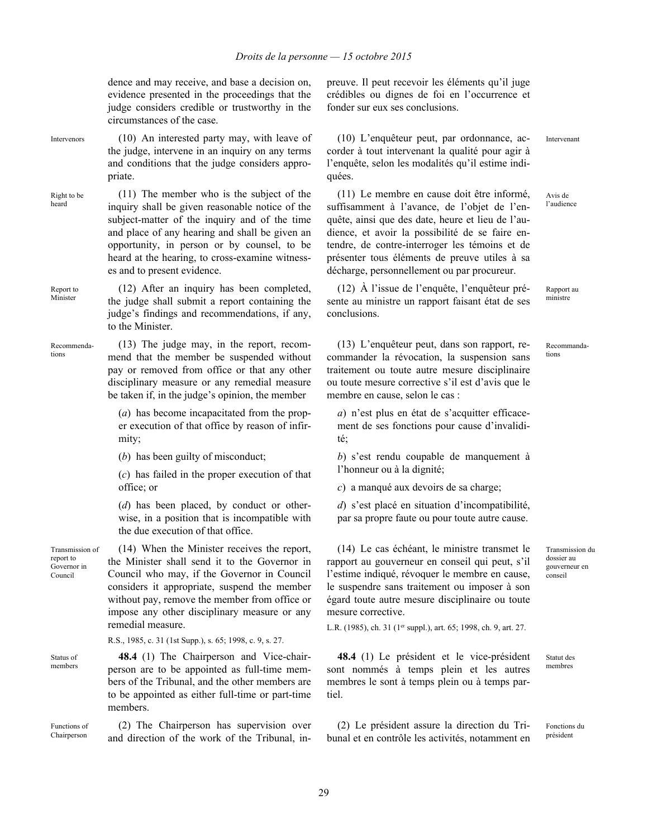<span id="page-33-0"></span>dence and may receive, and base a decision on, evidence presented in the proceedings that the judge considers credible or trustworthy in the circumstances of the case.

Intervenors (10) An interested party may, with leave of the judge, intervene in an inquiry on any terms and conditions that the judge considers appropriate.

Right to be heard (11) The member who is the subject of the inquiry shall be given reasonable notice of the subject-matter of the inquiry and of the time and place of any hearing and shall be given an opportunity, in person or by counsel, to be heard at the hearing, to cross-examine witnesses and to present evidence.

Report to Minister

(12) After an inquiry has been completed, the judge shall submit a report containing the judge's findings and recommendations, if any, to the Minister.

Recommendations (13) The judge may, in the report, recommend that the member be suspended without pay or removed from office or that any other disciplinary measure or any remedial measure be taken if, in the judge's opinion, the member

> (*a*) has become incapacitated from the proper execution of that office by reason of infirmity;

(*b*) has been guilty of misconduct;

(*c*) has failed in the proper execution of that office; or

(*d*) has been placed, by conduct or otherwise, in a position that is incompatible with the due execution of that office.

Transmission of report to Governor in Council

Status of members

(14) When the Minister receives the report, the Minister shall send it to the Governor in Council who may, if the Governor in Council considers it appropriate, suspend the member without pay, remove the member from office or impose any other disciplinary measure or any remedial measure.

R.S., 1985, c. 31 (1st Supp.), s. 65; 1998, c. 9, s. 27.

**48.4** (1) The Chairperson and Vice-chairperson are to be appointed as full-time members of the Tribunal, and the other members are to be appointed as either full-time or part-time members.

Functions of Chairperson (2) The Chairperson has supervision over and direction of the work of the Tribunal, inpreuve. Il peut recevoir les éléments qu'il juge crédibles ou dignes de foi en l'occurrence et fonder sur eux ses conclusions.

(10) L'enquêteur peut, par ordonnance, accorder à tout intervenant la qualité pour agir à l'enquête, selon les modalités qu'il estime indiquées.

(11) Le membre en cause doit être informé, suffisamment à l'avance, de l'objet de l'enquête, ainsi que des date, heure et lieu de l'audience, et avoir la possibilité de se faire entendre, de contre-interroger les témoins et de présenter tous éléments de preuve utiles à sa décharge, personnellement ou par procureur.

(12) À l'issue de l'enquête, l'enquêteur présente au ministre un rapport faisant état de ses conclusions.

(13) L'enquêteur peut, dans son rapport, recommander la révocation, la suspension sans traitement ou toute autre mesure disciplinaire ou toute mesure corrective s'il est d'avis que le membre en cause, selon le cas :

*a*) n'est plus en état de s'acquitter efficacement de ses fonctions pour cause d'invalidité;

*b*) s'est rendu coupable de manquement à l'honneur ou à la dignité;

*c*) a manqué aux devoirs de sa charge;

*d*) s'est placé en situation d'incompatibilité, par sa propre faute ou pour toute autre cause.

(14) Le cas échéant, le ministre transmet le rapport au gouverneur en conseil qui peut, s'il l'estime indiqué, révoquer le membre en cause, le suspendre sans traitement ou imposer à son égard toute autre mesure disciplinaire ou toute mesure corrective.

L.R. (1985), ch. 31 (1<sup>er</sup> suppl.), art. 65; 1998, ch. 9, art. 27.

**48.4** (1) Le président et le vice-président sont nommés à temps plein et les autres membres le sont à temps plein ou à temps partiel.

(2) Le président assure la direction du Tribunal et en contrôle les activités, notamment en

Transmission du dossier au gouverneur en conseil

Statut des membres

Fonctions du président

Intervenant

Avis de l'audience

Rapport au ministre

Recommandations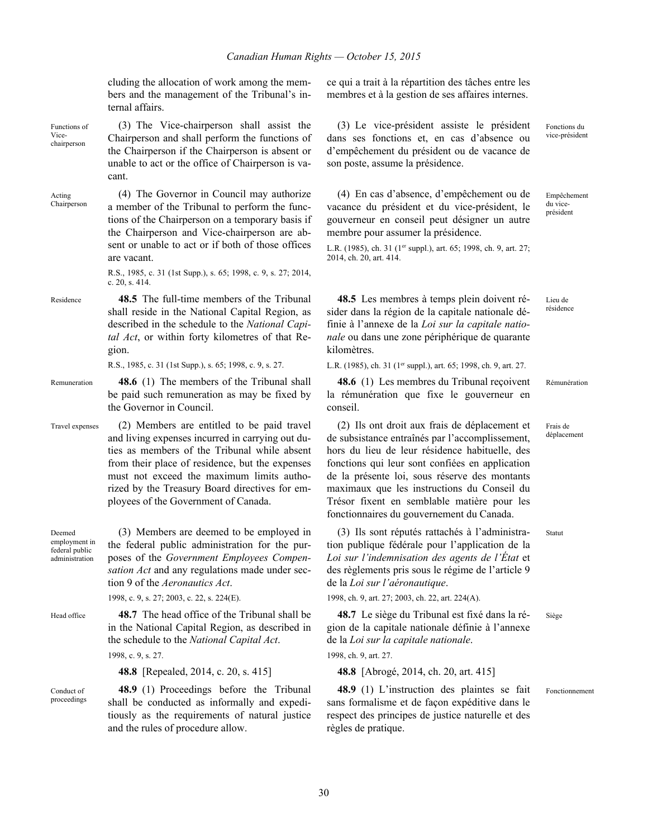cluding the allocation of work among the members and the management of the Tribunal's internal affairs.

<span id="page-34-0"></span>Functions of Vicechairperson

(3) The Vice-chairperson shall assist the Chairperson and shall perform the functions of the Chairperson if the Chairperson is absent or unable to act or the office of Chairperson is vacant.

Acting Chairperson (4) The Governor in Council may authorize a member of the Tribunal to perform the functions of the Chairperson on a temporary basis if the Chairperson and Vice-chairperson are absent or unable to act or if both of those offices are vacant.

> R.S., 1985, c. 31 (1st Supp.), s. 65; 1998, c. 9, s. 27; 2014, c. 20, s. 414.

Residence **48.5** The full-time members of the Tribunal shall reside in the National Capital Region, as described in the schedule to the *National Capital Act*, or within forty kilometres of that Region.

R.S., 1985, c. 31 (1st Supp.), s. 65; 1998, c. 9, s. 27.

- Remuneration **48.6** (1) The members of the Tribunal shall be paid such remuneration as may be fixed by the Governor in Council.
- Travel expenses (2) Members are entitled to be paid travel and living expenses incurred in carrying out duties as members of the Tribunal while absent from their place of residence, but the expenses must not exceed the maximum limits authorized by the Treasury Board directives for employees of the Government of Canada.

Deemed employment in federal public administration

(3) Members are deemed to be employed in the federal public administration for the purposes of the *Government Employees Compensation Act* and any regulations made under section 9 of the *Aeronautics Act*.

1998, c. 9, s. 27; 2003, c. 22, s. 224(E).

Head office **48.7** The head office of the Tribunal shall be in the National Capital Region, as described in the schedule to the *National Capital Act*.

1998, c. 9, s. 27.

**48.8** [Repealed, 2014, c. 20, s. 415] **48.8** [Abrogé, 2014, ch. 20, art. 415]

Conduct of proceedings

**48.9** (1) Proceedings before the Tribunal shall be conducted as informally and expeditiously as the requirements of natural justice and the rules of procedure allow.

ce qui a trait à la répartition des tâches entre les membres et à la gestion de ses affaires internes.

(3) Le vice-président assiste le président dans ses fonctions et, en cas d'absence ou d'empêchement du président ou de vacance de son poste, assume la présidence.

(4) En cas d'absence, d'empêchement ou de vacance du président et du vice-président, le gouverneur en conseil peut désigner un autre membre pour assumer la présidence.

L.R. (1985), ch. 31 (1<sup>er</sup> suppl.), art. 65; 1998, ch. 9, art. 27; 2014, ch. 20, art. 414.

**48.5** Les membres à temps plein doivent résider dans la région de la capitale nationale définie à l'annexe de la *Loi sur la capitale nationale* ou dans une zone périphérique de quarante kilomètres.

L.R. (1985), ch. 31 (1<sup>er</sup> suppl.), art. 65; 1998, ch. 9, art. 27.

**48.6** (1) Les membres du Tribunal reçoivent la rémunération que fixe le gouverneur en conseil.

(2) Ils ont droit aux frais de déplacement et de subsistance entraînés par l'accomplissement, hors du lieu de leur résidence habituelle, des fonctions qui leur sont confiées en application de la présente loi, sous réserve des montants maximaux que les instructions du Conseil du Trésor fixent en semblable matière pour les fonctionnaires du gouvernement du Canada.

(3) Ils sont réputés rattachés à l'administration publique fédérale pour l'application de la *Loi sur l'indemnisation des agents de l'État* et des règlements pris sous le régime de l'article 9 de la *Loi sur l'aéronautique*.

1998, ch. 9, art. 27; 2003, ch. 22, art. 224(A).

**48.7** Le siège du Tribunal est fixé dans la région de la capitale nationale définie à l'annexe de la *Loi sur la capitale nationale*. 1998, ch. 9, art. 27.

**48.9** (1) L'instruction des plaintes se fait sans formalisme et de façon expéditive dans le respect des principes de justice naturelle et des règles de pratique.

Fonctions du vice-président

Empêchement du viceprésident

Lieu de résidence

Rémunération

```
Frais de
déplacement
```
Siège

Statut

Fonctionnement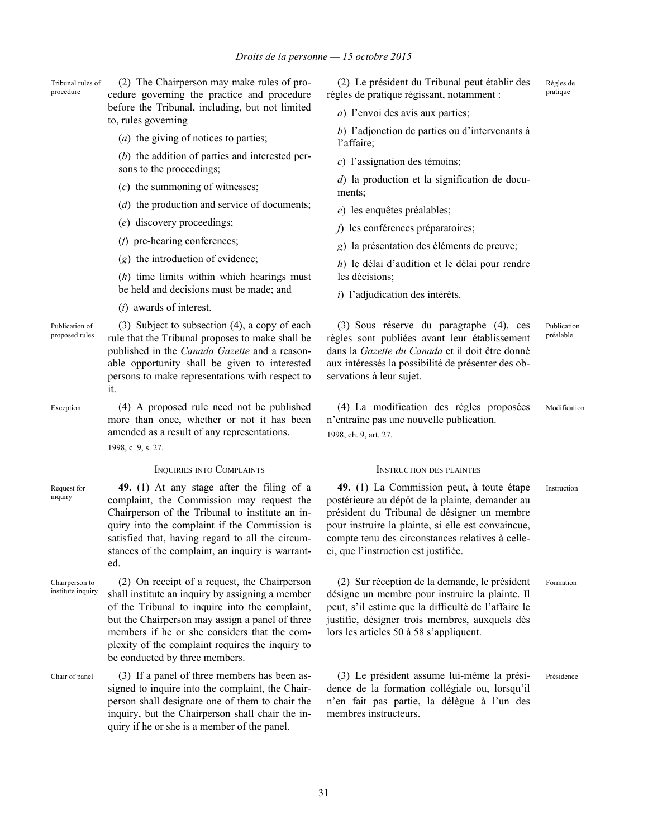- <span id="page-35-0"></span>Tribunal rules of procedure (2) The Chairperson may make rules of procedure governing the practice and procedure before the Tribunal, including, but not limited to, rules governing
	- (*a*) the giving of notices to parties;
	- (*b*) the addition of parties and interested persons to the proceedings;
	- (*c*) the summoning of witnesses;
	- (*d*) the production and service of documents;
	- (*e*) discovery proceedings;
	- (*f*) pre-hearing conferences;
	- (*g*) the introduction of evidence;

(*h*) time limits within which hearings must be held and decisions must be made; and

(*i*) awards of interest.

Publication of proposed rules (3) Subject to subsection (4), a copy of each rule that the Tribunal proposes to make shall be published in the *Canada Gazette* and a reasonable opportunity shall be given to interested persons to make representations with respect to it.

Exception (4) A proposed rule need not be published more than once, whether or not it has been amended as a result of any representations. 1998, c. 9, s. 27.

INQUIRIES INTO COMPLAINTS **INSTRUCTION DES PLAINTES** 

Request for inquiry **49.** (1) At any stage after the filing of a complaint, the Commission may request the Chairperson of the Tribunal to institute an inquiry into the complaint if the Commission is satisfied that, having regard to all the circumstances of the complaint, an inquiry is warranted.

Chairperson to institute inquiry

(2) On receipt of a request, the Chairperson shall institute an inquiry by assigning a member of the Tribunal to inquire into the complaint, but the Chairperson may assign a panel of three members if he or she considers that the complexity of the complaint requires the inquiry to be conducted by three members.

Chair of panel (3) If a panel of three members has been assigned to inquire into the complaint, the Chairperson shall designate one of them to chair the inquiry, but the Chairperson shall chair the inquiry if he or she is a member of the panel.

(2) Le président du Tribunal peut établir des règles de pratique régissant, notamment : Règles de pratique

*a*) l'envoi des avis aux parties;

*b*) l'adjonction de parties ou d'intervenants à l'affaire;

*c*) l'assignation des témoins;

*d*) la production et la signification de documents;

*e*) les enquêtes préalables;

*f*) les conférences préparatoires;

*g*) la présentation des éléments de preuve;

*h*) le délai d'audition et le délai pour rendre les décisions;

*i*) l'adjudication des intérêts.

Publication préalable

règles sont publiées avant leur établissement dans la *Gazette du Canada* et il doit être donné aux intéressés la possibilité de présenter des observations à leur sujet.

(3) Sous réserve du paragraphe (4), ces

(4) La modification des règles proposées n'entraîne pas une nouvelle publication. 1998, ch. 9, art. 27. Modification

**49.** (1) La Commission peut, à toute étape postérieure au dépôt de la plainte, demander au président du Tribunal de désigner un membre pour instruire la plainte, si elle est convaincue, compte tenu des circonstances relatives à celleci, que l'instruction est justifiée. Instruction

(2) Sur réception de la demande, le président désigne un membre pour instruire la plainte. Il peut, s'il estime que la difficulté de l'affaire le justifie, désigner trois membres, auxquels dès lors les articles 50 à 58 s'appliquent. Formation

(3) Le président assume lui-même la présidence de la formation collégiale ou, lorsqu'il n'en fait pas partie, la délègue à l'un des membres instructeurs. Présidence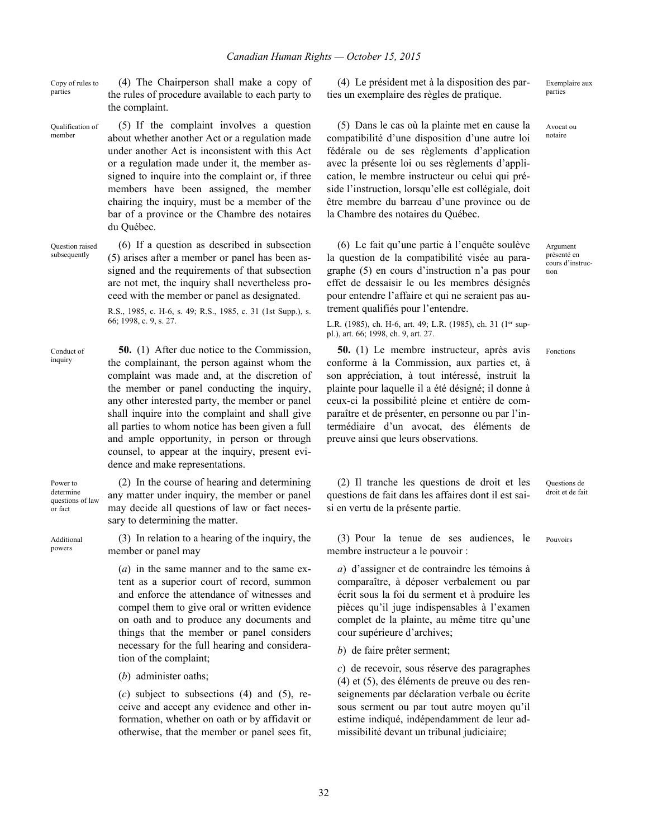<span id="page-36-0"></span>Copy of rules to parties (4) The Chairperson shall make a copy of the rules of procedure available to each party to the complaint.

Qualification of member (5) If the complaint involves a question about whether another Act or a regulation made under another Act is inconsistent with this Act or a regulation made under it, the member assigned to inquire into the complaint or, if three members have been assigned, the member chairing the inquiry, must be a member of the bar of a province or the Chambre des notaires du Québec.

Question raised subsequently (6) If a question as described in subsection (5) arises after a member or panel has been assigned and the requirements of that subsection are not met, the inquiry shall nevertheless proceed with the member or panel as designated.

> R.S., 1985, c. H-6, s. 49; R.S., 1985, c. 31 (1st Supp.), s. 66; 1998, c. 9, s. 27.

Conduct of inquiry **50.** (1) After due notice to the Commission, the complainant, the person against whom the complaint was made and, at the discretion of the member or panel conducting the inquiry, any other interested party, the member or panel shall inquire into the complaint and shall give all parties to whom notice has been given a full and ample opportunity, in person or through counsel, to appear at the inquiry, present evidence and make representations.

Power to determine questions of law or fact

any matter under inquiry, the member or panel may decide all questions of law or fact necessary to determining the matter.

Additional powers

(3) In relation to a hearing of the inquiry, the member or panel may

(2) In the course of hearing and determining

(*a*) in the same manner and to the same extent as a superior court of record, summon and enforce the attendance of witnesses and compel them to give oral or written evidence on oath and to produce any documents and things that the member or panel considers necessary for the full hearing and consideration of the complaint;

(*b*) administer oaths;

(*c*) subject to subsections (4) and (5), receive and accept any evidence and other information, whether on oath or by affidavit or otherwise, that the member or panel sees fit,

(4) Le président met à la disposition des parties un exemplaire des règles de pratique.

(5) Dans le cas où la plainte met en cause la compatibilité d'une disposition d'une autre loi fédérale ou de ses règlements d'application avec la présente loi ou ses règlements d'application, le membre instructeur ou celui qui préside l'instruction, lorsqu'elle est collégiale, doit être membre du barreau d'une province ou de la Chambre des notaires du Québec.

(6) Le fait qu'une partie à l'enquête soulève la question de la compatibilité visée au paragraphe (5) en cours d'instruction n'a pas pour effet de dessaisir le ou les membres désignés pour entendre l'affaire et qui ne seraient pas autrement qualifiés pour l'entendre.

L.R. (1985), ch. H-6, art. 49; L.R. (1985), ch. 31 (1<sup>er</sup> suppl.), art. 66; 1998, ch. 9, art. 27.

**50.** (1) Le membre instructeur, après avis conforme à la Commission, aux parties et, à son appréciation, à tout intéressé, instruit la plainte pour laquelle il a été désigné; il donne à ceux-ci la possibilité pleine et entière de comparaître et de présenter, en personne ou par l'intermédiaire d'un avocat, des éléments de preuve ainsi que leurs observations.

(2) Il tranche les questions de droit et les questions de fait dans les affaires dont il est saisi en vertu de la présente partie.

(3) Pour la tenue de ses audiences, le membre instructeur a le pouvoir :

*a*) d'assigner et de contraindre les témoins à comparaître, à déposer verbalement ou par écrit sous la foi du serment et à produire les pièces qu'il juge indispensables à l'examen complet de la plainte, au même titre qu'une cour supérieure d'archives;

*b*) de faire prêter serment;

*c*) de recevoir, sous réserve des paragraphes (4) et (5), des éléments de preuve ou des renseignements par déclaration verbale ou écrite sous serment ou par tout autre moyen qu'il estime indiqué, indépendamment de leur admissibilité devant un tribunal judiciaire;

Exemplaire aux parties

Avocat ou notaire

Argument présenté en cours d'instruction

Fonctions

Questions de droit et de fait

Pouvoirs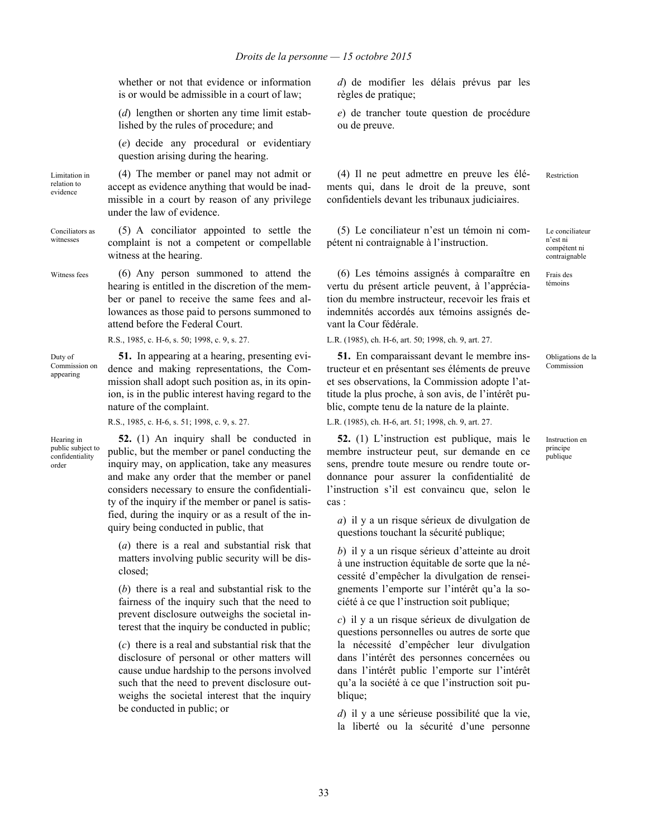<span id="page-37-0"></span>whether or not that evidence or information is or would be admissible in a court of law;

(*d*) lengthen or shorten any time limit established by the rules of procedure; and

(*e*) decide any procedural or evidentiary question arising during the hearing.

(4) The member or panel may not admit or accept as evidence anything that would be inadmissible in a court by reason of any privilege

Limitation in relation to evidence

Conciliators as witnesses

(5) A conciliator appointed to settle the complaint is not a competent or compellable witness at the hearing.

Witness fees (6) Any person summoned to attend the hearing is entitled in the discretion of the member or panel to receive the same fees and allowances as those paid to persons summoned to attend before the Federal Court.

under the law of evidence.

R.S., 1985, c. H-6, s. 50; 1998, c. 9, s. 27.

Duty of Commission on appearing

Hearing in public subject to confidentiality order

**51.** In appearing at a hearing, presenting evidence and making representations, the Commission shall adopt such position as, in its opinion, is in the public interest having regard to the nature of the complaint.

R.S., 1985, c. H-6, s. 51; 1998, c. 9, s. 27.

**52.** (1) An inquiry shall be conducted in public, but the member or panel conducting the inquiry may, on application, take any measures and make any order that the member or panel considers necessary to ensure the confidentiality of the inquiry if the member or panel is satisfied, during the inquiry or as a result of the inquiry being conducted in public, that

(*a*) there is a real and substantial risk that matters involving public security will be disclosed;

(*b*) there is a real and substantial risk to the fairness of the inquiry such that the need to prevent disclosure outweighs the societal interest that the inquiry be conducted in public;

(*c*) there is a real and substantial risk that the disclosure of personal or other matters will cause undue hardship to the persons involved such that the need to prevent disclosure outweighs the societal interest that the inquiry be conducted in public; or

*d*) de modifier les délais prévus par les règles de pratique;

*e*) de trancher toute question de procédure ou de preuve.

(4) Il ne peut admettre en preuve les éléments qui, dans le droit de la preuve, sont confidentiels devant les tribunaux judiciaires.

(5) Le conciliateur n'est un témoin ni compétent ni contraignable à l'instruction.

(6) Les témoins assignés à comparaître en vertu du présent article peuvent, à l'appréciation du membre instructeur, recevoir les frais et indemnités accordés aux témoins assignés devant la Cour fédérale.

L.R. (1985), ch. H-6, art. 50; 1998, ch. 9, art. 27.

**51.** En comparaissant devant le membre instructeur et en présentant ses éléments de preuve et ses observations, la Commission adopte l'attitude la plus proche, à son avis, de l'intérêt public, compte tenu de la nature de la plainte.

L.R. (1985), ch. H-6, art. 51; 1998, ch. 9, art. 27.

**52.** (1) L'instruction est publique, mais le membre instructeur peut, sur demande en ce sens, prendre toute mesure ou rendre toute ordonnance pour assurer la confidentialité de l'instruction s'il est convaincu que, selon le cas :

*a*) il y a un risque sérieux de divulgation de questions touchant la sécurité publique;

*b*) il y a un risque sérieux d'atteinte au droit à une instruction équitable de sorte que la nécessité d'empêcher la divulgation de renseignements l'emporte sur l'intérêt qu'a la société à ce que l'instruction soit publique;

*c*) il y a un risque sérieux de divulgation de questions personnelles ou autres de sorte que la nécessité d'empêcher leur divulgation dans l'intérêt des personnes concernées ou dans l'intérêt public l'emporte sur l'intérêt qu'a la société à ce que l'instruction soit publique;

*d*) il y a une sérieuse possibilité que la vie, la liberté ou la sécurité d'une personne

Frais des témoins

Le conciliateur n'est ni compétent ni contraignable

Restriction

Obligations de la Commission

Instruction en principe publique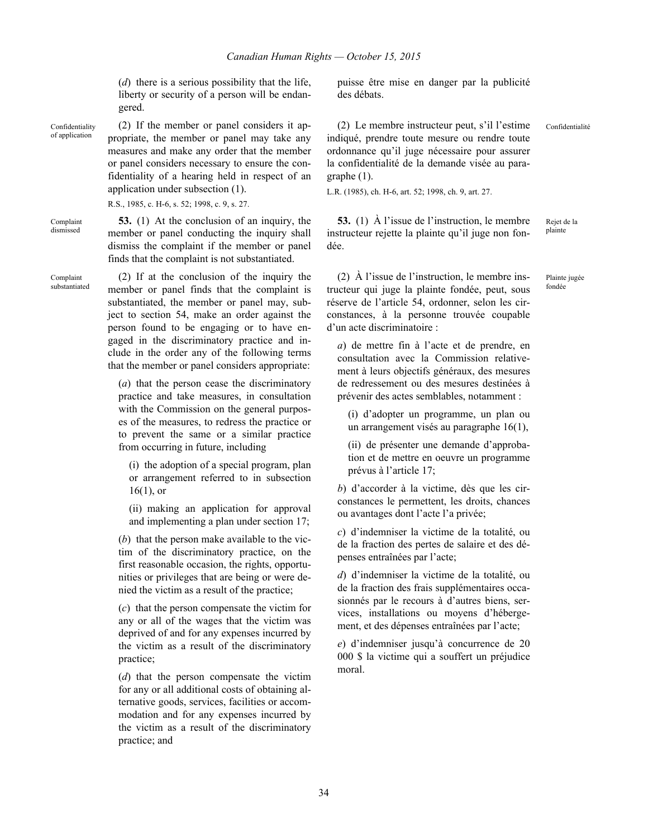(*d*) there is a serious possibility that the life, liberty or security of a person will be endangered.

<span id="page-38-0"></span>Confidentiality of application

(2) If the member or panel considers it appropriate, the member or panel may take any measures and make any order that the member or panel considers necessary to ensure the confidentiality of a hearing held in respect of an application under subsection (1).

**53.** (1) At the conclusion of an inquiry, the member or panel conducting the inquiry shall

R.S., 1985, c. H-6, s. 52; 1998, c. 9, s. 27.

Complaint dismissed

> dismiss the complaint if the member or panel finds that the complaint is not substantiated. (2) If at the conclusion of the inquiry the

Complaint substantiated

member or panel finds that the complaint is substantiated, the member or panel may, subject to section 54, make an order against the person found to be engaging or to have engaged in the discriminatory practice and include in the order any of the following terms that the member or panel considers appropriate:

(*a*) that the person cease the discriminatory practice and take measures, in consultation with the Commission on the general purposes of the measures, to redress the practice or to prevent the same or a similar practice from occurring in future, including

(i) the adoption of a special program, plan or arrangement referred to in subsection  $16(1)$ , or

(ii) making an application for approval and implementing a plan under section 17;

(*b*) that the person make available to the victim of the discriminatory practice, on the first reasonable occasion, the rights, opportunities or privileges that are being or were denied the victim as a result of the practice;

(*c*) that the person compensate the victim for any or all of the wages that the victim was deprived of and for any expenses incurred by the victim as a result of the discriminatory practice;

(*d*) that the person compensate the victim for any or all additional costs of obtaining alternative goods, services, facilities or accommodation and for any expenses incurred by the victim as a result of the discriminatory practice; and

puisse être mise en danger par la publicité des débats.

(2) Le membre instructeur peut, s'il l'estime indiqué, prendre toute mesure ou rendre toute ordonnance qu'il juge nécessaire pour assurer la confidentialité de la demande visée au paragraphe (1).

L.R. (1985), ch. H-6, art. 52; 1998, ch. 9, art. 27.

**53.** (1) À l'issue de l'instruction, le membre instructeur rejette la plainte qu'il juge non fondée.

Rejet de la plainte

Plainte jugée fondée

Confidentialité

(2) À l'issue de l'instruction, le membre instructeur qui juge la plainte fondée, peut, sous réserve de l'article 54, ordonner, selon les circonstances, à la personne trouvée coupable d'un acte discriminatoire :

*a*) de mettre fin à l'acte et de prendre, en consultation avec la Commission relativement à leurs objectifs généraux, des mesures de redressement ou des mesures destinées à prévenir des actes semblables, notamment :

(i) d'adopter un programme, un plan ou un arrangement visés au paragraphe 16(1),

(ii) de présenter une demande d'approbation et de mettre en oeuvre un programme prévus à l'article 17;

*b*) d'accorder à la victime, dès que les circonstances le permettent, les droits, chances ou avantages dont l'acte l'a privée;

*c*) d'indemniser la victime de la totalité, ou de la fraction des pertes de salaire et des dépenses entraînées par l'acte;

*d*) d'indemniser la victime de la totalité, ou de la fraction des frais supplémentaires occasionnés par le recours à d'autres biens, services, installations ou moyens d'hébergement, et des dépenses entraînées par l'acte;

*e*) d'indemniser jusqu'à concurrence de 20 000 \$ la victime qui a souffert un préjudice moral.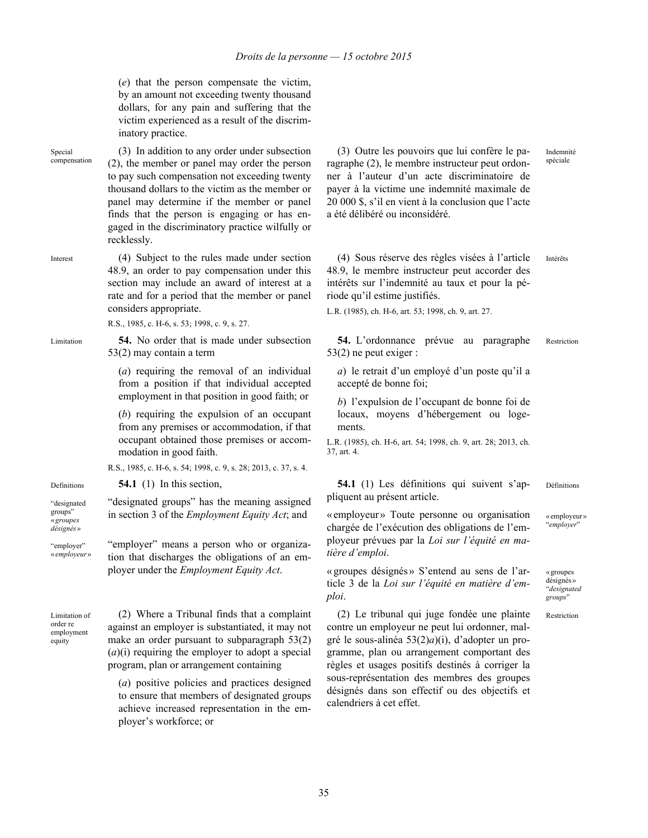<span id="page-39-0"></span>(*e*) that the person compensate the victim, by an amount not exceeding twenty thousand dollars, for any pain and suffering that the victim experienced as a result of the discriminatory practice.

Special compensation

(3) In addition to any order under subsection (2), the member or panel may order the person to pay such compensation not exceeding twenty thousand dollars to the victim as the member or panel may determine if the member or panel finds that the person is engaging or has engaged in the discriminatory practice wilfully or recklessly.

Interest (4) Subject to the rules made under section 48.9, an order to pay compensation under this section may include an award of interest at a rate and for a period that the member or panel considers appropriate.

R.S., 1985, c. H-6, s. 53; 1998, c. 9, s. 27.

Limitation **54.** No order that is made under subsection 53(2) may contain a term

> (*a*) requiring the removal of an individual from a position if that individual accepted employment in that position in good faith; or

> (*b*) requiring the expulsion of an occupant from any premises or accommodation, if that occupant obtained those premises or accommodation in good faith.

R.S., 1985, c. H-6, s. 54; 1998, c. 9, s. 28; 2013, c. 37, s. 4.

Definitions **54.1** (1) In this section,

"designated groups" «*groupes désignés*»

"designated groups" has the meaning assigned in section 3 of the *Employment Equity Act*; and

"employer" «*employeur*»

"employer" means a person who or organization that discharges the obligations of an employer under the *Employment Equity Act*.

Limitation of order re employment equity

(2) Where a Tribunal finds that a complaint against an employer is substantiated, it may not make an order pursuant to subparagraph 53(2) (*a*)(i) requiring the employer to adopt a special program, plan or arrangement containing

(*a*) positive policies and practices designed to ensure that members of designated groups achieve increased representation in the employer's workforce; or

(3) Outre les pouvoirs que lui confère le paragraphe (2), le membre instructeur peut ordonner à l'auteur d'un acte discriminatoire de payer à la victime une indemnité maximale de 20 000 \$, s'il en vient à la conclusion que l'acte a été délibéré ou inconsidéré.

spéciale

Indemnité

(4) Sous réserve des règles visées à l'article 48.9, le membre instructeur peut accorder des intérêts sur l'indemnité au taux et pour la période qu'il estime justifiés. Intérêts

L.R. (1985), ch. H-6, art. 53; 1998, ch. 9, art. 27.

**54.** L'ordonnance prévue au paragraphe 53(2) ne peut exiger : Restriction

*a*) le retrait d'un employé d'un poste qu'il a accepté de bonne foi;

*b*) l'expulsion de l'occupant de bonne foi de locaux, moyens d'hébergement ou logements.

L.R. (1985), ch. H-6, art. 54; 1998, ch. 9, art. 28; 2013, ch. 37, art. 4.

**54.1** (1) Les définitions qui suivent s'appliquent au présent article.

> «employeur» "*employer*"

«groupes désignés » "*designated* groups'

Restriction

Définitions

«employeur» Toute personne ou organisation chargée de l'exécution des obligations de l'employeur prévues par la *Loi sur l'équité en matière d'emploi*.

«groupes désignés » S'entend au sens de l'article 3 de la *Loi sur l'équité en matière d'emploi*.

(2) Le tribunal qui juge fondée une plainte contre un employeur ne peut lui ordonner, malgré le sous-alinéa 53(2)*a*)(i), d'adopter un programme, plan ou arrangement comportant des règles et usages positifs destinés à corriger la sous-représentation des membres des groupes désignés dans son effectif ou des objectifs et calendriers à cet effet.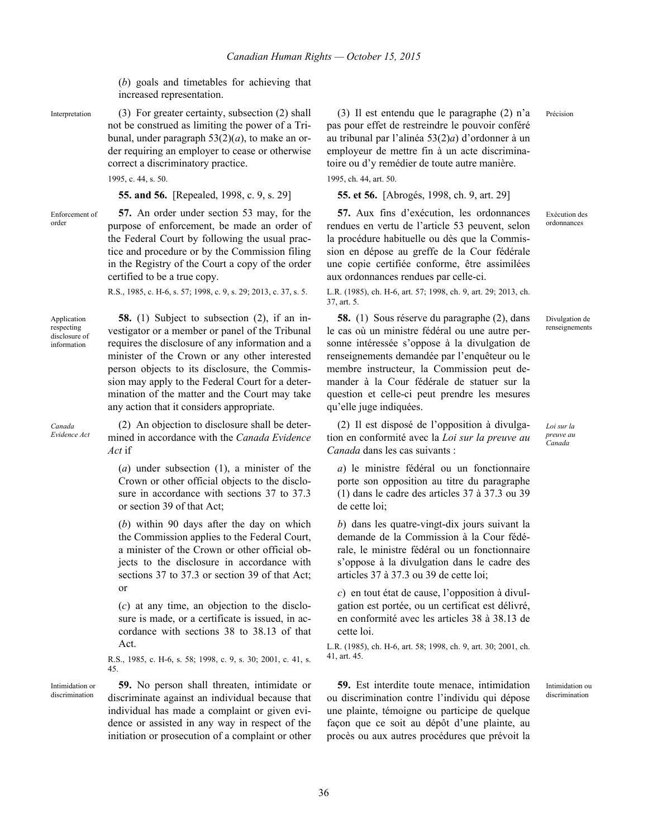(*b*) goals and timetables for achieving that increased representation.

<span id="page-40-0"></span>Interpretation (3) For greater certainty, subsection (2) shall not be construed as limiting the power of a Tribunal, under paragraph 53(2)(*a*), to make an order requiring an employer to cease or otherwise correct a discriminatory practice.

1995, c. 44, s. 50.

Enforcement of order

**57.** An order under section 53 may, for the purpose of enforcement, be made an order of the Federal Court by following the usual practice and procedure or by the Commission filing in the Registry of the Court a copy of the order certified to be a true copy.

R.S., 1985, c. H-6, s. 57; 1998, c. 9, s. 29; 2013, c. 37, s. 5.

**58.** (1) Subject to subsection (2), if an in-

Application respecting disclosure of information

vestigator or a member or panel of the Tribunal requires the disclosure of any information and a minister of the Crown or any other interested person objects to its disclosure, the Commission may apply to the Federal Court for a determination of the matter and the Court may take any action that it considers appropriate.

*Canada Evidence Act*

(2) An objection to disclosure shall be determined in accordance with the *Canada Evidence Act* if

(*a*) under subsection (1), a minister of the Crown or other official objects to the disclosure in accordance with sections 37 to 37.3 or section 39 of that Act;

(*b*) within 90 days after the day on which the Commission applies to the Federal Court, a minister of the Crown or other official objects to the disclosure in accordance with sections 37 to 37.3 or section 39 of that Act; or

(*c*) at any time, an objection to the disclosure is made, or a certificate is issued, in accordance with sections 38 to 38.13 of that Act.

R.S., 1985, c. H-6, s. 58; 1998, c. 9, s. 30; 2001, c. 41, s. 45.

Intimidation or discrimination

**59.** No person shall threaten, intimidate or discriminate against an individual because that individual has made a complaint or given evidence or assisted in any way in respect of the initiation or prosecution of a complaint or other

(3) Il est entendu que le paragraphe (2) n'a pas pour effet de restreindre le pouvoir conféré au tribunal par l'alinéa 53(2)*a*) d'ordonner à un employeur de mettre fin à un acte discriminatoire ou d'y remédier de toute autre manière.

1995, ch. 44, art. 50.

**55. and 56.** [Repealed, 1998, c. 9, s. 29] **55. et 56.** [Abrogés, 1998, ch. 9, art. 29]

**57.** Aux fins d'exécution, les ordonnances rendues en vertu de l'article 53 peuvent, selon la procédure habituelle ou dès que la Commission en dépose au greffe de la Cour fédérale une copie certifiée conforme, être assimilées aux ordonnances rendues par celle-ci.

L.R. (1985), ch. H-6, art. 57; 1998, ch. 9, art. 29; 2013, ch. 37, art. 5.

**58.** (1) Sous réserve du paragraphe (2), dans le cas où un ministre fédéral ou une autre personne intéressée s'oppose à la divulgation de renseignements demandée par l'enquêteur ou le membre instructeur, la Commission peut demander à la Cour fédérale de statuer sur la question et celle-ci peut prendre les mesures qu'elle juge indiquées.

(2) Il est disposé de l'opposition à divulgation en conformité avec la *Loi sur la preuve au Canada* dans les cas suivants :

*Loi sur la preuve au Canada*

*a*) le ministre fédéral ou un fonctionnaire porte son opposition au titre du paragraphe (1) dans le cadre des articles 37 à 37.3 ou 39 de cette loi;

*b*) dans les quatre-vingt-dix jours suivant la demande de la Commission à la Cour fédérale, le ministre fédéral ou un fonctionnaire s'oppose à la divulgation dans le cadre des articles 37 à 37.3 ou 39 de cette loi;

*c*) en tout état de cause, l'opposition à divulgation est portée, ou un certificat est délivré, en conformité avec les articles 38 à 38.13 de cette loi.

L.R. (1985), ch. H-6, art. 58; 1998, ch. 9, art. 30; 2001, ch. 41, art. 45.

**59.** Est interdite toute menace, intimidation ou discrimination contre l'individu qui dépose une plainte, témoigne ou participe de quelque façon que ce soit au dépôt d'une plainte, au procès ou aux autres procédures que prévoit la Intimidation ou discrimination

Précision

Exécution des ordonnances

Divulgation de renseignements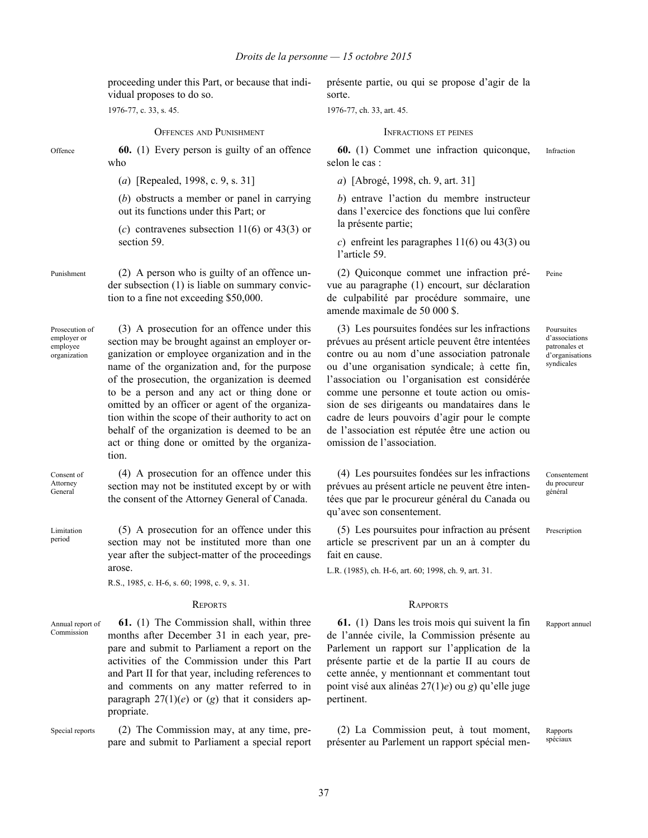<span id="page-41-0"></span>proceeding under this Part, or because that individual proposes to do so.

1976-77, c. 33, s. 45.

OFFENCES AND PUNISHMENT **INFRACTIONS ET PEINES** 

Offence **60.** (1) Every person is guilty of an offence who

(*a*) [Repealed, 1998, c. 9, s. 31]

(*b*) obstructs a member or panel in carrying out its functions under this Part; or

(*c*) contravenes subsection 11(6) or 43(3) or section 59.

Punishment (2) A person who is guilty of an offence under subsection (1) is liable on summary conviction to a fine not exceeding \$50,000.

Prosecution of employer or employee organization

(3) A prosecution for an offence under this section may be brought against an employer organization or employee organization and in the name of the organization and, for the purpose of the prosecution, the organization is deemed to be a person and any act or thing done or omitted by an officer or agent of the organization within the scope of their authority to act on behalf of the organization is deemed to be an act or thing done or omitted by the organization.

(4) A prosecution for an offence under this section may not be instituted except by or with the consent of the Attorney General of Canada.

Consent of Attorney General

Limitation period

(5) A prosecution for an offence under this section may not be instituted more than one year after the subject-matter of the proceedings arose.

R.S., 1985, c. H-6, s. 60; 1998, c. 9, s. 31.

Annual report of Commission

**61.** (1) The Commission shall, within three months after December 31 in each year, prepare and submit to Parliament a report on the activities of the Commission under this Part and Part II for that year, including references to and comments on any matter referred to in paragraph  $27(1)(e)$  or (*g*) that it considers appropriate.

Special reports (2) The Commission may, at any time, prepare and submit to Parliament a special report présente partie, ou qui se propose d'agir de la sorte.

1976-77, ch. 33, art. 45.

**60.** (1) Commet une infraction quiconque, selon le cas : Infraction

*a*) [Abrogé, 1998, ch. 9, art. 31]

*b*) entrave l'action du membre instructeur dans l'exercice des fonctions que lui confère la présente partie;

*c*) enfreint les paragraphes 11(6) ou 43(3) ou l'article 59.

(2) Quiconque commet une infraction prévue au paragraphe (1) encourt, sur déclaration de culpabilité par procédure sommaire, une amende maximale de 50 000 \$.

(3) Les poursuites fondées sur les infractions prévues au présent article peuvent être intentées contre ou au nom d'une association patronale ou d'une organisation syndicale; à cette fin, l'association ou l'organisation est considérée comme une personne et toute action ou omission de ses dirigeants ou mandataires dans le cadre de leurs pouvoirs d'agir pour le compte de l'association est réputée être une action ou omission de l'association.

(4) Les poursuites fondées sur les infractions prévues au présent article ne peuvent être intentées que par le procureur général du Canada ou qu'avec son consentement.

(5) Les poursuites pour infraction au présent article se prescrivent par un an à compter du fait en cause.

L.R. (1985), ch. H-6, art. 60; 1998, ch. 9, art. 31.

# REPORTS RAPPORTS

**61.** (1) Dans les trois mois qui suivent la fin de l'année civile, la Commission présente au Parlement un rapport sur l'application de la présente partie et de la partie II au cours de cette année, y mentionnant et commentant tout point visé aux alinéas 27(1)*e*) ou *g*) qu'elle juge pertinent.

(2) La Commission peut, à tout moment, présenter au Parlement un rapport spécial men-

Poursuites d'associations patronales et d'organisations syndicales

Peine

Consentement du procureur général

Prescription

Rapport annuel

Rapports spéciaux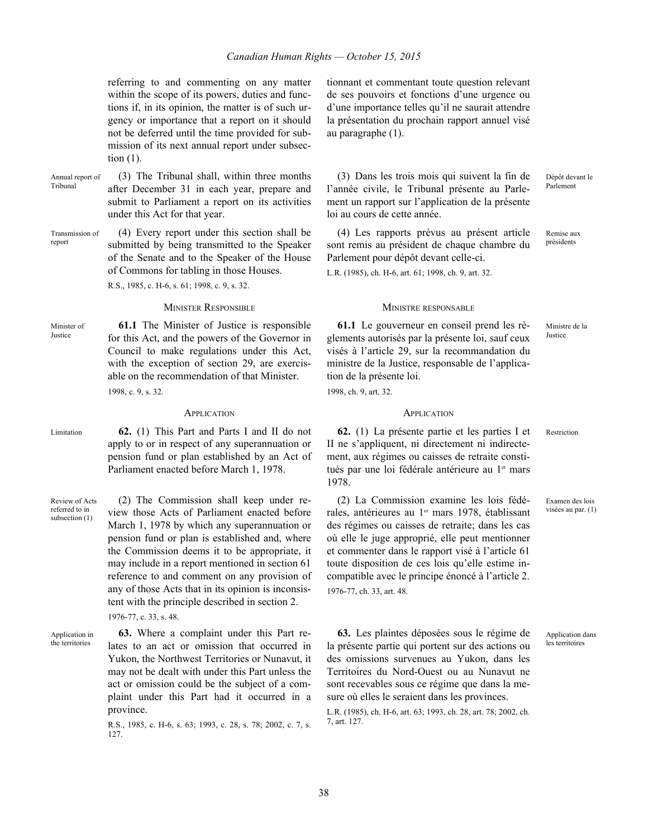<span id="page-42-0"></span>referring to and commenting on any matter within the scope of its powers, duties and functions if, in its opinion, the matter is of such urgency or importance that a report on it should not be deferred until the time provided for submission of its next annual report under subsection (1).

- Annual report of Tribunal (3) The Tribunal shall, within three months after December 31 in each year, prepare and submit to Parliament a report on its activities under this Act for that year.
- Transmission of report (4) Every report under this section shall be submitted by being transmitted to the Speaker of the Senate and to the Speaker of the House of Commons for tabling in those Houses.

R.S., 1985, c. H-6, s. 61; 1998, c. 9, s. 32.

Minister of **61.1** The Minister of Justice is responsible for this Act, and the powers of the Governor in Council to make regulations under this Act, with the exception of section 29, are exercisable on the recommendation of that Minister.

1998, c. 9, s. 32.

# APPLICATION APPLICATION

Limitation **62.** (1) This Part and Parts I and II do not apply to or in respect of any superannuation or pension fund or plan established by an Act of Parliament enacted before March 1, 1978.

Review of Acts referred to in subsection (1)

Justice

(2) The Commission shall keep under review those Acts of Parliament enacted before March 1, 1978 by which any superannuation or pension fund or plan is established and, where the Commission deems it to be appropriate, it may include in a report mentioned in section 61 reference to and comment on any provision of any of those Acts that in its opinion is inconsistent with the principle described in section 2.

1976-77, c. 33, s. 48.

Application in the territories

**63.** Where a complaint under this Part relates to an act or omission that occurred in Yukon, the Northwest Territories or Nunavut, it may not be dealt with under this Part unless the act or omission could be the subject of a complaint under this Part had it occurred in a province.

R.S., 1985, c. H-6, s. 63; 1993, c. 28, s. 78; 2002, c. 7, s. 127.

tionnant et commentant toute question relevant de ses pouvoirs et fonctions d'une urgence ou d'une importance telles qu'il ne saurait attendre la présentation du prochain rapport annuel visé au paragraphe (1).

(3) Dans les trois mois qui suivent la fin de l'année civile, le Tribunal présente au Parlement un rapport sur l'application de la présente loi au cours de cette année.

(4) Les rapports prévus au présent article sont remis au président de chaque chambre du Parlement pour dépôt devant celle-ci.

L.R. (1985), ch. H-6, art. 61; 1998, ch. 9, art. 32.

# MINISTER RESPONSIBLE MINISTRE RESPONSABLE

**61.1** Le gouverneur en conseil prend les règlements autorisés par la présente loi, sauf ceux visés à l'article 29, sur la recommandation du ministre de la Justice, responsable de l'application de la présente loi.

1998, ch. 9, art. 32.

**62.** (1) La présente partie et les parties I et II ne s'appliquent, ni directement ni indirectement, aux régimes ou caisses de retraite constitués par une loi fédérale antérieure au 1<sup>er</sup> mars 1978.

(2) La Commission examine les lois fédérales, antérieures au 1<sup>er</sup> mars 1978, établissant des régimes ou caisses de retraite; dans les cas où elle le juge approprié, elle peut mentionner et commenter dans le rapport visé à l'article 61 toute disposition de ces lois qu'elle estime incompatible avec le principe énoncé à l'article 2. 1976-77, ch. 33, art. 48.

**63.** Les plaintes déposées sous le régime de la présente partie qui portent sur des actions ou des omissions survenues au Yukon, dans les Territoires du Nord-Ouest ou au Nunavut ne sont recevables sous ce régime que dans la mesure où elles le seraient dans les provinces.

L.R. (1985), ch. H-6, art. 63; 1993, ch. 28, art. 78; 2002, ch. 7, art. 127.

Dépôt devant le Parlement

Remise aux présidents

Ministre de la **Justice** 

Examen des lois visées au par. (1)

Restriction

Application dans les territoires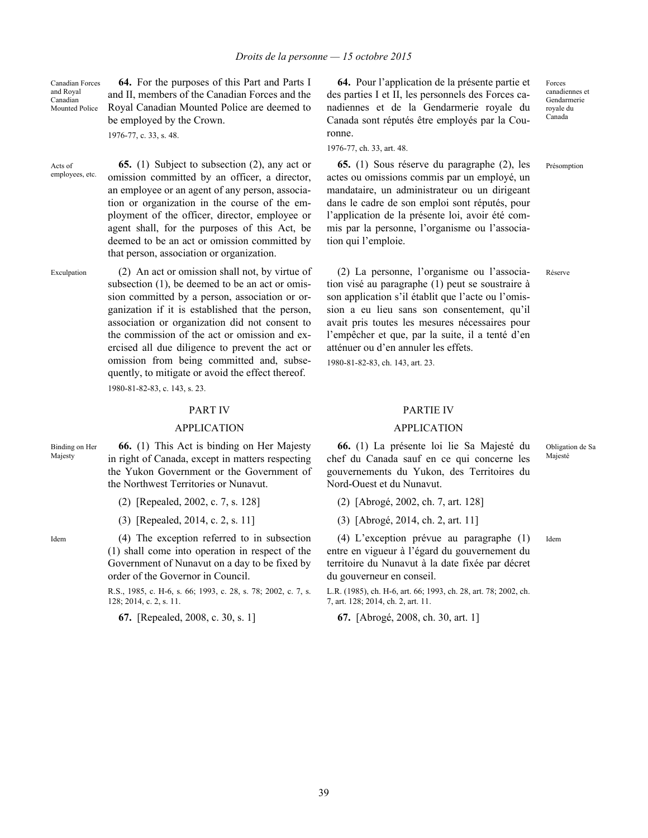<span id="page-43-0"></span>Canadian Forces and Royal Canadian Mounted Police

**64.** For the purposes of this Part and Parts I and II, members of the Canadian Forces and the Royal Canadian Mounted Police are deemed to be employed by the Crown.

1976-77, c. 33, s. 48.

Acts of employees, etc.

**65.** (1) Subject to subsection (2), any act or omission committed by an officer, a director, an employee or an agent of any person, association or organization in the course of the employment of the officer, director, employee or agent shall, for the purposes of this Act, be deemed to be an act or omission committed by that person, association or organization.

Exculpation (2) An act or omission shall not, by virtue of subsection (1), be deemed to be an act or omission committed by a person, association or organization if it is established that the person, association or organization did not consent to the commission of the act or omission and exercised all due diligence to prevent the act or omission from being committed and, subsequently, to mitigate or avoid the effect thereof. 1980-81-82-83, c. 143, s. 23.

# APPLICATION APPLICATION

Binding on Her **66.** (1) This Act is binding on Her Majesty in right of Canada, except in matters respecting the Yukon Government or the Government of the Northwest Territories or Nunavut.

Idem (4) The exception referred to in subsection (1) shall come into operation in respect of the Government of Nunavut on a day to be fixed by order of the Governor in Council.

> R.S., 1985, c. H-6, s. 66; 1993, c. 28, s. 78; 2002, c. 7, s. 128; 2014, c. 2, s. 11.

# **67.** [Repealed, 2008, c. 30, s. 1] **67.** [Abrogé, 2008, ch. 30, art. 1]

**64.** Pour l'application de la présente partie et des parties I et II, les personnels des Forces canadiennes et de la Gendarmerie royale du Canada sont réputés être employés par la Couronne.

1976-77, ch. 33, art. 48.

**65.** (1) Sous réserve du paragraphe (2), les actes ou omissions commis par un employé, un mandataire, un administrateur ou un dirigeant dans le cadre de son emploi sont réputés, pour l'application de la présente loi, avoir été commis par la personne, l'organisme ou l'association qui l'emploie.

(2) La personne, l'organisme ou l'association visé au paragraphe (1) peut se soustraire à son application s'il établit que l'acte ou l'omission a eu lieu sans son consentement, qu'il avait pris toutes les mesures nécessaires pour l'empêcher et que, par la suite, il a tenté d'en atténuer ou d'en annuler les effets.

1980-81-82-83, ch. 143, art. 23.

### PART IV PARTIE IV

**66.** (1) La présente loi lie Sa Majesté du chef du Canada sauf en ce qui concerne les gouvernements du Yukon, des Territoires du Nord-Ouest et du Nunavut.

(2) [Repealed, 2002, c. 7, s. 128] (2) [Abrogé, 2002, ch. 7, art. 128]

(3) [Repealed, 2014, c. 2, s. 11] (3) [Abrogé, 2014, ch. 2, art. 11]

(4) L'exception prévue au paragraphe (1) entre en vigueur à l'égard du gouvernement du territoire du Nunavut à la date fixée par décret du gouverneur en conseil. Idem

L.R. (1985), ch. H-6, art. 66; 1993, ch. 28, art. 78; 2002, ch. 7, art. 128; 2014, ch. 2, art. 11.

canadiennes et Gendarmerie royale du Canada

Forces

Présomption

Réserve

Obligation de Sa Majesté

Majesty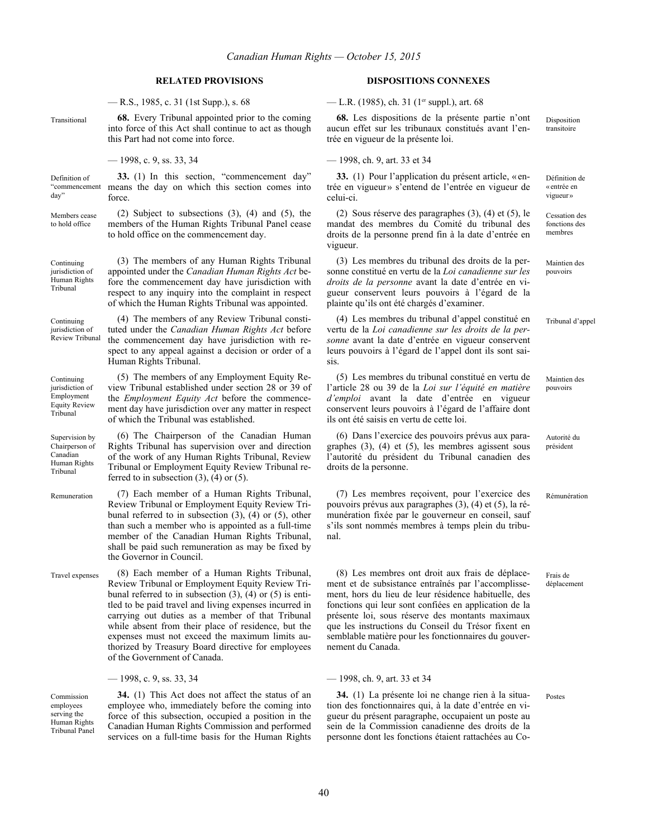<span id="page-44-0"></span>Transitional **68.** Every Tribunal appointed prior to the coming into force of this Act shall continue to act as though this Part had not come into force.

Definition of "commencement day"

Tribunal

force. Members cease (2) Subject to subsections (3), (4) and (5), the

**33.** (1) In this section, "commencement day" means the day on which this section comes into

to hold office members of the Human Rights Tribunal Panel cease to hold office on the commencement day.

Continuing jurisdiction of Human Rights Tribunal (3) The members of any Human Rights Tribunal appointed under the *Canadian Human Rights Act* before the commencement day have jurisdiction with respect to any inquiry into the complaint in respect of which the Human Rights Tribunal was appointed.

Continuing jurisdiction of Review Tribunal (4) The members of any Review Tribunal constituted under the *Canadian Human Rights Act* before the commencement day have jurisdiction with respect to any appeal against a decision or order of a Human Rights Tribunal.

Continuing jurisdiction of Employment Equity Review (5) The members of any Employment Equity Review Tribunal established under section 28 or 39 of the *Employment Equity Act* before the commencement day have jurisdiction over any matter in respect of which the Tribunal was established.

Supervision by Chairperson of Canadian Human Rights Tribunal (6) The Chairperson of the Canadian Human Rights Tribunal has supervision over and direction of the work of any Human Rights Tribunal, Review Tribunal or Employment Equity Review Tribunal referred to in subsection  $(3)$ ,  $(4)$  or  $(5)$ .

Remuneration (7) Each member of a Human Rights Tribunal, Review Tribunal or Employment Equity Review Tribunal referred to in subsection (3), (4) or (5), other than such a member who is appointed as a full-time member of the Canadian Human Rights Tribunal, shall be paid such remuneration as may be fixed by the Governor in Council.

Travel expenses (8) Each member of a Human Rights Tribunal, Review Tribunal or Employment Equity Review Tribunal referred to in subsection  $(3)$ ,  $(4)$  or  $(5)$  is entitled to be paid travel and living expenses incurred in carrying out duties as a member of that Tribunal while absent from their place of residence, but the expenses must not exceed the maximum limits authorized by Treasury Board directive for employees of the Government of Canada.

— 1998, c. 9, ss. 33, 34 — 1998, ch. 9, art. 33 et 34

Commission employees serving the Human Rights Tribunal Panel

**34.** (1) This Act does not affect the status of an employee who, immediately before the coming into force of this subsection, occupied a position in the Canadian Human Rights Commission and performed services on a full-time basis for the Human Rights

# **RELATED PROVISIONS DISPOSITIONS CONNEXES**

### — R.S., 1985, c. 31 (1st Supp.), s. 68 — L.R. (1985), ch. 31 (1<sup>er</sup> suppl.), art. 68

**68.** Les dispositions de la présente partie n'ont aucun effet sur les tribunaux constitués avant l'entrée en vigueur de la présente loi.

— 1998, c. 9, ss. 33, 34 — 1998, ch. 9, art. 33 et 34

**33.** (1) Pour l'application du présent article, «entrée en vigueur» s'entend de l'entrée en vigueur de celui-ci.

(2) Sous réserve des paragraphes (3), (4) et (5), le mandat des membres du Comité du tribunal des droits de la personne prend fin à la date d'entrée en vigueur.

(3) Les membres du tribunal des droits de la personne constitué en vertu de la *Loi canadienne sur les droits de la personne* avant la date d'entrée en vigueur conservent leurs pouvoirs à l'égard de la plainte qu'ils ont été chargés d'examiner.

(4) Les membres du tribunal d'appel constitué en vertu de la *Loi canadienne sur les droits de la personne* avant la date d'entrée en vigueur conservent leurs pouvoirs à l'égard de l'appel dont ils sont saisis.

(5) Les membres du tribunal constitué en vertu de l'article 28 ou 39 de la *Loi sur l'équité en matière d'emploi* avant la date d'entrée en vigueur conservent leurs pouvoirs à l'égard de l'affaire dont ils ont été saisis en vertu de cette loi.

(6) Dans l'exercice des pouvoirs prévus aux paragraphes (3), (4) et (5), les membres agissent sous l'autorité du président du Tribunal canadien des droits de la personne.

(7) Les membres reçoivent, pour l'exercice des pouvoirs prévus aux paragraphes (3), (4) et (5), la rémunération fixée par le gouverneur en conseil, sauf s'ils sont nommés membres à temps plein du tribunal.

(8) Les membres ont droit aux frais de déplacement et de subsistance entraînés par l'accomplissement, hors du lieu de leur résidence habituelle, des fonctions qui leur sont confiées en application de la présente loi, sous réserve des montants maximaux que les instructions du Conseil du Trésor fixent en semblable matière pour les fonctionnaires du gouvernement du Canada.

**34.** (1) La présente loi ne change rien à la situation des fonctionnaires qui, à la date d'entrée en vigueur du présent paragraphe, occupaient un poste au sein de la Commission canadienne des droits de la personne dont les fonctions étaient rattachées au Co-

40

Disposition transitoire

Définition de «entrée en vigueur »

Cessation des fonctions des membres

Maintien des pouvoirs

Tribunal d'appel

Maintien des pouvoirs

Autorité du président

Rémunération

Frais de déplacement

Postes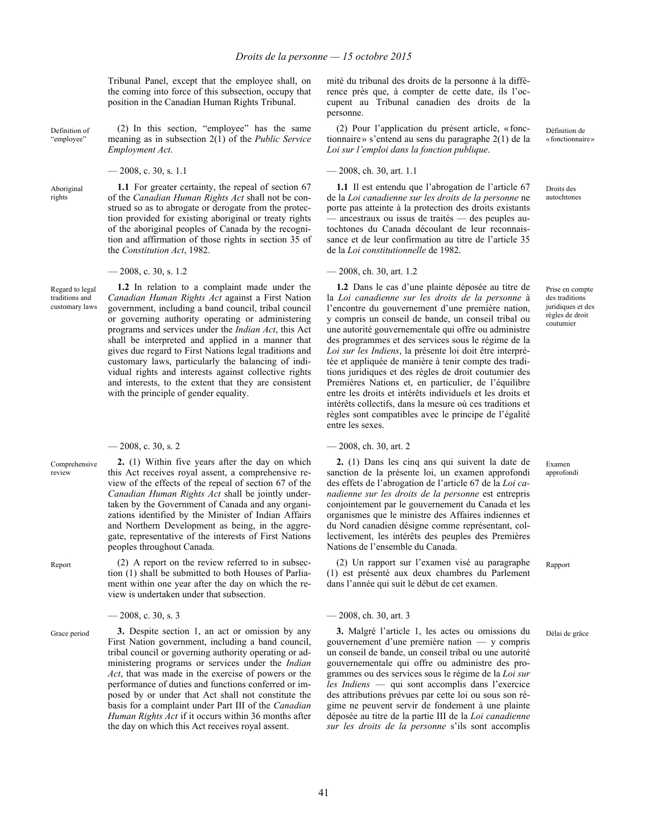Tribunal Panel, except that the employee shall, on the coming into force of this subsection, occupy that position in the Canadian Human Rights Tribunal.

Definition of "employee" (2) In this section, "employee" has the same meaning as in subsection 2(1) of the *Public Service Employment Act*.

 $-2008$ , c. 30, s. 1.1  $-2008$ , ch. 30, art. 1.1

Aboriginal rights

Regard to legal traditions and customary laws

**1.1** For greater certainty, the repeal of section 67 of the *Canadian Human Rights Act* shall not be construed so as to abrogate or derogate from the protection provided for existing aboriginal or treaty rights of the aboriginal peoples of Canada by the recognition and affirmation of those rights in section 35 of the *Constitution Act*, 1982.

**1.2** In relation to a complaint made under the *Canadian Human Rights Act* against a First Nation government, including a band council, tribal council or governing authority operating or administering programs and services under the *Indian Act*, this Act shall be interpreted and applied in a manner that gives due regard to First Nations legal traditions and customary laws, particularly the balancing of individual rights and interests against collective rights and interests, to the extent that they are consistent with the principle of gender equality.

Comprehensive review

**2.** (1) Within five years after the day on which this Act receives royal assent, a comprehensive review of the effects of the repeal of section 67 of the *Canadian Human Rights Act* shall be jointly undertaken by the Government of Canada and any organizations identified by the Minister of Indian Affairs and Northern Development as being, in the aggregate, representative of the interests of First Nations peoples throughout Canada.

Report (2) A report on the review referred to in subsection (1) shall be submitted to both Houses of Parliament within one year after the day on which the review is undertaken under that subsection.

Grace period **3.** Despite section 1, an act or omission by any First Nation government, including a band council, tribal council or governing authority operating or administering programs or services under the *Indian Act*, that was made in the exercise of powers or the performance of duties and functions conferred or imposed by or under that Act shall not constitute the basis for a complaint under Part III of the *Canadian Human Rights Act* if it occurs within 36 months after the day on which this Act receives royal assent.

mité du tribunal des droits de la personne à la différence près que, à compter de cette date, ils l'occupent au Tribunal canadien des droits de la personne.

(2) Pour l'application du présent article, «fonctionnaire» s'entend au sens du paragraphe 2(1) de la *Loi sur l'emploi dans la fonction publique*.

**1.1** Il est entendu que l'abrogation de l'article 67 de la *Loi canadienne sur les droits de la personne* ne porte pas atteinte à la protection des droits existants — ancestraux ou issus de traités — des peuples autochtones du Canada découlant de leur reconnaissance et de leur confirmation au titre de l'article 35 de la *Loi constitutionnelle* de 1982.

 $-2008$ , c. 30, s. 1.2  $-2008$ , ch. 30, art. 1.2

**1.2** Dans le cas d'une plainte déposée au titre de la *Loi canadienne sur les droits de la personne* à l'encontre du gouvernement d'une première nation, y compris un conseil de bande, un conseil tribal ou une autorité gouvernementale qui offre ou administre des programmes et des services sous le régime de la *Loi sur les Indiens*, la présente loi doit être interprétée et appliquée de manière à tenir compte des traditions juridiques et des règles de droit coutumier des Premières Nations et, en particulier, de l'équilibre entre les droits et intérêts individuels et les droits et intérêts collectifs, dans la mesure où ces traditions et règles sont compatibles avec le principe de l'égalité entre les sexes.

 $-2008$ , c. 30, s. 2  $-2008$ , ch. 30, art. 2

**2.** (1) Dans les cinq ans qui suivent la date de sanction de la présente loi, un examen approfondi des effets de l'abrogation de l'article 67 de la *Loi canadienne sur les droits de la personne* est entrepris conjointement par le gouvernement du Canada et les organismes que le ministre des Affaires indiennes et du Nord canadien désigne comme représentant, collectivement, les intérêts des peuples des Premières Nations de l'ensemble du Canada.

(2) Un rapport sur l'examen visé au paragraphe (1) est présenté aux deux chambres du Parlement dans l'année qui suit le début de cet examen.

 $-2008$ , c. 30, s. 3  $-2008$ , ch. 30, art. 3

**3.** Malgré l'article 1, les actes ou omissions du gouvernement d'une première nation — y compris un conseil de bande, un conseil tribal ou une autorité gouvernementale qui offre ou administre des programmes ou des services sous le régime de la *Loi sur les Indiens* — qui sont accomplis dans l'exercice des attributions prévues par cette loi ou sous son régime ne peuvent servir de fondement à une plainte déposée au titre de la partie III de la *Loi canadienne sur les droits de la personne* s'ils sont accomplis

Définition de «fonctionnaire»

Droits des autochtones

Prise en compte des traditions juridiques et des règles de droit coutumier

Examen approfondi

Délai de grâce

Rapport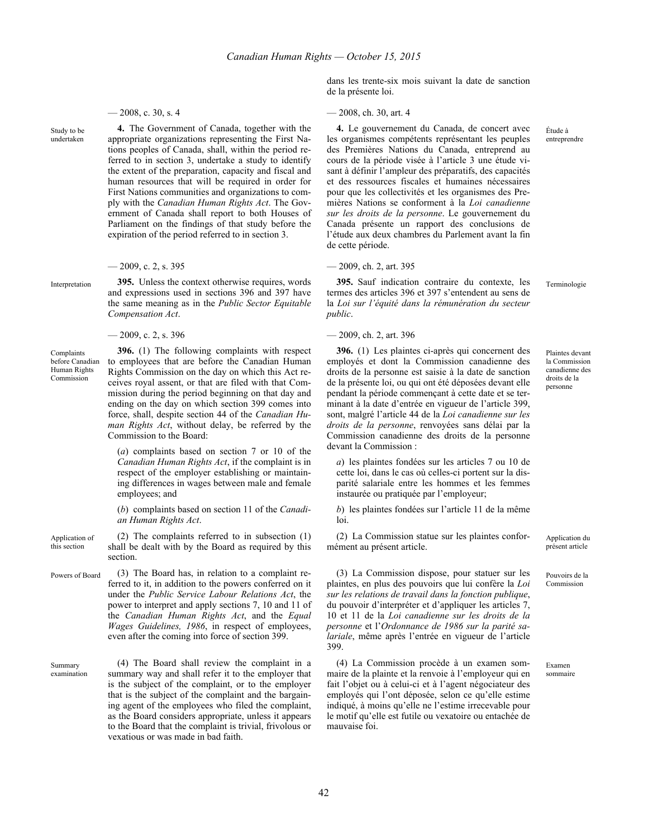Study to be undertaken

**4.** The Government of Canada, together with the appropriate organizations representing the First Nations peoples of Canada, shall, within the period referred to in section 3, undertake a study to identify the extent of the preparation, capacity and fiscal and human resources that will be required in order for First Nations communities and organizations to comply with the *Canadian Human Rights Act*. The Government of Canada shall report to both Houses of Parliament on the findings of that study before the expiration of the period referred to in section 3.

Interpretation **395.** Unless the context otherwise requires, words and expressions used in sections 396 and 397 have the same meaning as in the *Public Sector Equitable Compensation Act*.

**Complaints** before Canadian Human Rights Commission

**396.** (1) The following complaints with respect to employees that are before the Canadian Human Rights Commission on the day on which this Act receives royal assent, or that are filed with that Commission during the period beginning on that day and ending on the day on which section 399 comes into force, shall, despite section 44 of the *Canadian Human Rights Act*, without delay, be referred by the Commission to the Board:

(*a*) complaints based on section 7 or 10 of the *Canadian Human Rights Act*, if the complaint is in respect of the employer establishing or maintaining differences in wages between male and female employees; and

(*b*) complaints based on section 11 of the *Canadian Human Rights Act*.

Application of this section (2) The complaints referred to in subsection (1) shall be dealt with by the Board as required by this section.

Powers of Board (3) The Board has, in relation to a complaint referred to it, in addition to the powers conferred on it under the *Public Service Labour Relations Act*, the power to interpret and apply sections 7, 10 and 11 of the *Canadian Human Rights Act*, and the *Equal Wages Guidelines, 1986*, in respect of employees, even after the coming into force of section 399.

Summary examination (4) The Board shall review the complaint in a summary way and shall refer it to the employer that is the subject of the complaint, or to the employer that is the subject of the complaint and the bargaining agent of the employees who filed the complaint, as the Board considers appropriate, unless it appears to the Board that the complaint is trivial, frivolous or vexatious or was made in bad faith.

dans les trente-six mois suivant la date de sanction de la présente loi.

### $-2008$ , c. 30, s. 4  $-2008$ , ch. 30, art. 4

**4.** Le gouvernement du Canada, de concert avec les organismes compétents représentant les peuples des Premières Nations du Canada, entreprend au cours de la période visée à l'article 3 une étude visant à définir l'ampleur des préparatifs, des capacités et des ressources fiscales et humaines nécessaires pour que les collectivités et les organismes des Premières Nations se conforment à la *Loi canadienne sur les droits de la personne*. Le gouvernement du Canada présente un rapport des conclusions de l'étude aux deux chambres du Parlement avant la fin de cette période.

### $-2009$ , c. 2, s. 395  $-2009$ , ch. 2, art. 395

**395.** Sauf indication contraire du contexte, les termes des articles 396 et 397 s'entendent au sens de la *Loi sur l'équité dans la rémunération du secteur public*.

**396.** (1) Les plaintes ci-après qui concernent des employés et dont la Commission canadienne des droits de la personne est saisie à la date de sanction de la présente loi, ou qui ont été déposées devant elle pendant la période commençant à cette date et se terminant à la date d'entrée en vigueur de l'article 399, sont, malgré l'article 44 de la *Loi canadienne sur les droits de la personne*, renvoyées sans délai par la Commission canadienne des droits de la personne devant la Commission :

*a*) les plaintes fondées sur les articles 7 ou 10 de cette loi, dans le cas où celles-ci portent sur la disparité salariale entre les hommes et les femmes instaurée ou pratiquée par l'employeur;

*b*) les plaintes fondées sur l'article 11 de la même loi.

(2) La Commission statue sur les plaintes conformément au présent article.

(3) La Commission dispose, pour statuer sur les plaintes, en plus des pouvoirs que lui confère la *Loi sur les relations de travail dans la fonction publique*, du pouvoir d'interpréter et d'appliquer les articles 7, 10 et 11 de la *Loi canadienne sur les droits de la personne* et l'*Ordonnance de 1986 sur la parité salariale*, même après l'entrée en vigueur de l'article 399.

(4) La Commission procède à un examen sommaire de la plainte et la renvoie à l'employeur qui en fait l'objet ou à celui-ci et à l'agent négociateur des employés qui l'ont déposée, selon ce qu'elle estime indiqué, à moins qu'elle ne l'estime irrecevable pour le motif qu'elle est futile ou vexatoire ou entachée de mauvaise foi.

Étude à entreprendre

Plaintes devant la Commission canadienne des droits de la personne

Terminologie

Application du présent article

Pouvoirs de la Commission

Examen sommaire

 $-2009$ , c. 2, s. 396  $-2009$ , ch. 2, art. 396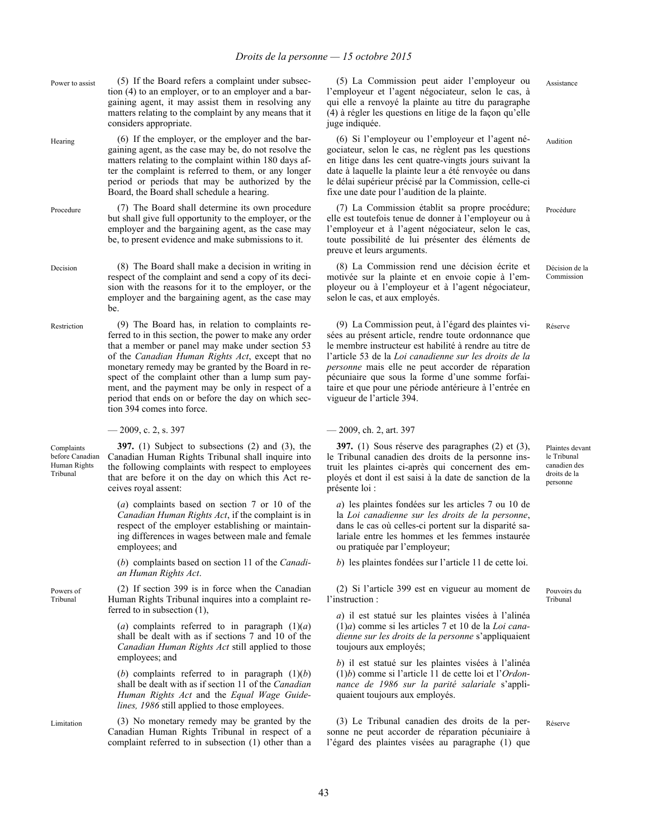### *Droits de la personne — 15 octobre 2015*

- Power to assist (5) If the Board refers a complaint under subsection (4) to an employer, or to an employer and a bargaining agent, it may assist them in resolving any matters relating to the complaint by any means that it considers appropriate.
- Hearing (6) If the employer, or the employer and the bargaining agent, as the case may be, do not resolve the matters relating to the complaint within 180 days after the complaint is referred to them, or any longer period or periods that may be authorized by the Board, the Board shall schedule a hearing.
- Procedure (7) The Board shall determine its own procedure but shall give full opportunity to the employer, or the employer and the bargaining agent, as the case may be, to present evidence and make submissions to it.
- Decision (8) The Board shall make a decision in writing in respect of the complaint and send a copy of its decision with the reasons for it to the employer, or the employer and the bargaining agent, as the case may be.
- Restriction (9) The Board has, in relation to complaints referred to in this section, the power to make any order that a member or panel may make under section 53 of the *Canadian Human Rights Act*, except that no monetary remedy may be granted by the Board in respect of the complaint other than a lump sum payment, and the payment may be only in respect of a period that ends on or before the day on which section 394 comes into force.

**Complaints** before Canadian Human Rights Tribunal

**397.** (1) Subject to subsections (2) and (3), the Canadian Human Rights Tribunal shall inquire into the following complaints with respect to employees that are before it on the day on which this Act receives royal assent:

(*a*) complaints based on section 7 or 10 of the *Canadian Human Rights Act*, if the complaint is in respect of the employer establishing or maintaining differences in wages between male and female employees; and

(*b*) complaints based on section 11 of the *Canadian Human Rights Act*. (2) If section 399 is in force when the Canadian

Powers of Tribunal

Human Rights Tribunal inquires into a complaint referred to in subsection (1), (*a*) complaints referred to in paragraph  $(1)(a)$ 

shall be dealt with as if sections 7 and 10 of the *Canadian Human Rights Act* still applied to those employees; and

(*b*) complaints referred to in paragraph  $(1)(b)$ shall be dealt with as if section 11 of the *Canadian Human Rights Act* and the *Equal Wage Guidelines, 1986* still applied to those employees.

Limitation (3) No monetary remedy may be granted by the Canadian Human Rights Tribunal in respect of a complaint referred to in subsection (1) other than a

(5) La Commission peut aider l'employeur ou l'employeur et l'agent négociateur, selon le cas, à qui elle a renvoyé la plainte au titre du paragraphe (4) à régler les questions en litige de la façon qu'elle juge indiquée.

(6) Si l'employeur ou l'employeur et l'agent négociateur, selon le cas, ne règlent pas les questions en litige dans les cent quatre-vingts jours suivant la date à laquelle la plainte leur a été renvoyée ou dans le délai supérieur précisé par la Commission, celle-ci fixe une date pour l'audition de la plainte.

(7) La Commission établit sa propre procédure; elle est toutefois tenue de donner à l'employeur ou à l'employeur et à l'agent négociateur, selon le cas, toute possibilité de lui présenter des éléments de preuve et leurs arguments.

(8) La Commission rend une décision écrite et motivée sur la plainte et en envoie copie à l'employeur ou à l'employeur et à l'agent négociateur, selon le cas, et aux employés.

(9) La Commission peut, à l'égard des plaintes visées au présent article, rendre toute ordonnance que le membre instructeur est habilité à rendre au titre de l'article 53 de la *Loi canadienne sur les droits de la personne* mais elle ne peut accorder de réparation pécuniaire que sous la forme d'une somme forfaitaire et que pour une période antérieure à l'entrée en vigueur de l'article 394.

 $-2009$ , c. 2, s. 397  $-2009$ , ch. 2, art. 397

**397.** (1) Sous réserve des paragraphes (2) et (3), le Tribunal canadien des droits de la personne instruit les plaintes ci-après qui concernent des employés et dont il est saisi à la date de sanction de la présente loi :

*a*) les plaintes fondées sur les articles 7 ou 10 de la *Loi canadienne sur les droits de la personne*, dans le cas où celles-ci portent sur la disparité salariale entre les hommes et les femmes instaurée ou pratiquée par l'employeur;

*b*) les plaintes fondées sur l'article 11 de cette loi.

(2) Si l'article 399 est en vigueur au moment de l'instruction :

Pouvoirs du Tribunal

Plaintes devant le Tribunal canadien des droits de la personne

Assistance

Audition

Procédure

Décision de la Commission

Réserve

*a*) il est statué sur les plaintes visées à l'alinéa (1)*a*) comme si les articles 7 et 10 de la *Loi canadienne sur les droits de la personne* s'appliquaient toujours aux employés;

*b*) il est statué sur les plaintes visées à l'alinéa (1)*b*) comme si l'article 11 de cette loi et l'*Ordonnance de 1986 sur la parité salariale* s'appliquaient toujours aux employés.

(3) Le Tribunal canadien des droits de la personne ne peut accorder de réparation pécuniaire à l'égard des plaintes visées au paragraphe (1) que

Réserve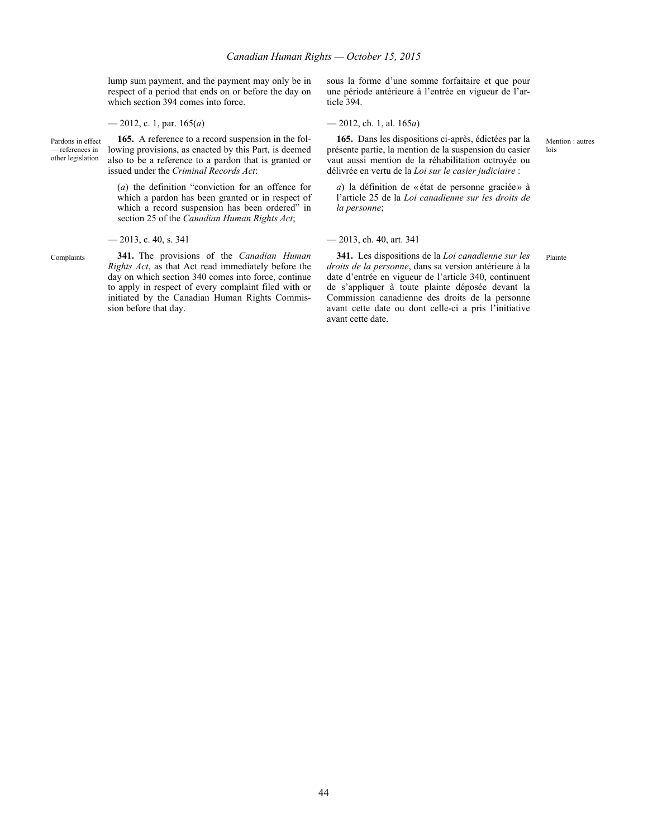lump sum payment, and the payment may only be in respect of a period that ends on or before the day on which section 394 comes into force.

— 2012, c. 1, par. 165(*a*) — 2012, ch. 1, al. 165*a*)

Pardons in effect — references in other legislation

**165.** A reference to a record suspension in the following provisions, as enacted by this Part, is deemed also to be a reference to a pardon that is granted or issued under the *Criminal Records Act*:

(*a*) the definition "conviction for an offence for which a pardon has been granted or in respect of which a record suspension has been ordered" in section 25 of the *Canadian Human Rights Act*;

Complaints **341.** The provisions of the *Canadian Human Rights Act*, as that Act read immediately before the day on which section 340 comes into force, continue to apply in respect of every complaint filed with or initiated by the Canadian Human Rights Commission before that day.

sous la forme d'une somme forfaitaire et que pour une période antérieure à l'entrée en vigueur de l'article 394.

**165.** Dans les dispositions ci-après, édictées par la présente partie, la mention de la suspension du casier vaut aussi mention de la réhabilitation octroyée ou délivrée en vertu de la *Loi sur le casier judiciaire* :

*a*) la définition de «état de personne graciée» à l'article 25 de la *Loi canadienne sur les droits de la personne*;

# $-2013$ , c. 40, s. 341  $-2013$ , ch. 40, art. 341

**341.** Les dispositions de la *Loi canadienne sur les droits de la personne*, dans sa version antérieure à la date d'entrée en vigueur de l'article 340, continuent de s'appliquer à toute plainte déposée devant la Commission canadienne des droits de la personne avant cette date ou dont celle-ci a pris l'initiative avant cette date. Plainte

Mention : autres

lois